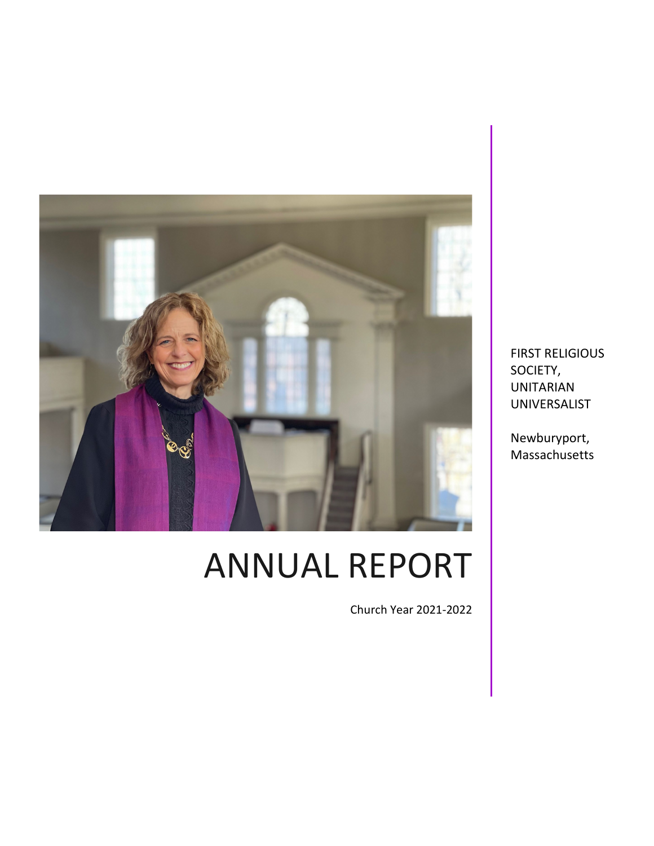

# ANNUAL REPORT

Church Year 2021-2022

FIRST RELIGIOUS SOCIETY, UNITARIAN UNIVERSALIST

Newburyport, Massachusetts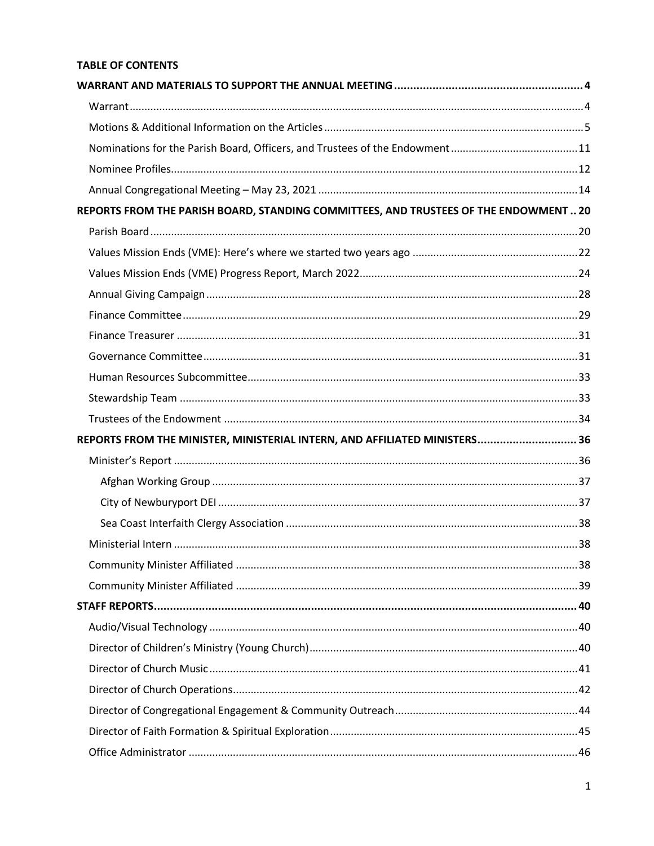# **TABLE OF CONTENTS**

| REPORTS FROM THE PARISH BOARD, STANDING COMMITTEES, AND TRUSTEES OF THE ENDOWMENT  20 |  |
|---------------------------------------------------------------------------------------|--|
|                                                                                       |  |
|                                                                                       |  |
|                                                                                       |  |
|                                                                                       |  |
|                                                                                       |  |
|                                                                                       |  |
|                                                                                       |  |
|                                                                                       |  |
|                                                                                       |  |
|                                                                                       |  |
| REPORTS FROM THE MINISTER, MINISTERIAL INTERN, AND AFFILIATED MINISTERS 36            |  |
|                                                                                       |  |
|                                                                                       |  |
|                                                                                       |  |
|                                                                                       |  |
|                                                                                       |  |
|                                                                                       |  |
|                                                                                       |  |
|                                                                                       |  |
|                                                                                       |  |
|                                                                                       |  |
|                                                                                       |  |
|                                                                                       |  |
|                                                                                       |  |
|                                                                                       |  |
|                                                                                       |  |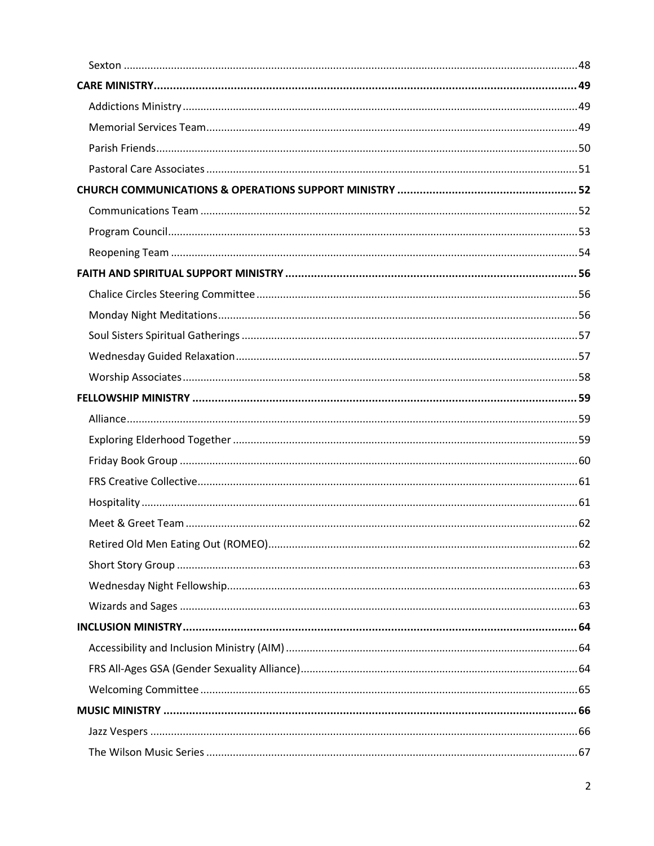| 8. للمستند للمستند المستند المستند المستند المستند المستند المستند المستند المستند المستند المستند المستند المنافذة |  |
|---------------------------------------------------------------------------------------------------------------------|--|
|                                                                                                                     |  |
|                                                                                                                     |  |
|                                                                                                                     |  |
|                                                                                                                     |  |
|                                                                                                                     |  |
|                                                                                                                     |  |
|                                                                                                                     |  |
|                                                                                                                     |  |
|                                                                                                                     |  |
|                                                                                                                     |  |
|                                                                                                                     |  |
|                                                                                                                     |  |
|                                                                                                                     |  |
|                                                                                                                     |  |
|                                                                                                                     |  |
|                                                                                                                     |  |
|                                                                                                                     |  |
|                                                                                                                     |  |
|                                                                                                                     |  |
|                                                                                                                     |  |
|                                                                                                                     |  |
|                                                                                                                     |  |
|                                                                                                                     |  |
|                                                                                                                     |  |
|                                                                                                                     |  |
|                                                                                                                     |  |
|                                                                                                                     |  |
|                                                                                                                     |  |
|                                                                                                                     |  |
|                                                                                                                     |  |
|                                                                                                                     |  |
|                                                                                                                     |  |
|                                                                                                                     |  |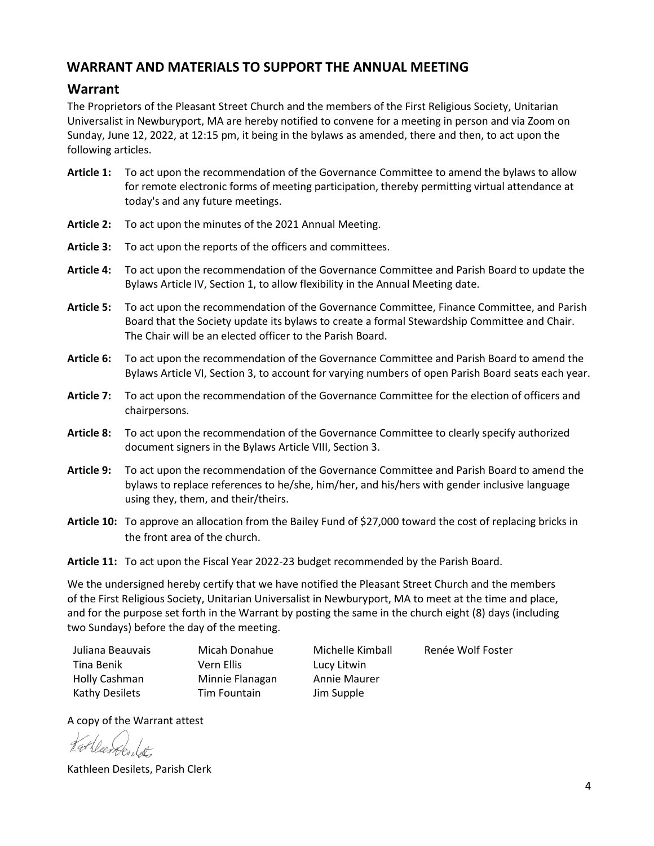# <span id="page-4-0"></span>**WARRANT AND MATERIALS TO SUPPORT THE ANNUAL MEETING**

# <span id="page-4-1"></span>**Warrant**

The Proprietors of the Pleasant Street Church and the members of the First Religious Society, Unitarian Universalist in Newburyport, MA are hereby notified to convene for a meeting in person and via Zoom on Sunday, June 12, 2022, at 12:15 pm, it being in the bylaws as amended, there and then, to act upon the following articles.

- **Article 1:** To act upon the recommendation of the Governance Committee to amend the bylaws to allow for remote electronic forms of meeting participation, thereby permitting virtual attendance at today's and any future meetings.
- **Article 2:** To act upon the minutes of the 2021 Annual Meeting.
- **Article 3:** To act upon the reports of the officers and committees.
- **Article 4:** To act upon the recommendation of the Governance Committee and Parish Board to update the Bylaws Article IV, Section 1, to allow flexibility in the Annual Meeting date.
- **Article 5:** To act upon the recommendation of the Governance Committee, Finance Committee, and Parish Board that the Society update its bylaws to create a formal Stewardship Committee and Chair. The Chair will be an elected officer to the Parish Board.
- **Article 6:** To act upon the recommendation of the Governance Committee and Parish Board to amend the Bylaws Article VI, Section 3, to account for varying numbers of open Parish Board seats each year.
- **Article 7:** To act upon the recommendation of the Governance Committee for the election of officers and chairpersons.
- **Article 8:** To act upon the recommendation of the Governance Committee to clearly specify authorized document signers in the Bylaws Article VIII, Section 3.
- **Article 9:** To act upon the recommendation of the Governance Committee and Parish Board to amend the bylaws to replace references to he/she, him/her, and his/hers with gender inclusive language using they, them, and their/theirs.
- **Article 10:** To approve an allocation from the Bailey Fund of \$27,000 toward the cost of replacing bricks in the front area of the church.
- **Article 11:** To act upon the Fiscal Year 2022-23 budget recommended by the Parish Board.

We the undersigned hereby certify that we have notified the Pleasant Street Church and the members of the First Religious Society, Unitarian Universalist in Newburyport, MA to meet at the time and place, and for the purpose set forth in the Warrant by posting the same in the church eight (8) days (including two Sundays) before the day of the meeting.

| Juliana Beauvais | Micah Donahue   | Michelle Kimball | Renée Wolf Foster |
|------------------|-----------------|------------------|-------------------|
| Tina Benik       | Vern Ellis      | Lucy Litwin      |                   |
| Holly Cashman    | Minnie Flanagan | Annie Maurer     |                   |
| Kathy Desilets   | Tim Fountain    | Jim Supple       |                   |

A copy of the Warrant attest

Kathleen Desilets, Parish Clerk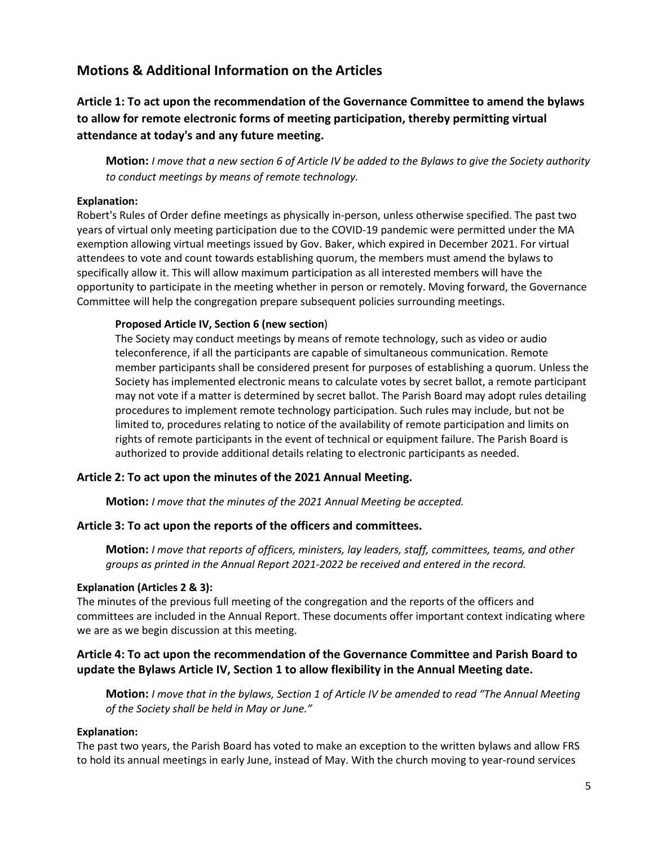# <span id="page-5-0"></span>**Motions & Additional Information on the Articles**

# **Article 1: To act upon the recommendation of the Governance Committee to amend the bylaws to allow for remote electronic forms of meeting participation, thereby permitting virtual attendance at today's and any future meeting.**

**Motion:** *I move that a new section 6 of Article IV be added to the Bylaws to give the Society authority to conduct meetings by means of remote technology.*

### **Explanation:**

Robert's Rules of Order define meetings as physically in-person, unless otherwise specified. The past two years of virtual only meeting participation due to the COVID-19 pandemic were permitted under the MA exemption allowing virtual meetings issued by Gov. Baker, which expired in December 2021. For virtual attendees to vote and count towards establishing quorum, the members must amend the bylaws to specifically allow it. This will allow maximum participation as all interested members will have the opportunity to participate in the meeting whether in person or remotely. Moving forward, the Governance Committee will help the congregation prepare subsequent policies surrounding meetings.

### **Proposed Article IV, Section 6 (new section**)

The Society may conduct meetings by means of remote technology, such as video or audio teleconference, if all the participants are capable of simultaneous communication. Remote member participants shall be considered present for purposes of establishing a quorum. Unless the Society has implemented electronic means to calculate votes by secret ballot, a remote participant may not vote if a matter is determined by secret ballot. The Parish Board may adopt rules detailing procedures to implement remote technology participation. Such rules may include, but not be limited to, procedures relating to notice of the availability of remote participation and limits on rights of remote participants in the event of technical or equipment failure. The Parish Board is authorized to provide additional details relating to electronic participants as needed.

### **Article 2: To act upon the minutes of the 2021 Annual Meeting.**

**Motion:** *I move that the minutes of the 2021 Annual Meeting be accepted.*

### **Article 3: To act upon the reports of the officers and committees.**

**Motion:** *I move that reports of officers, ministers, lay leaders, staff, committees, teams, and other groups as printed in the Annual Report 2021-2022 be received and entered in the record.*

### **Explanation (Articles 2 & 3):**

The minutes of the previous full meeting of the congregation and the reports of the officers and committees are included in the Annual Report. These documents offer important context indicating where we are as we begin discussion at this meeting.

# **Article 4: To act upon the recommendation of the Governance Committee and Parish Board to update the Bylaws Article IV, Section 1 to allow flexibility in the Annual Meeting date.**

**Motion:** *I move that in the bylaws, Section 1 of Article IV be amended to read "The Annual Meeting of the Society shall be held in May or June."*

### **Explanation:**

The past two years, the Parish Board has voted to make an exception to the written bylaws and allow FRS to hold its annual meetings in early June, instead of May. With the church moving to year-round services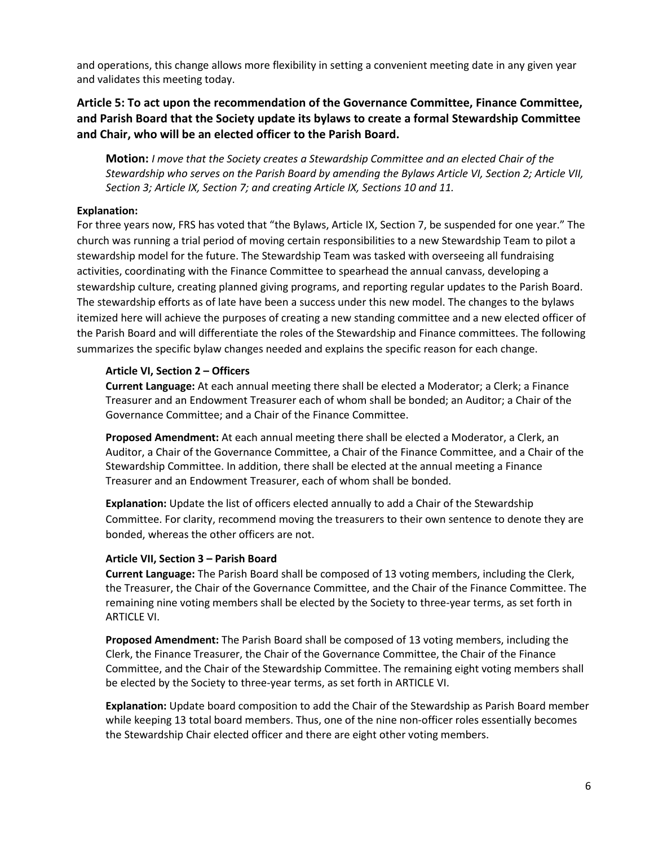and operations, this change allows more flexibility in setting a convenient meeting date in any given year and validates this meeting today.

# **Article 5: To act upon the recommendation of the Governance Committee, Finance Committee, and Parish Board that the Society update its bylaws to create a formal Stewardship Committee and Chair, who will be an elected officer to the Parish Board.**

**Motion:** *I move that the Society creates a Stewardship Committee and an elected Chair of the Stewardship who serves on the Parish Board by amending the Bylaws Article VI, Section 2; Article VII, Section 3; Article IX, Section 7; and creating Article IX, Sections 10 and 11.*

### **Explanation:**

For three years now, FRS has voted that "the Bylaws, Article IX, Section 7, be suspended for one year." The church was running a trial period of moving certain responsibilities to a new Stewardship Team to pilot a stewardship model for the future. The Stewardship Team was tasked with overseeing all fundraising activities, coordinating with the Finance Committee to spearhead the annual canvass, developing a stewardship culture, creating planned giving programs, and reporting regular updates to the Parish Board. The stewardship efforts as of late have been a success under this new model. The changes to the bylaws itemized here will achieve the purposes of creating a new standing committee and a new elected officer of the Parish Board and will differentiate the roles of the Stewardship and Finance committees. The following summarizes the specific bylaw changes needed and explains the specific reason for each change.

### **Article VI, Section 2 – Officers**

**Current Language:** At each annual meeting there shall be elected a Moderator; a Clerk; a Finance Treasurer and an Endowment Treasurer each of whom shall be bonded; an Auditor; a Chair of the Governance Committee; and a Chair of the Finance Committee.

**Proposed Amendment:** At each annual meeting there shall be elected a Moderator, a Clerk, an Auditor, a Chair of the Governance Committee, a Chair of the Finance Committee, and a Chair of the Stewardship Committee. In addition, there shall be elected at the annual meeting a Finance Treasurer and an Endowment Treasurer, each of whom shall be bonded.

**Explanation:** Update the list of officers elected annually to add a Chair of the Stewardship Committee. For clarity, recommend moving the treasurers to their own sentence to denote they are bonded, whereas the other officers are not.

### **Article VII, Section 3 – Parish Board**

**Current Language:** The Parish Board shall be composed of 13 voting members, including the Clerk, the Treasurer, the Chair of the Governance Committee, and the Chair of the Finance Committee. The remaining nine voting members shall be elected by the Society to three-year terms, as set forth in ARTICLE VI.

**Proposed Amendment:** The Parish Board shall be composed of 13 voting members, including the Clerk, the Finance Treasurer, the Chair of the Governance Committee, the Chair of the Finance Committee, and the Chair of the Stewardship Committee. The remaining eight voting members shall be elected by the Society to three-year terms, as set forth in ARTICLE VI.

**Explanation:** Update board composition to add the Chair of the Stewardship as Parish Board member while keeping 13 total board members. Thus, one of the nine non-officer roles essentially becomes the Stewardship Chair elected officer and there are eight other voting members.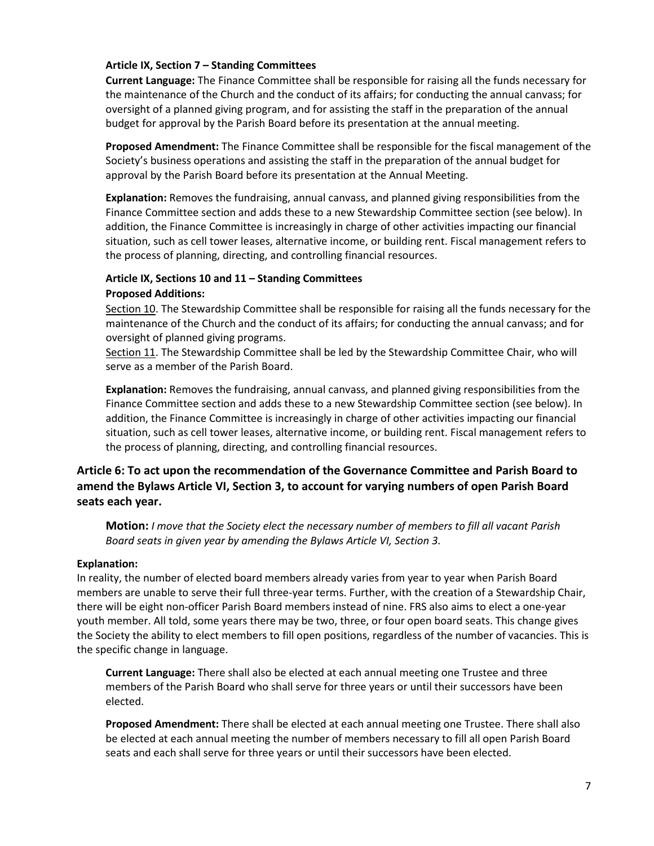### **Article IX, Section 7 – Standing Committees**

**Current Language:** The Finance Committee shall be responsible for raising all the funds necessary for the maintenance of the Church and the conduct of its affairs; for conducting the annual canvass; for oversight of a planned giving program, and for assisting the staff in the preparation of the annual budget for approval by the Parish Board before its presentation at the annual meeting.

**Proposed Amendment:** The Finance Committee shall be responsible for the fiscal management of the Society's business operations and assisting the staff in the preparation of the annual budget for approval by the Parish Board before its presentation at the Annual Meeting.

**Explanation:** Removes the fundraising, annual canvass, and planned giving responsibilities from the Finance Committee section and adds these to a new Stewardship Committee section (see below). In addition, the Finance Committee is increasingly in charge of other activities impacting our financial situation, such as cell tower leases, alternative income, or building rent. Fiscal management refers to the process of planning, directing, and controlling financial resources.

### **Article IX, Sections 10 and 11 – Standing Committees Proposed Additions:**

Section 10. The Stewardship Committee shall be responsible for raising all the funds necessary for the maintenance of the Church and the conduct of its affairs; for conducting the annual canvass; and for oversight of planned giving programs.

Section 11. The Stewardship Committee shall be led by the Stewardship Committee Chair, who will serve as a member of the Parish Board.

**Explanation:** Removes the fundraising, annual canvass, and planned giving responsibilities from the Finance Committee section and adds these to a new Stewardship Committee section (see below). In addition, the Finance Committee is increasingly in charge of other activities impacting our financial situation, such as cell tower leases, alternative income, or building rent. Fiscal management refers to the process of planning, directing, and controlling financial resources.

# **Article 6: To act upon the recommendation of the Governance Committee and Parish Board to amend the Bylaws Article VI, Section 3, to account for varying numbers of open Parish Board seats each year.**

**Motion:** *I move that the Society elect the necessary number of members to fill all vacant Parish Board seats in given year by amending the Bylaws Article VI, Section 3.*

### **Explanation:**

In reality, the number of elected board members already varies from year to year when Parish Board members are unable to serve their full three-year terms. Further, with the creation of a Stewardship Chair, there will be eight non-officer Parish Board members instead of nine. FRS also aims to elect a one-year youth member. All told, some years there may be two, three, or four open board seats. This change gives the Society the ability to elect members to fill open positions, regardless of the number of vacancies. This is the specific change in language.

**Current Language:** There shall also be elected at each annual meeting one Trustee and three members of the Parish Board who shall serve for three years or until their successors have been elected.

**Proposed Amendment:** There shall be elected at each annual meeting one Trustee. There shall also be elected at each annual meeting the number of members necessary to fill all open Parish Board seats and each shall serve for three years or until their successors have been elected.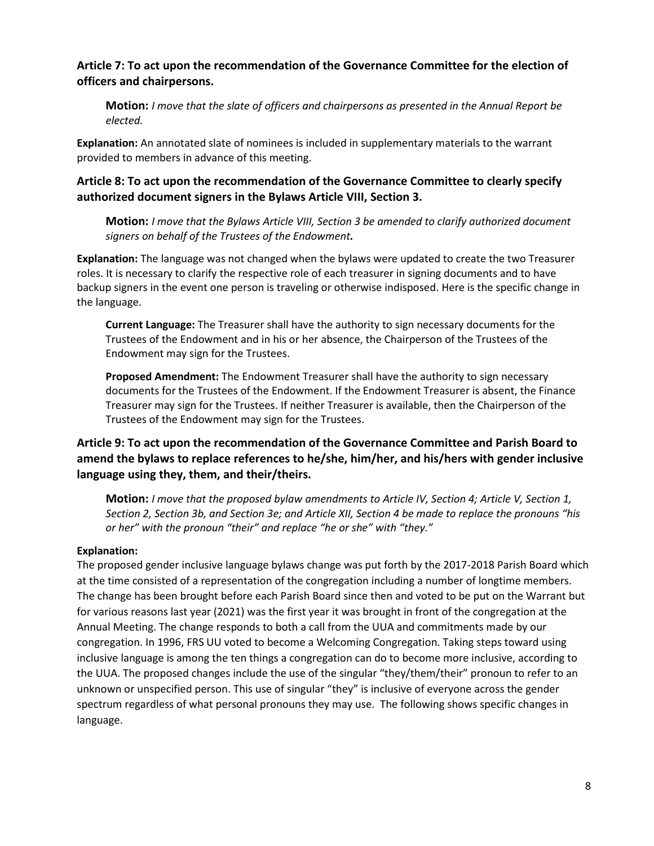# **Article 7: To act upon the recommendation of the Governance Committee for the election of officers and chairpersons.**

**Motion:** *I move that the slate of officers and chairpersons as presented in the Annual Report be elected.*

**Explanation:** An annotated slate of nominees is included in supplementary materials to the warrant provided to members in advance of this meeting.

# **Article 8: To act upon the recommendation of the Governance Committee to clearly specify authorized document signers in the Bylaws Article VIII, Section 3.**

**Motion:** *I move that the Bylaws Article VIII, Section 3 be amended to clarify authorized document signers on behalf of the Trustees of the Endowment.*

**Explanation:** The language was not changed when the bylaws were updated to create the two Treasurer roles. It is necessary to clarify the respective role of each treasurer in signing documents and to have backup signers in the event one person is traveling or otherwise indisposed. Here is the specific change in the language.

**Current Language:** The Treasurer shall have the authority to sign necessary documents for the Trustees of the Endowment and in his or her absence, the Chairperson of the Trustees of the Endowment may sign for the Trustees.

**Proposed Amendment:** The Endowment Treasurer shall have the authority to sign necessary documents for the Trustees of the Endowment. If the Endowment Treasurer is absent, the Finance Treasurer may sign for the Trustees. If neither Treasurer is available, then the Chairperson of the Trustees of the Endowment may sign for the Trustees.

# **Article 9: To act upon the recommendation of the Governance Committee and Parish Board to amend the bylaws to replace references to he/she, him/her, and his/hers with gender inclusive language using they, them, and their/theirs.**

**Motion:** *I move that the proposed bylaw amendments to Article IV, Section 4; Article V, Section 1, Section 2, Section 3b, and Section 3e; and Article XII, Section 4 be made to replace the pronouns "his or her" with the pronoun "their" and replace "he or she" with "they."*

### **Explanation:**

The proposed gender inclusive language bylaws change was put forth by the 2017-2018 Parish Board which at the time consisted of a representation of the congregation including a number of longtime members. The change has been brought before each Parish Board since then and voted to be put on the Warrant but for various reasons last year (2021) was the first year it was brought in front of the congregation at the Annual Meeting. The change responds to both a call from the UUA and commitments made by our congregation. In 1996, FRS UU voted to become a Welcoming Congregation. Taking steps toward using inclusive language is among the ten things a congregation can do to become more inclusive, according to the UUA. The proposed changes include the use of the singular "they/them/their" pronoun to refer to an unknown or unspecified person. This use of singular "they" is inclusive of everyone across the gender spectrum regardless of what personal pronouns they may use. The following shows specific changes in language.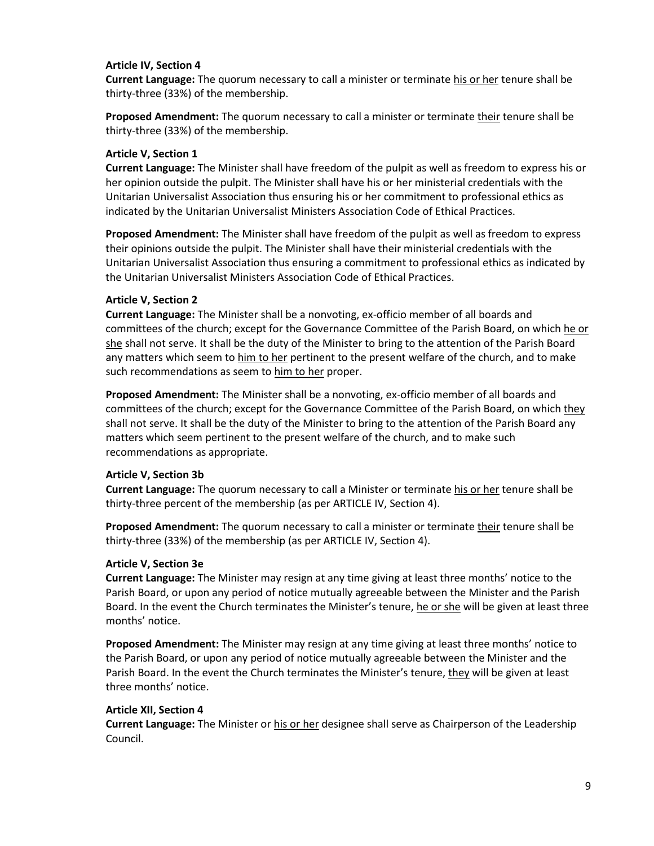### **Article IV, Section 4**

**Current Language:** The quorum necessary to call a minister or terminate his or her tenure shall be thirty-three (33%) of the membership.

**Proposed Amendment:** The quorum necessary to call a minister or terminate their tenure shall be thirty-three (33%) of the membership.

### **Article V, Section 1**

**Current Language:** The Minister shall have freedom of the pulpit as well as freedom to express his or her opinion outside the pulpit. The Minister shall have his or her ministerial credentials with the Unitarian Universalist Association thus ensuring his or her commitment to professional ethics as indicated by the Unitarian Universalist Ministers Association Code of Ethical Practices.

**Proposed Amendment:** The Minister shall have freedom of the pulpit as well as freedom to express their opinions outside the pulpit. The Minister shall have their ministerial credentials with the Unitarian Universalist Association thus ensuring a commitment to professional ethics as indicated by the Unitarian Universalist Ministers Association Code of Ethical Practices.

### **Article V, Section 2**

**Current Language:** The Minister shall be a nonvoting, ex-officio member of all boards and committees of the church; except for the Governance Committee of the Parish Board, on which he or she shall not serve. It shall be the duty of the Minister to bring to the attention of the Parish Board any matters which seem to him to her pertinent to the present welfare of the church, and to make such recommendations as seem to him to her proper.

**Proposed Amendment:** The Minister shall be a nonvoting, ex-officio member of all boards and committees of the church; except for the Governance Committee of the Parish Board, on which they shall not serve. It shall be the duty of the Minister to bring to the attention of the Parish Board any matters which seem pertinent to the present welfare of the church, and to make such recommendations as appropriate.

### **Article V, Section 3b**

**Current Language:** The quorum necessary to call a Minister or terminate his or her tenure shall be thirty-three percent of the membership (as per ARTICLE IV, Section 4).

**Proposed Amendment:** The quorum necessary to call a minister or terminate their tenure shall be thirty-three (33%) of the membership (as per ARTICLE IV, Section 4).

### **Article V, Section 3e**

**Current Language:** The Minister may resign at any time giving at least three months' notice to the Parish Board, or upon any period of notice mutually agreeable between the Minister and the Parish Board. In the event the Church terminates the Minister's tenure, he or she will be given at least three months' notice.

**Proposed Amendment:** The Minister may resign at any time giving at least three months' notice to the Parish Board, or upon any period of notice mutually agreeable between the Minister and the Parish Board. In the event the Church terminates the Minister's tenure, they will be given at least three months' notice.

### **Article XII, Section 4**

**Current Language:** The Minister or his or her designee shall serve as Chairperson of the Leadership Council.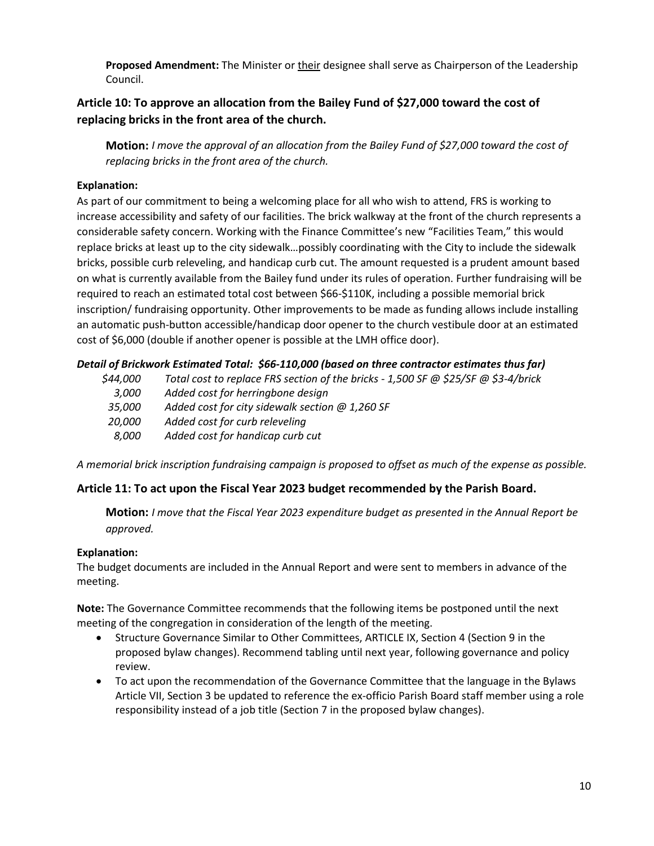**Proposed Amendment:** The Minister or their designee shall serve as Chairperson of the Leadership Council.

# **Article 10: To approve an allocation from the Bailey Fund of \$27,000 toward the cost of replacing bricks in the front area of the church.**

**Motion:** *I move the approval of an allocation from the Bailey Fund of \$27,000 toward the cost of replacing bricks in the front area of the church.*

# **Explanation:**

As part of our commitment to being a welcoming place for all who wish to attend, FRS is working to increase accessibility and safety of our facilities. The brick walkway at the front of the church represents a considerable safety concern. Working with the Finance Committee's new "Facilities Team," this would replace bricks at least up to the city sidewalk…possibly coordinating with the City to include the sidewalk bricks, possible curb releveling, and handicap curb cut. The amount requested is a prudent amount based on what is currently available from the Bailey fund under its rules of operation. Further fundraising will be required to reach an estimated total cost between \$66-\$110K, including a possible memorial brick inscription/ fundraising opportunity. Other improvements to be made as funding allows include installing an automatic push-button accessible/handicap door opener to the church vestibule door at an estimated cost of \$6,000 (double if another opener is possible at the LMH office door).

# *Detail of Brickwork Estimated Total: \$66-110,000 (based on three contractor estimates thus far)*

| \$44,000      | Total cost to replace FRS section of the bricks - 1,500 SF @ \$25/SF @ \$3-4/brick |
|---------------|------------------------------------------------------------------------------------|
| 3.000         | Added cost for herringbone design                                                  |
| 35.000        | Added cost for city sidewalk section $@$ 1,260 SF                                  |
| <i>20.000</i> | Added cost for curb releveling                                                     |
| 8.000         | Added cost for handicap curb cut                                                   |

*A memorial brick inscription fundraising campaign is proposed to offset as much of the expense as possible.*

### **Article 11: To act upon the Fiscal Year 2023 budget recommended by the Parish Board.**

**Motion:** *I move that the Fiscal Year 2023 expenditure budget as presented in the Annual Report be approved.*

### **Explanation:**

The budget documents are included in the Annual Report and were sent to members in advance of the meeting.

**Note:** The Governance Committee recommends that the following items be postponed until the next meeting of the congregation in consideration of the length of the meeting.

- Structure Governance Similar to Other Committees, ARTICLE IX, Section 4 (Section 9 in the proposed bylaw changes). Recommend tabling until next year, following governance and policy review.
- To act upon the recommendation of the Governance Committee that the language in the Bylaws Article VII, Section 3 be updated to reference the ex-officio Parish Board staff member using a role responsibility instead of a job title (Section 7 in the proposed bylaw changes).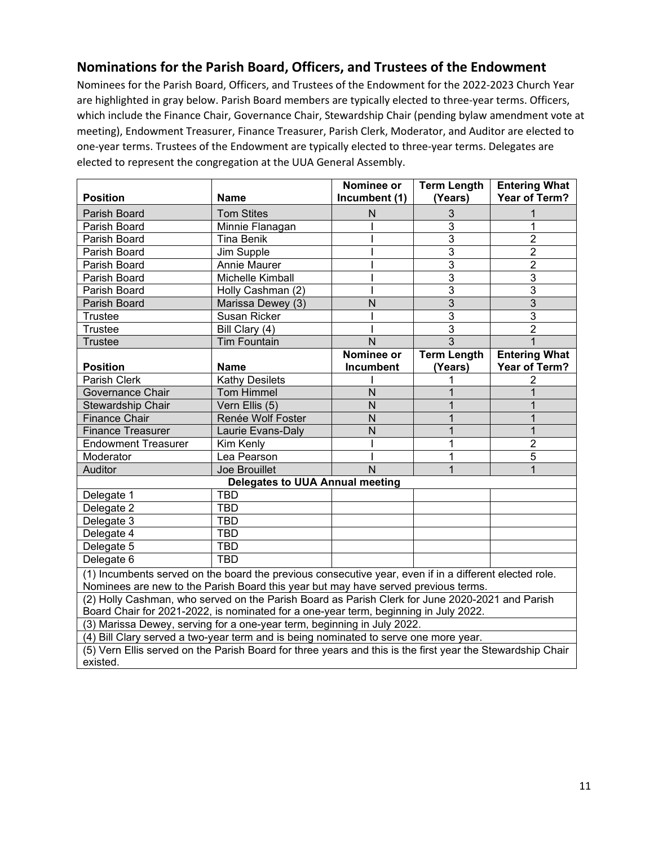# <span id="page-11-0"></span>**Nominations for the Parish Board, Officers, and Trustees of the Endowment**

Nominees for the Parish Board, Officers, and Trustees of the Endowment for the 2022-2023 Church Year are highlighted in gray below. Parish Board members are typically elected to three-year terms. Officers, which include the Finance Chair, Governance Chair, Stewardship Chair (pending bylaw amendment vote at meeting), Endowment Treasurer, Finance Treasurer, Parish Clerk, Moderator, and Auditor are elected to one-year terms. Trustees of the Endowment are typically elected to three-year terms. Delegates are elected to represent the congregation at the UUA General Assembly.

|                                                                                                            |                                        | Nominee or       | <b>Term Length</b> | <b>Entering What</b> |
|------------------------------------------------------------------------------------------------------------|----------------------------------------|------------------|--------------------|----------------------|
| <b>Position</b>                                                                                            | <b>Name</b>                            | Incumbent (1)    | (Years)            | Year of Term?        |
| Parish Board                                                                                               | <b>Tom Stites</b>                      | N                | 3                  |                      |
| Parish Board                                                                                               | Minnie Flanagan                        |                  | 3                  | 1                    |
| Parish Board                                                                                               | <b>Tina Benik</b>                      |                  | 3                  | $\overline{2}$       |
| Parish Board                                                                                               | Jim Supple                             |                  | 3                  | $\overline{2}$       |
| Parish Board                                                                                               | Annie Maurer                           |                  | 3                  | $\overline{2}$       |
| Parish Board                                                                                               | Michelle Kimball                       |                  | 3                  | 3                    |
| Parish Board                                                                                               | Holly Cashman (2)                      |                  | 3                  | 3                    |
| Parish Board                                                                                               | Marissa Dewey (3)                      | N                | 3                  | 3                    |
| Trustee                                                                                                    | Susan Ricker                           |                  | 3                  | 3                    |
| Trustee                                                                                                    | Bill Clary (4)                         |                  | 3                  | $\overline{2}$       |
| <b>Trustee</b>                                                                                             | <b>Tim Fountain</b>                    | N                | 3                  |                      |
|                                                                                                            |                                        | Nominee or       | <b>Term Length</b> | <b>Entering What</b> |
| <b>Position</b>                                                                                            | <b>Name</b>                            | <b>Incumbent</b> | (Years)            | Year of Term?        |
| Parish Clerk                                                                                               | <b>Kathy Desilets</b>                  |                  |                    | 2                    |
| Governance Chair                                                                                           | <b>Tom Himmel</b>                      | N                |                    |                      |
| Stewardship Chair                                                                                          | Vern Ellis (5)                         | N                |                    |                      |
| <b>Finance Chair</b>                                                                                       | Renée Wolf Foster                      | N                |                    |                      |
| <b>Finance Treasurer</b>                                                                                   | Laurie Evans-Daly                      | N                |                    | 1                    |
| <b>Endowment Treasurer</b>                                                                                 | Kim Kenly                              |                  |                    | $\overline{2}$       |
| Moderator                                                                                                  | Lea Pearson                            |                  |                    | $\overline{5}$       |
| Auditor                                                                                                    | Joe Brouillet                          | N                |                    | 1                    |
|                                                                                                            | <b>Delegates to UUA Annual meeting</b> |                  |                    |                      |
| Delegate 1                                                                                                 | <b>TBD</b>                             |                  |                    |                      |
| Delegate 2                                                                                                 | <b>TBD</b>                             |                  |                    |                      |
| Delegate 3                                                                                                 | <b>TBD</b>                             |                  |                    |                      |
| Delegate 4                                                                                                 | <b>TBD</b>                             |                  |                    |                      |
| Delegate 5                                                                                                 | <b>TBD</b>                             |                  |                    |                      |
| Delegate 6                                                                                                 | <b>TBD</b>                             |                  |                    |                      |
| (1) Incumbents served on the board the previous consecutive year, even if in a different elected role.     |                                        |                  |                    |                      |
| Nominees are new to the Parish Board this year but may have served previous terms.                         |                                        |                  |                    |                      |
| (2) Holly Cashman, who served on the Parish Board as Parish Clerk for June 2020-2021 and Parish            |                                        |                  |                    |                      |
| Board Chair for 2021-2022, is nominated for a one-year term, beginning in July 2022.                       |                                        |                  |                    |                      |
| (3) Marissa Dewey, serving for a one-year term, beginning in July 2022.                                    |                                        |                  |                    |                      |
| (4) Bill Clary served a two-year term and is being nominated to serve one more year.                       |                                        |                  |                    |                      |
| (5) Vern Ellis served on the Parish Board for three years and this is the first year the Stewardship Chair |                                        |                  |                    |                      |

existed.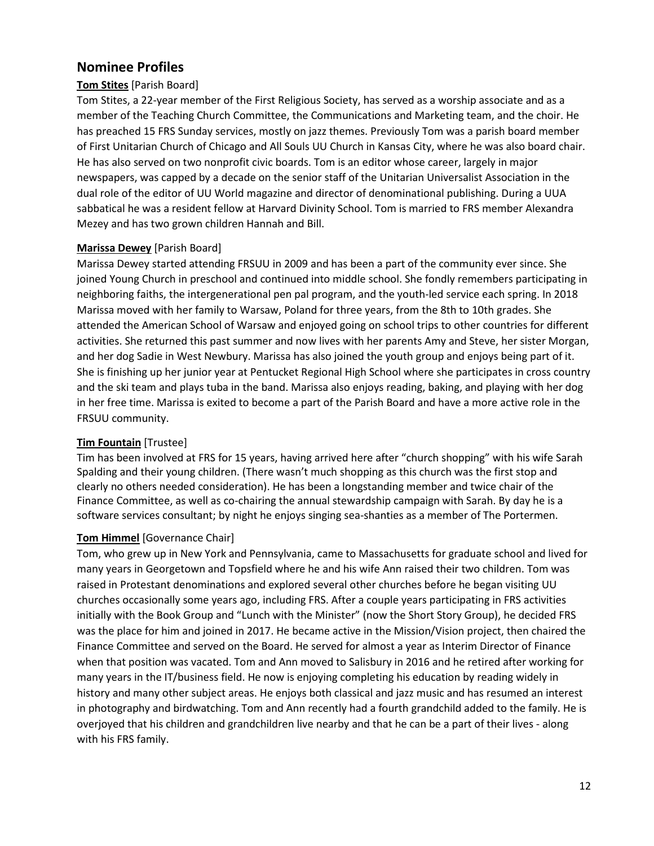# <span id="page-12-0"></span>**Nominee Profiles**

## **Tom Stites** [Parish Board]

Tom Stites, a 22-year member of the First Religious Society, has served as a worship associate and as a member of the Teaching Church Committee, the Communications and Marketing team, and the choir. He has preached 15 FRS Sunday services, mostly on jazz themes. Previously Tom was a parish board member of First Unitarian Church of Chicago and All Souls UU Church in Kansas City, where he was also board chair. He has also served on two nonprofit civic boards. Tom is an editor whose career, largely in major newspapers, was capped by a decade on the senior staff of the Unitarian Universalist Association in the dual role of the editor of UU World magazine and director of denominational publishing. During a UUA sabbatical he was a resident fellow at Harvard Divinity School. Tom is married to FRS member Alexandra Mezey and has two grown children Hannah and Bill.

### **Marissa Dewey** [Parish Board]

Marissa Dewey started attending FRSUU in 2009 and has been a part of the community ever since. She joined Young Church in preschool and continued into middle school. She fondly remembers participating in neighboring faiths, the intergenerational pen pal program, and the youth-led service each spring. In 2018 Marissa moved with her family to Warsaw, Poland for three years, from the 8th to 10th grades. She attended the American School of Warsaw and enjoyed going on school trips to other countries for different activities. She returned this past summer and now lives with her parents Amy and Steve, her sister Morgan, and her dog Sadie in West Newbury. Marissa has also joined the youth group and enjoys being part of it. She is finishing up her junior year at Pentucket Regional High School where she participates in cross country and the ski team and plays tuba in the band. Marissa also enjoys reading, baking, and playing with her dog in her free time. Marissa is exited to become a part of the Parish Board and have a more active role in the FRSUU community.

### **Tim Fountain** [Trustee]

Tim has been involved at FRS for 15 years, having arrived here after "church shopping" with his wife Sarah Spalding and their young children. (There wasn't much shopping as this church was the first stop and clearly no others needed consideration). He has been a longstanding member and twice chair of the Finance Committee, as well as co-chairing the annual stewardship campaign with Sarah. By day he is a software services consultant; by night he enjoys singing sea-shanties as a member of The Portermen.

### **Tom Himmel** [Governance Chair]

Tom, who grew up in New York and Pennsylvania, came to Massachusetts for graduate school and lived for many years in Georgetown and Topsfield where he and his wife Ann raised their two children. Tom was raised in Protestant denominations and explored several other churches before he began visiting UU churches occasionally some years ago, including FRS. After a couple years participating in FRS activities initially with the Book Group and "Lunch with the Minister" (now the Short Story Group), he decided FRS was the place for him and joined in 2017. He became active in the Mission/Vision project, then chaired the Finance Committee and served on the Board. He served for almost a year as Interim Director of Finance when that position was vacated. Tom and Ann moved to Salisbury in 2016 and he retired after working for many years in the IT/business field. He now is enjoying completing his education by reading widely in history and many other subject areas. He enjoys both classical and jazz music and has resumed an interest in photography and birdwatching. Tom and Ann recently had a fourth grandchild added to the family. He is overjoyed that his children and grandchildren live nearby and that he can be a part of their lives - along with his FRS family.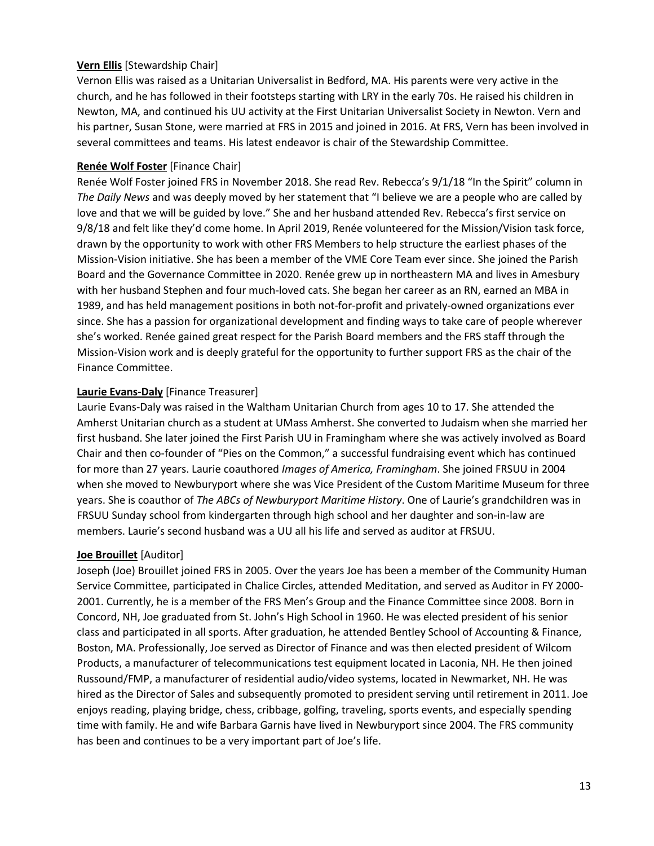### **Vern Ellis** [Stewardship Chair]

Vernon Ellis was raised as a Unitarian Universalist in Bedford, MA. His parents were very active in the church, and he has followed in their footsteps starting with LRY in the early 70s. He raised his children in Newton, MA, and continued his UU activity at the First Unitarian Universalist Society in Newton. Vern and his partner, Susan Stone, were married at FRS in 2015 and joined in 2016. At FRS, Vern has been involved in several committees and teams. His latest endeavor is chair of the Stewardship Committee.

### **Renée Wolf Foster** [Finance Chair]

Renée Wolf Foster joined FRS in November 2018. She read Rev. Rebecca's 9/1/18 "In the Spirit" column in *The Daily News* and was deeply moved by her statement that "I believe we are a people who are called by love and that we will be guided by love." She and her husband attended Rev. Rebecca's first service on 9/8/18 and felt like they'd come home. In April 2019, Renée volunteered for the Mission/Vision task force, drawn by the opportunity to work with other FRS Members to help structure the earliest phases of the Mission-Vision initiative. She has been a member of the VME Core Team ever since. She joined the Parish Board and the Governance Committee in 2020. Renée grew up in northeastern MA and lives in Amesbury with her husband Stephen and four much-loved cats. She began her career as an RN, earned an MBA in 1989, and has held management positions in both not-for-profit and privately-owned organizations ever since. She has a passion for organizational development and finding ways to take care of people wherever she's worked. Renée gained great respect for the Parish Board members and the FRS staff through the Mission-Vision work and is deeply grateful for the opportunity to further support FRS as the chair of the Finance Committee.

### **Laurie Evans-Daly** [Finance Treasurer]

Laurie Evans-Daly was raised in the Waltham Unitarian Church from ages 10 to 17. She attended the Amherst Unitarian church as a student at UMass Amherst. She converted to Judaism when she married her first husband. She later joined the First Parish UU in Framingham where she was actively involved as Board Chair and then co-founder of "Pies on the Common," a successful fundraising event which has continued for more than 27 years. Laurie coauthored *Images of America, Framingham*. She joined FRSUU in 2004 when she moved to Newburyport where she was Vice President of the Custom Maritime Museum for three years. She is coauthor of *The ABCs of Newburyport Maritime History*. One of Laurie's grandchildren was in FRSUU Sunday school from kindergarten through high school and her daughter and son-in-law are members. Laurie's second husband was a UU all his life and served as auditor at FRSUU.

### **Joe Brouillet** [Auditor]

Joseph (Joe) Brouillet joined FRS in 2005. Over the years Joe has been a member of the Community Human Service Committee, participated in Chalice Circles, attended Meditation, and served as Auditor in FY 2000- 2001. Currently, he is a member of the FRS Men's Group and the Finance Committee since 2008. Born in Concord, NH, Joe graduated from St. John's High School in 1960. He was elected president of his senior class and participated in all sports. After graduation, he attended Bentley School of Accounting & Finance, Boston, MA. Professionally, Joe served as Director of Finance and was then elected president of Wilcom Products, a manufacturer of telecommunications test equipment located in Laconia, NH. He then joined Russound/FMP, a manufacturer of residential audio/video systems, located in Newmarket, NH. He was hired as the Director of Sales and subsequently promoted to president serving until retirement in 2011. Joe enjoys reading, playing bridge, chess, cribbage, golfing, traveling, sports events, and especially spending time with family. He and wife Barbara Garnis have lived in Newburyport since 2004. The FRS community has been and continues to be a very important part of Joe's life.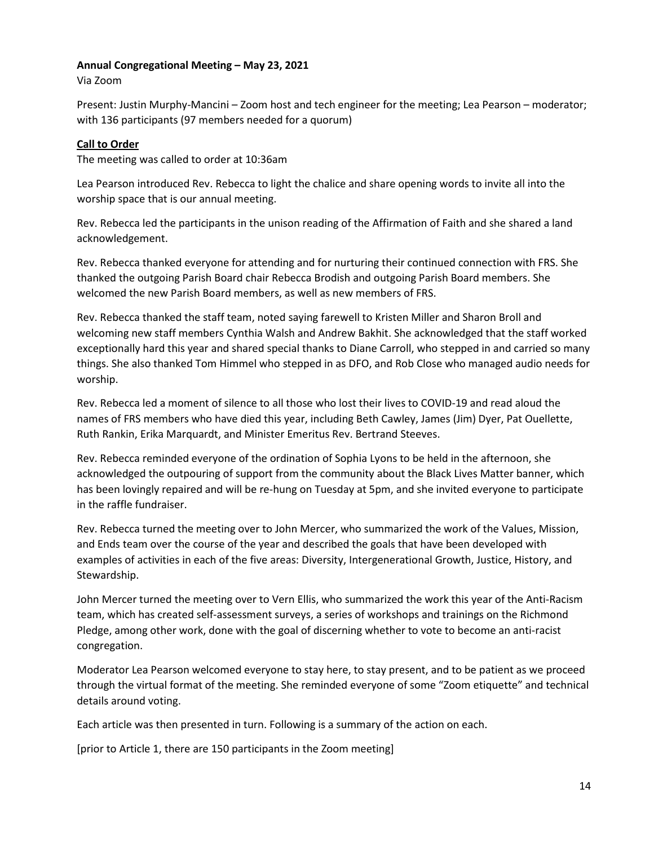### <span id="page-14-0"></span>**Annual Congregational Meeting – May 23, 2021**

Via Zoom

Present: Justin Murphy-Mancini – Zoom host and tech engineer for the meeting; Lea Pearson – moderator; with 136 participants (97 members needed for a quorum)

### **Call to Order**

The meeting was called to order at 10:36am

Lea Pearson introduced Rev. Rebecca to light the chalice and share opening words to invite all into the worship space that is our annual meeting.

Rev. Rebecca led the participants in the unison reading of the Affirmation of Faith and she shared a land acknowledgement.

Rev. Rebecca thanked everyone for attending and for nurturing their continued connection with FRS. She thanked the outgoing Parish Board chair Rebecca Brodish and outgoing Parish Board members. She welcomed the new Parish Board members, as well as new members of FRS.

Rev. Rebecca thanked the staff team, noted saying farewell to Kristen Miller and Sharon Broll and welcoming new staff members Cynthia Walsh and Andrew Bakhit. She acknowledged that the staff worked exceptionally hard this year and shared special thanks to Diane Carroll, who stepped in and carried so many things. She also thanked Tom Himmel who stepped in as DFO, and Rob Close who managed audio needs for worship.

Rev. Rebecca led a moment of silence to all those who lost their lives to COVID-19 and read aloud the names of FRS members who have died this year, including Beth Cawley, James (Jim) Dyer, Pat Ouellette, Ruth Rankin, Erika Marquardt, and Minister Emeritus Rev. Bertrand Steeves.

Rev. Rebecca reminded everyone of the ordination of Sophia Lyons to be held in the afternoon, she acknowledged the outpouring of support from the community about the Black Lives Matter banner, which has been lovingly repaired and will be re-hung on Tuesday at 5pm, and she invited everyone to participate in the raffle fundraiser.

Rev. Rebecca turned the meeting over to John Mercer, who summarized the work of the Values, Mission, and Ends team over the course of the year and described the goals that have been developed with examples of activities in each of the five areas: Diversity, Intergenerational Growth, Justice, History, and Stewardship.

John Mercer turned the meeting over to Vern Ellis, who summarized the work this year of the Anti-Racism team, which has created self-assessment surveys, a series of workshops and trainings on the Richmond Pledge, among other work, done with the goal of discerning whether to vote to become an anti-racist congregation.

Moderator Lea Pearson welcomed everyone to stay here, to stay present, and to be patient as we proceed through the virtual format of the meeting. She reminded everyone of some "Zoom etiquette" and technical details around voting.

Each article was then presented in turn. Following is a summary of the action on each.

[prior to Article 1, there are 150 participants in the Zoom meeting]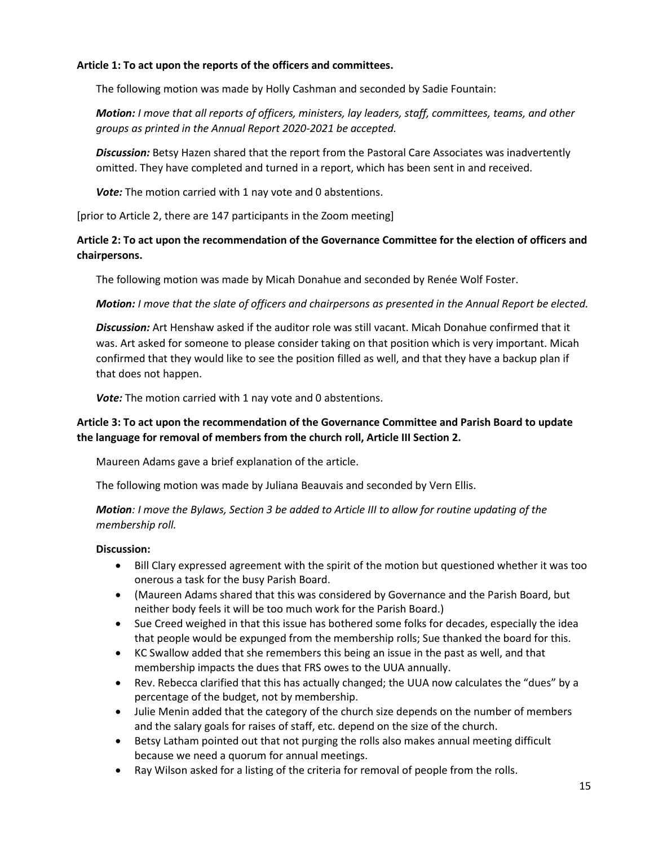### **Article 1: To act upon the reports of the officers and committees.**

The following motion was made by Holly Cashman and seconded by Sadie Fountain:

*Motion: I move that all reports of officers, ministers, lay leaders, staff, committees, teams, and other groups as printed in the Annual Report 2020-2021 be accepted.*

*Discussion:* Betsy Hazen shared that the report from the Pastoral Care Associates was inadvertently omitted. They have completed and turned in a report, which has been sent in and received.

*Vote:* The motion carried with 1 nay vote and 0 abstentions.

[prior to Article 2, there are 147 participants in the Zoom meeting]

### **Article 2: To act upon the recommendation of the Governance Committee for the election of officers and chairpersons.**

The following motion was made by Micah Donahue and seconded by Renée Wolf Foster.

*Motion: I move that the slate of officers and chairpersons as presented in the Annual Report be elected.* 

*Discussion:* Art Henshaw asked if the auditor role was still vacant. Micah Donahue confirmed that it was. Art asked for someone to please consider taking on that position which is very important. Micah confirmed that they would like to see the position filled as well, and that they have a backup plan if that does not happen.

*Vote:* The motion carried with 1 nay vote and 0 abstentions.

### **Article 3: To act upon the recommendation of the Governance Committee and Parish Board to update the language for removal of members from the church roll, Article III Section 2.**

Maureen Adams gave a brief explanation of the article.

The following motion was made by Juliana Beauvais and seconded by Vern Ellis.

*Motion: I move the Bylaws, Section 3 be added to Article III to allow for routine updating of the membership roll.*

### **Discussion:**

- Bill Clary expressed agreement with the spirit of the motion but questioned whether it was too onerous a task for the busy Parish Board.
- (Maureen Adams shared that this was considered by Governance and the Parish Board, but neither body feels it will be too much work for the Parish Board.)
- Sue Creed weighed in that this issue has bothered some folks for decades, especially the idea that people would be expunged from the membership rolls; Sue thanked the board for this.
- KC Swallow added that she remembers this being an issue in the past as well, and that membership impacts the dues that FRS owes to the UUA annually.
- Rev. Rebecca clarified that this has actually changed; the UUA now calculates the "dues" by a percentage of the budget, not by membership.
- Julie Menin added that the category of the church size depends on the number of members and the salary goals for raises of staff, etc. depend on the size of the church.
- Betsy Latham pointed out that not purging the rolls also makes annual meeting difficult because we need a quorum for annual meetings.
- Ray Wilson asked for a listing of the criteria for removal of people from the rolls.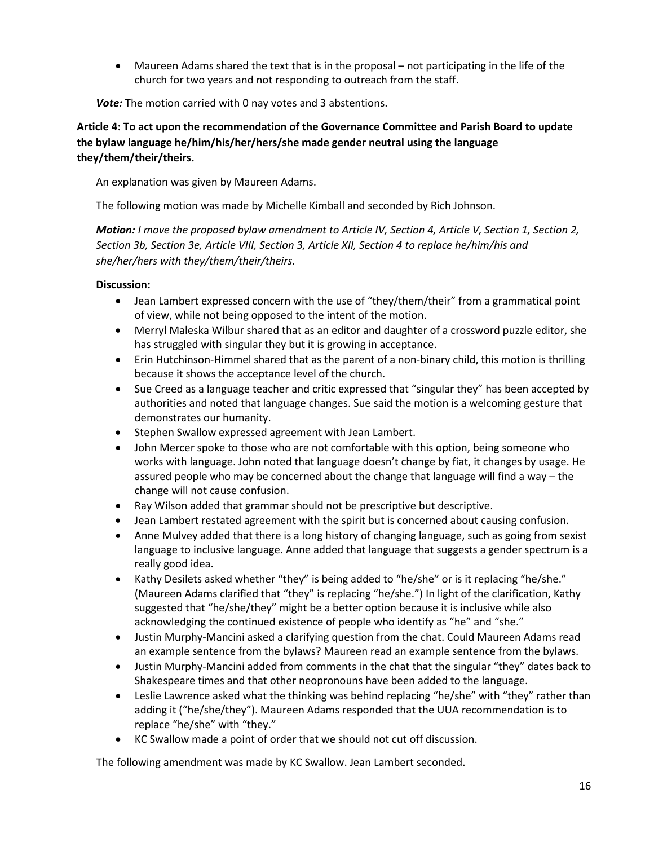• Maureen Adams shared the text that is in the proposal – not participating in the life of the church for two years and not responding to outreach from the staff.

*Vote:* The motion carried with 0 nay votes and 3 abstentions.

# **Article 4: To act upon the recommendation of the Governance Committee and Parish Board to update the bylaw language he/him/his/her/hers/she made gender neutral using the language they/them/their/theirs.**

An explanation was given by Maureen Adams.

The following motion was made by Michelle Kimball and seconded by Rich Johnson.

*Motion: I move the proposed bylaw amendment to Article IV, Section 4, Article V, Section 1, Section 2, Section 3b, Section 3e, Article VIII, Section 3, Article XII, Section 4 to replace he/him/his and she/her/hers with they/them/their/theirs.*

# **Discussion:**

- Jean Lambert expressed concern with the use of "they/them/their" from a grammatical point of view, while not being opposed to the intent of the motion.
- Merryl Maleska Wilbur shared that as an editor and daughter of a crossword puzzle editor, she has struggled with singular they but it is growing in acceptance.
- Erin Hutchinson-Himmel shared that as the parent of a non-binary child, this motion is thrilling because it shows the acceptance level of the church.
- Sue Creed as a language teacher and critic expressed that "singular they" has been accepted by authorities and noted that language changes. Sue said the motion is a welcoming gesture that demonstrates our humanity.
- Stephen Swallow expressed agreement with Jean Lambert.
- John Mercer spoke to those who are not comfortable with this option, being someone who works with language. John noted that language doesn't change by fiat, it changes by usage. He assured people who may be concerned about the change that language will find a way – the change will not cause confusion.
- Ray Wilson added that grammar should not be prescriptive but descriptive.
- Jean Lambert restated agreement with the spirit but is concerned about causing confusion.
- Anne Mulvey added that there is a long history of changing language, such as going from sexist language to inclusive language. Anne added that language that suggests a gender spectrum is a really good idea.
- Kathy Desilets asked whether "they" is being added to "he/she" or is it replacing "he/she." (Maureen Adams clarified that "they" is replacing "he/she.") In light of the clarification, Kathy suggested that "he/she/they" might be a better option because it is inclusive while also acknowledging the continued existence of people who identify as "he" and "she."
- Justin Murphy-Mancini asked a clarifying question from the chat. Could Maureen Adams read an example sentence from the bylaws? Maureen read an example sentence from the bylaws.
- Justin Murphy-Mancini added from comments in the chat that the singular "they" dates back to Shakespeare times and that other neopronouns have been added to the language.
- Leslie Lawrence asked what the thinking was behind replacing "he/she" with "they" rather than adding it ("he/she/they"). Maureen Adams responded that the UUA recommendation is to replace "he/she" with "they."
- KC Swallow made a point of order that we should not cut off discussion.

The following amendment was made by KC Swallow. Jean Lambert seconded.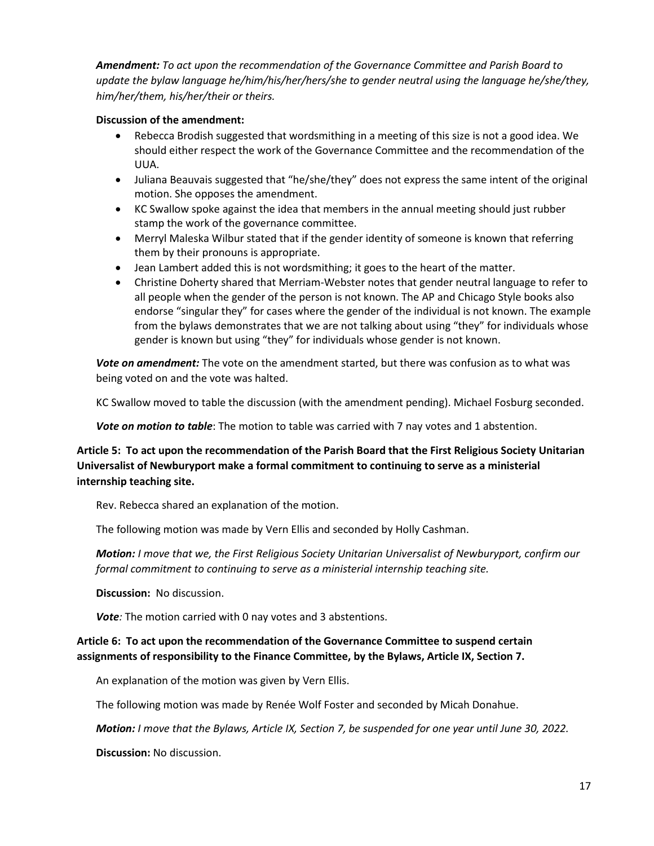*Amendment: To act upon the recommendation of the Governance Committee and Parish Board to update the bylaw language he/him/his/her/hers/she to gender neutral using the language he/she/they, him/her/them, his/her/their or theirs.*

### **Discussion of the amendment:**

- Rebecca Brodish suggested that wordsmithing in a meeting of this size is not a good idea. We should either respect the work of the Governance Committee and the recommendation of the UUA.
- Juliana Beauvais suggested that "he/she/they" does not express the same intent of the original motion. She opposes the amendment.
- KC Swallow spoke against the idea that members in the annual meeting should just rubber stamp the work of the governance committee.
- Merryl Maleska Wilbur stated that if the gender identity of someone is known that referring them by their pronouns is appropriate.
- Jean Lambert added this is not wordsmithing; it goes to the heart of the matter.
- Christine Doherty shared that Merriam-Webster notes that gender neutral language to refer to all people when the gender of the person is not known. The AP and Chicago Style books also endorse "singular they" for cases where the gender of the individual is not known. The example from the bylaws demonstrates that we are not talking about using "they" for individuals whose gender is known but using "they" for individuals whose gender is not known.

*Vote on amendment:* The vote on the amendment started, but there was confusion as to what was being voted on and the vote was halted.

KC Swallow moved to table the discussion (with the amendment pending). Michael Fosburg seconded.

*Vote on motion to table*: The motion to table was carried with 7 nay votes and 1 abstention.

## **Article 5: To act upon the recommendation of the Parish Board that the First Religious Society Unitarian Universalist of Newburyport make a formal commitment to continuing to serve as a ministerial internship teaching site.**

Rev. Rebecca shared an explanation of the motion.

The following motion was made by Vern Ellis and seconded by Holly Cashman.

*Motion: I move that we, the First Religious Society Unitarian Universalist of Newburyport, confirm our formal commitment to continuing to serve as a ministerial internship teaching site.*

**Discussion:** No discussion.

*Vote:* The motion carried with 0 nay votes and 3 abstentions.

### **Article 6: To act upon the recommendation of the Governance Committee to suspend certain assignments of responsibility to the Finance Committee, by the Bylaws, Article IX, Section 7.**

An explanation of the motion was given by Vern Ellis.

The following motion was made by Renée Wolf Foster and seconded by Micah Donahue.

*Motion: I move that the Bylaws, Article IX, Section 7, be suspended for one year until June 30, 2022.*

**Discussion:** No discussion.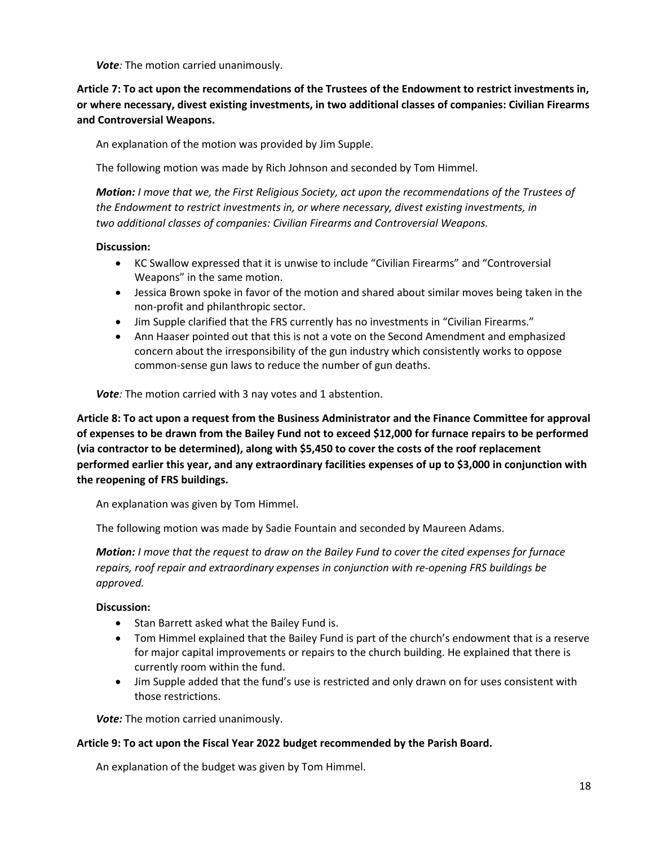*Vote:* The motion carried unanimously.

**Article 7: To act upon the recommendations of the Trustees of the Endowment to restrict investments in, or where necessary, divest existing investments, in two additional classes of companies: Civilian Firearms and Controversial Weapons.**

An explanation of the motion was provided by Jim Supple.

The following motion was made by Rich Johnson and seconded by Tom Himmel.

*Motion: I move that we, the First Religious Society, act upon the recommendations of the Trustees of the Endowment to restrict investments in, or where necessary, divest existing investments, in two additional classes of companies: Civilian Firearms and Controversial Weapons.*

### **Discussion:**

- KC Swallow expressed that it is unwise to include "Civilian Firearms" and "Controversial Weapons" in the same motion.
- Jessica Brown spoke in favor of the motion and shared about similar moves being taken in the non-profit and philanthropic sector.
- Jim Supple clarified that the FRS currently has no investments in "Civilian Firearms."
- Ann Haaser pointed out that this is not a vote on the Second Amendment and emphasized concern about the irresponsibility of the gun industry which consistently works to oppose common-sense gun laws to reduce the number of gun deaths.

*Vote:* The motion carried with 3 nay votes and 1 abstention.

**Article 8: To act upon a request from the Business Administrator and the Finance Committee for approval of expenses to be drawn from the Bailey Fund not to exceed \$12,000 for furnace repairs to be performed (via contractor to be determined), along with \$5,450 to cover the costs of the roof replacement performed earlier this year, and any extraordinary facilities expenses of up to \$3,000 in conjunction with the reopening of FRS buildings.**

An explanation was given by Tom Himmel.

The following motion was made by Sadie Fountain and seconded by Maureen Adams.

*Motion: I move that the request to draw on the Bailey Fund to cover the cited expenses for furnace repairs, roof repair and extraordinary expenses in conjunction with re-opening FRS buildings be approved.* 

### **Discussion:**

- Stan Barrett asked what the Bailey Fund is.
- Tom Himmel explained that the Bailey Fund is part of the church's endowment that is a reserve for major capital improvements or repairs to the church building. He explained that there is currently room within the fund.
- Jim Supple added that the fund's use is restricted and only drawn on for uses consistent with those restrictions.

*Vote:* The motion carried unanimously.

### **Article 9: To act upon the Fiscal Year 2022 budget recommended by the Parish Board.**

An explanation of the budget was given by Tom Himmel.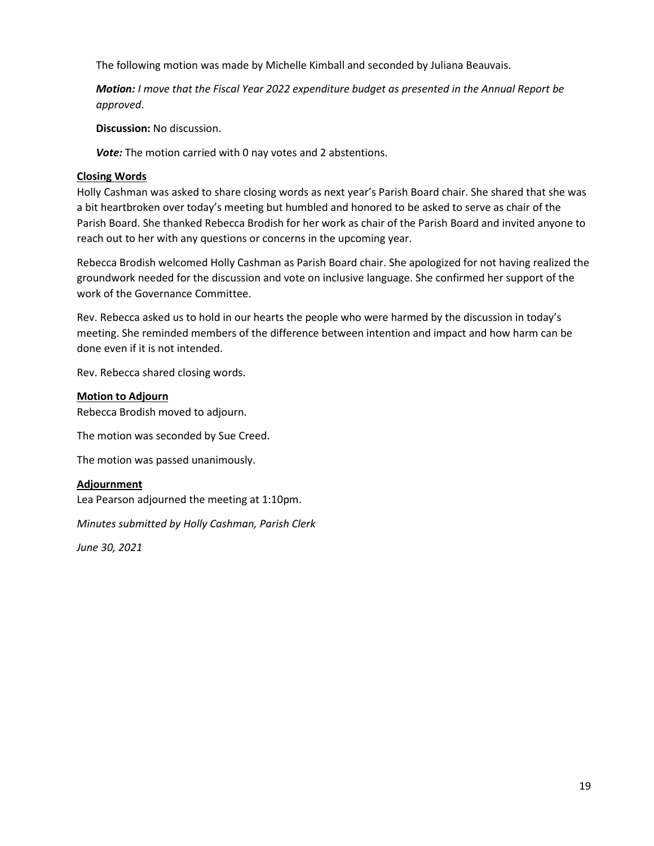The following motion was made by Michelle Kimball and seconded by Juliana Beauvais.

*Motion: I move that the Fiscal Year 2022 expenditure budget as presented in the Annual Report be approved*.

**Discussion:** No discussion.

*Vote:* The motion carried with 0 nay votes and 2 abstentions.

### **Closing Words**

Holly Cashman was asked to share closing words as next year's Parish Board chair. She shared that she was a bit heartbroken over today's meeting but humbled and honored to be asked to serve as chair of the Parish Board. She thanked Rebecca Brodish for her work as chair of the Parish Board and invited anyone to reach out to her with any questions or concerns in the upcoming year.

Rebecca Brodish welcomed Holly Cashman as Parish Board chair. She apologized for not having realized the groundwork needed for the discussion and vote on inclusive language. She confirmed her support of the work of the Governance Committee.

Rev. Rebecca asked us to hold in our hearts the people who were harmed by the discussion in today's meeting. She reminded members of the difference between intention and impact and how harm can be done even if it is not intended.

Rev. Rebecca shared closing words.

### **Motion to Adjourn**

Rebecca Brodish moved to adjourn.

The motion was seconded by Sue Creed.

The motion was passed unanimously.

### **Adjournment**

Lea Pearson adjourned the meeting at 1:10pm.

*Minutes submitted by Holly Cashman, Parish Clerk*

*June 30, 2021*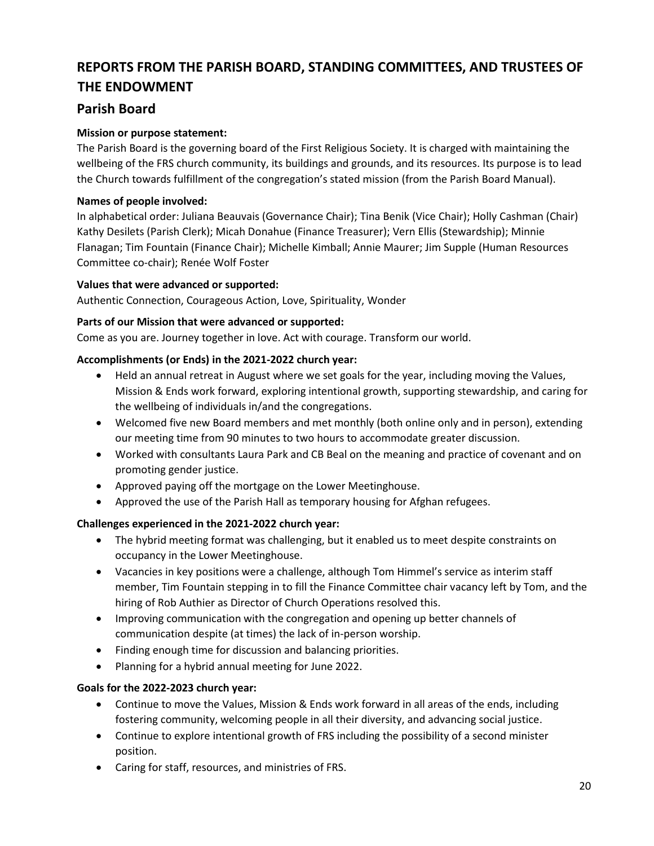# <span id="page-20-0"></span>**REPORTS FROM THE PARISH BOARD, STANDING COMMITTEES, AND TRUSTEES OF THE ENDOWMENT**

# <span id="page-20-1"></span>**Parish Board**

# **Mission or purpose statement:**

The Parish Board is the governing board of the First Religious Society. It is charged with maintaining the wellbeing of the FRS church community, its buildings and grounds, and its resources. Its purpose is to lead the Church towards fulfillment of the congregation's stated mission (from the Parish Board Manual).

### **Names of people involved:**

In alphabetical order: Juliana Beauvais (Governance Chair); Tina Benik (Vice Chair); Holly Cashman (Chair) Kathy Desilets (Parish Clerk); Micah Donahue (Finance Treasurer); Vern Ellis (Stewardship); Minnie Flanagan; Tim Fountain (Finance Chair); Michelle Kimball; Annie Maurer; Jim Supple (Human Resources Committee co-chair); Renée Wolf Foster

### **Values that were advanced or supported:**

Authentic Connection, Courageous Action, Love, Spirituality, Wonder

### **Parts of our Mission that were advanced or supported:**

Come as you are. Journey together in love. Act with courage. Transform our world.

### **Accomplishments (or Ends) in the 2021-2022 church year:**

- Held an annual retreat in August where we set goals for the year, including moving the Values, Mission & Ends work forward, exploring intentional growth, supporting stewardship, and caring for the wellbeing of individuals in/and the congregations.
- Welcomed five new Board members and met monthly (both online only and in person), extending our meeting time from 90 minutes to two hours to accommodate greater discussion.
- Worked with consultants Laura Park and CB Beal on the meaning and practice of covenant and on promoting gender justice.
- Approved paying off the mortgage on the Lower Meetinghouse.
- Approved the use of the Parish Hall as temporary housing for Afghan refugees.

### **Challenges experienced in the 2021-2022 church year:**

- The hybrid meeting format was challenging, but it enabled us to meet despite constraints on occupancy in the Lower Meetinghouse.
- Vacancies in key positions were a challenge, although Tom Himmel's service as interim staff member, Tim Fountain stepping in to fill the Finance Committee chair vacancy left by Tom, and the hiring of Rob Authier as Director of Church Operations resolved this.
- Improving communication with the congregation and opening up better channels of communication despite (at times) the lack of in-person worship.
- Finding enough time for discussion and balancing priorities.
- Planning for a hybrid annual meeting for June 2022.

### **Goals for the 2022-2023 church year:**

- Continue to move the Values, Mission & Ends work forward in all areas of the ends, including fostering community, welcoming people in all their diversity, and advancing social justice.
- Continue to explore intentional growth of FRS including the possibility of a second minister position.
- Caring for staff, resources, and ministries of FRS.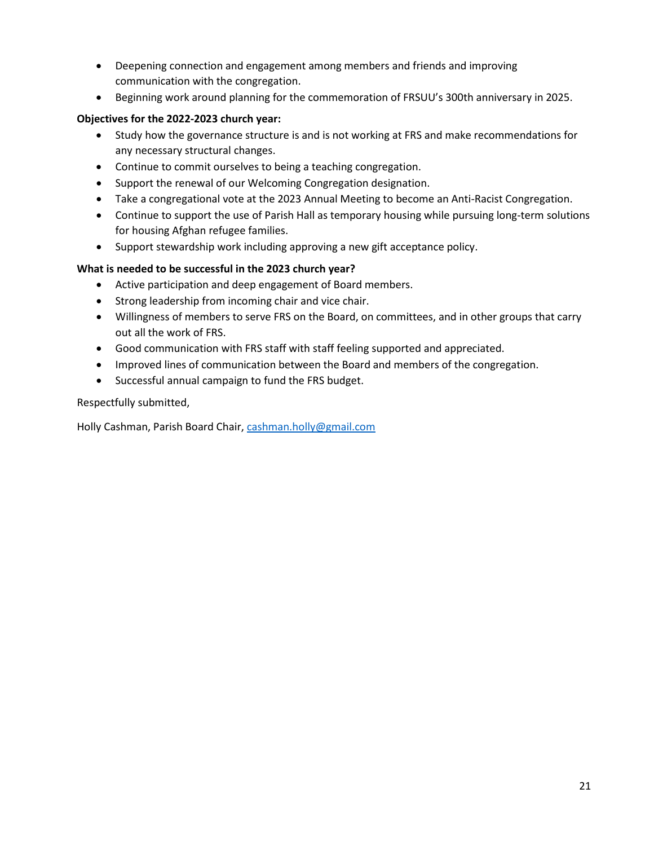- Deepening connection and engagement among members and friends and improving communication with the congregation.
- Beginning work around planning for the commemoration of FRSUU's 300th anniversary in 2025.

### **Objectives for the 2022-2023 church year:**

- Study how the governance structure is and is not working at FRS and make recommendations for any necessary structural changes.
- Continue to commit ourselves to being a teaching congregation.
- Support the renewal of our Welcoming Congregation designation.
- Take a congregational vote at the 2023 Annual Meeting to become an Anti-Racist Congregation.
- Continue to support the use of Parish Hall as temporary housing while pursuing long-term solutions for housing Afghan refugee families.
- Support stewardship work including approving a new gift acceptance policy.

### **What is needed to be successful in the 2023 church year?**

- Active participation and deep engagement of Board members.
- Strong leadership from incoming chair and vice chair.
- Willingness of members to serve FRS on the Board, on committees, and in other groups that carry out all the work of FRS.
- Good communication with FRS staff with staff feeling supported and appreciated.
- Improved lines of communication between the Board and members of the congregation.
- Successful annual campaign to fund the FRS budget.

Respectfully submitted,

Holly Cashman, Parish Board Chair, [cashman.holly@gmail.com](mailto:cashman.holly@gmail.com)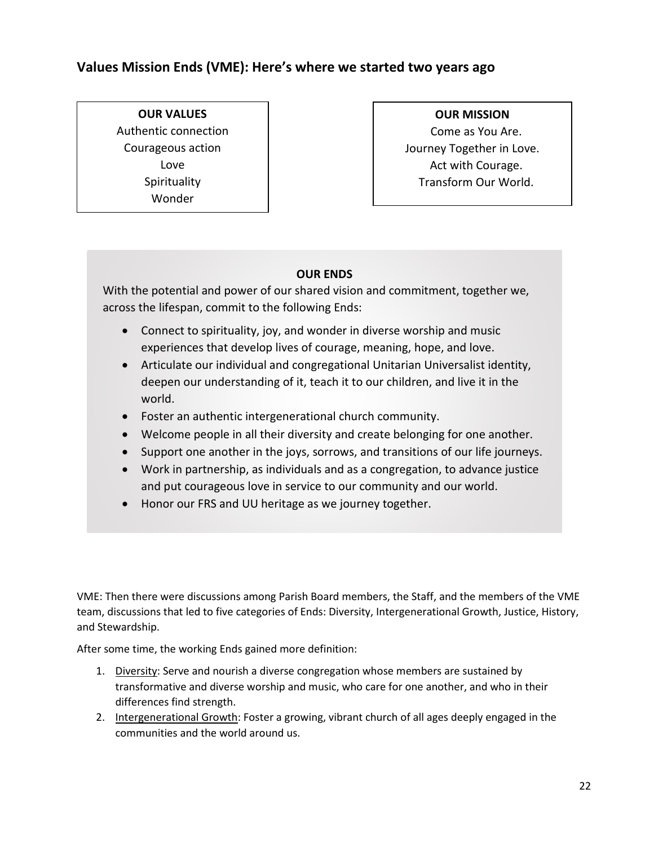# <span id="page-22-0"></span>**Values Mission Ends (VME): Here's where we started two years ago**

# **OUR VALUES** Authentic connection Courageous action Love Spirituality Wonder

### **OUR MISSION**

Come as You Are. Journey Together in Love. Act with Courage. Transform Our World.

# **OUR ENDS**

With the potential and power of our shared vision and commitment, together we, across the lifespan, commit to the following Ends:

- Connect to spirituality, joy, and wonder in diverse worship and music experiences that develop lives of courage, meaning, hope, and love.
- Articulate our individual and congregational Unitarian Universalist identity, deepen our understanding of it, teach it to our children, and live it in the world.
- Foster an authentic intergenerational church community.
- Welcome people in all their diversity and create belonging for one another.
- Support one another in the joys, sorrows, and transitions of our life journeys.
- Work in partnership, as individuals and as a congregation, to advance justice and put courageous love in service to our community and our world.
- Honor our FRS and UU heritage as we journey together.

VME: Then there were discussions among Parish Board members, the Staff, and the members of the VME team, discussions that led to five categories of Ends: Diversity, Intergenerational Growth, Justice, History, and Stewardship.

After some time, the working Ends gained more definition:

- 1. Diversity: Serve and nourish a diverse congregation whose members are sustained by transformative and diverse worship and music, who care for one another, and who in their differences find strength.
- 2. Intergenerational Growth: Foster a growing, vibrant church of all ages deeply engaged in the communities and the world around us.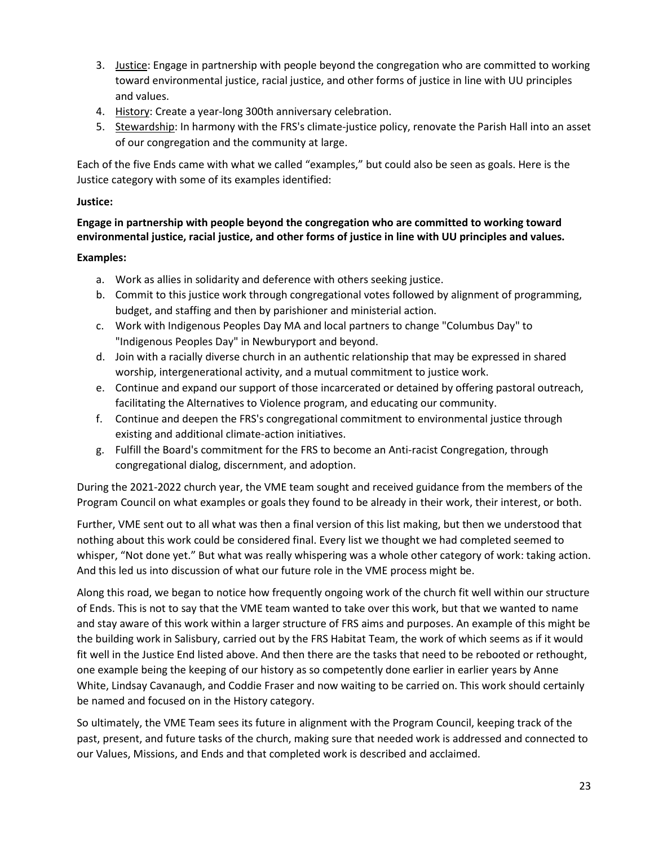- 3. Justice: Engage in partnership with people beyond the congregation who are committed to working toward environmental justice, racial justice, and other forms of justice in line with UU principles and values.
- 4. History: Create a year-long 300th anniversary celebration.
- 5. Stewardship: In harmony with the FRS's climate-justice policy, renovate the Parish Hall into an asset of our congregation and the community at large.

Each of the five Ends came with what we called "examples," but could also be seen as goals. Here is the Justice category with some of its examples identified:

### **Justice:**

**Engage in partnership with people beyond the congregation who are committed to working toward environmental justice, racial justice, and other forms of justice in line with UU principles and values.**

### **Examples:**

- a. Work as allies in solidarity and deference with others seeking justice.
- b. Commit to this justice work through congregational votes followed by alignment of programming, budget, and staffing and then by parishioner and ministerial action.
- c. Work with Indigenous Peoples Day MA and local partners to change "Columbus Day" to "Indigenous Peoples Day" in Newburyport and beyond.
- d. Join with a racially diverse church in an authentic relationship that may be expressed in shared worship, intergenerational activity, and a mutual commitment to justice work.
- e. Continue and expand our support of those incarcerated or detained by offering pastoral outreach, facilitating the Alternatives to Violence program, and educating our community.
- f. Continue and deepen the FRS's congregational commitment to environmental justice through existing and additional climate-action initiatives.
- g. Fulfill the Board's commitment for the FRS to become an Anti-racist Congregation, through congregational dialog, discernment, and adoption.

During the 2021-2022 church year, the VME team sought and received guidance from the members of the Program Council on what examples or goals they found to be already in their work, their interest, or both.

Further, VME sent out to all what was then a final version of this list making, but then we understood that nothing about this work could be considered final. Every list we thought we had completed seemed to whisper, "Not done yet." But what was really whispering was a whole other category of work: taking action. And this led us into discussion of what our future role in the VME process might be.

Along this road, we began to notice how frequently ongoing work of the church fit well within our structure of Ends. This is not to say that the VME team wanted to take over this work, but that we wanted to name and stay aware of this work within a larger structure of FRS aims and purposes. An example of this might be the building work in Salisbury, carried out by the FRS Habitat Team, the work of which seems as if it would fit well in the Justice End listed above. And then there are the tasks that need to be rebooted or rethought, one example being the keeping of our history as so competently done earlier in earlier years by Anne White, Lindsay Cavanaugh, and Coddie Fraser and now waiting to be carried on. This work should certainly be named and focused on in the History category.

So ultimately, the VME Team sees its future in alignment with the Program Council, keeping track of the past, present, and future tasks of the church, making sure that needed work is addressed and connected to our Values, Missions, and Ends and that completed work is described and acclaimed.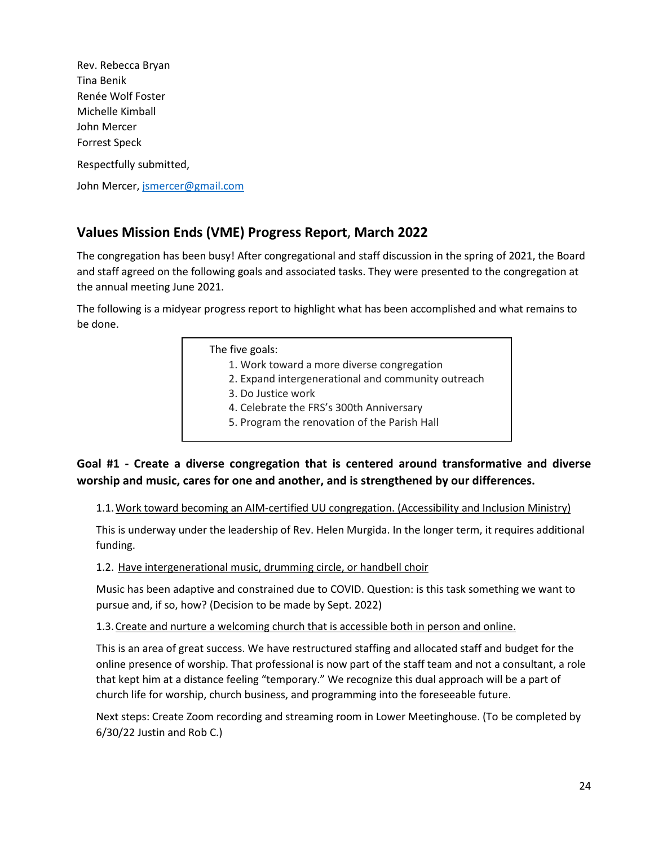Rev. Rebecca Bryan Tina Benik Renée Wolf Foster Michelle Kimball John Mercer Forrest Speck Respectfully submitted, John Mercer, [jsmercer@gmail.com](mailto:jsmercer@gmail.com)

# <span id="page-24-0"></span>**Values Mission Ends (VME) Progress Report**, **March 2022**

The congregation has been busy! After congregational and staff discussion in the spring of 2021, the Board and staff agreed on the following goals and associated tasks. They were presented to the congregation at the annual meeting June 2021.

The following is a midyear progress report to highlight what has been accomplished and what remains to be done.

> The five goals: 1. Work toward a more diverse congregation

- 2. Expand intergenerational and community outreach
- 3. Do Justice work
- 4. Celebrate the FRS's 300th Anniversary
- 5. Program the renovation of the Parish Hall

# **Goal #1 - Create a diverse congregation that is centered around transformative and diverse worship and music, cares for one and another, and is strengthened by our differences.**

1.1.Work toward becoming an AIM-certified UU congregation. (Accessibility and Inclusion Ministry)

This is underway under the leadership of Rev. Helen Murgida. In the longer term, it requires additional funding.

1.2. Have intergenerational music, drumming circle, or handbell choir

Music has been adaptive and constrained due to COVID. Question: is this task something we want to pursue and, if so, how? (Decision to be made by Sept. 2022)

1.3.Create and nurture a welcoming church that is accessible both in person and online.

This is an area of great success. We have restructured staffing and allocated staff and budget for the online presence of worship. That professional is now part of the staff team and not a consultant, a role that kept him at a distance feeling "temporary." We recognize this dual approach will be a part of church life for worship, church business, and programming into the foreseeable future.

Next steps: Create Zoom recording and streaming room in Lower Meetinghouse. (To be completed by 6/30/22 Justin and Rob C.)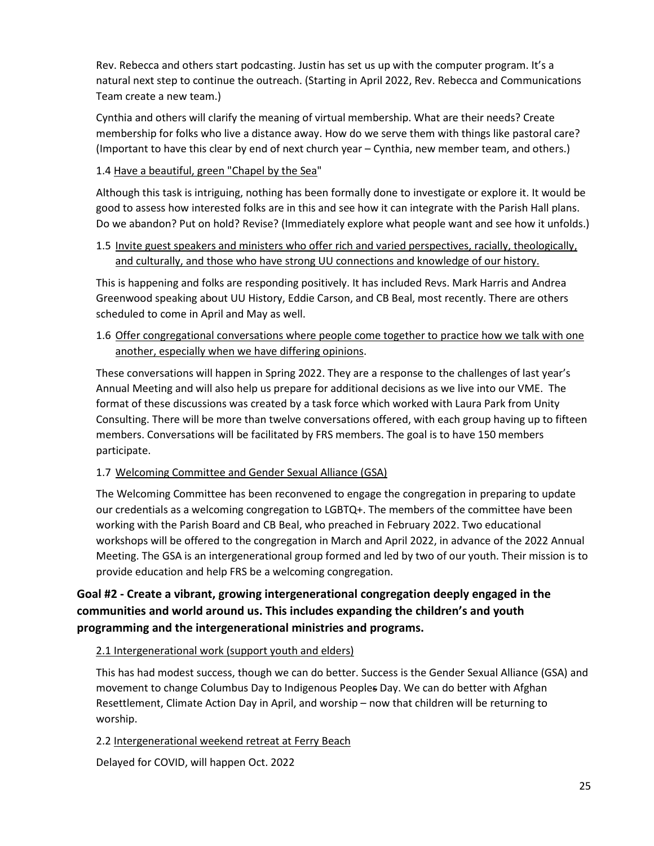Rev. Rebecca and others start podcasting. Justin has set us up with the computer program. It's a natural next step to continue the outreach. (Starting in April 2022, Rev. Rebecca and Communications Team create a new team.)

Cynthia and others will clarify the meaning of virtual membership. What are their needs? Create membership for folks who live a distance away. How do we serve them with things like pastoral care? (Important to have this clear by end of next church year – Cynthia, new member team, and others.)

1.4 Have a beautiful, green "Chapel by the Sea"

Although this task is intriguing, nothing has been formally done to investigate or explore it. It would be good to assess how interested folks are in this and see how it can integrate with the Parish Hall plans. Do we abandon? Put on hold? Revise? (Immediately explore what people want and see how it unfolds.)

1.5 Invite guest speakers and ministers who offer rich and varied perspectives, racially, theologically, and culturally, and those who have strong UU connections and knowledge of our history.

This is happening and folks are responding positively. It has included Revs. Mark Harris and Andrea Greenwood speaking about UU History, Eddie Carson, and CB Beal, most recently. There are others scheduled to come in April and May as well.

1.6 Offer congregational conversations where people come together to practice how we talk with one another, especially when we have differing opinions.

These conversations will happen in Spring 2022. They are a response to the challenges of last year's Annual Meeting and will also help us prepare for additional decisions as we live into our VME. The format of these discussions was created by a task force which worked with Laura Park from Unity Consulting. There will be more than twelve conversations offered, with each group having up to fifteen members. Conversations will be facilitated by FRS members. The goal is to have 150 members participate.

# 1.7 Welcoming Committee and Gender Sexual Alliance (GSA)

The Welcoming Committee has been reconvened to engage the congregation in preparing to update our credentials as a welcoming congregation to LGBTQ+. The members of the committee have been working with the Parish Board and CB Beal, who preached in February 2022. Two educational workshops will be offered to the congregation in March and April 2022, in advance of the 2022 Annual Meeting. The GSA is an intergenerational group formed and led by two of our youth. Their mission is to provide education and help FRS be a welcoming congregation.

# **Goal #2 - Create a vibrant, growing intergenerational congregation deeply engaged in the communities and world around us. This includes expanding the children's and youth programming and the intergenerational ministries and programs.**

2.1 Intergenerational work (support youth and elders)

This has had modest success, though we can do better. Success is the Gender Sexual Alliance (GSA) and movement to change Columbus Day to Indigenous Peoples Day. We can do better with Afghan Resettlement, Climate Action Day in April, and worship – now that children will be returning to worship.

2.2 Intergenerational weekend retreat at Ferry Beach

Delayed for COVID, will happen Oct. 2022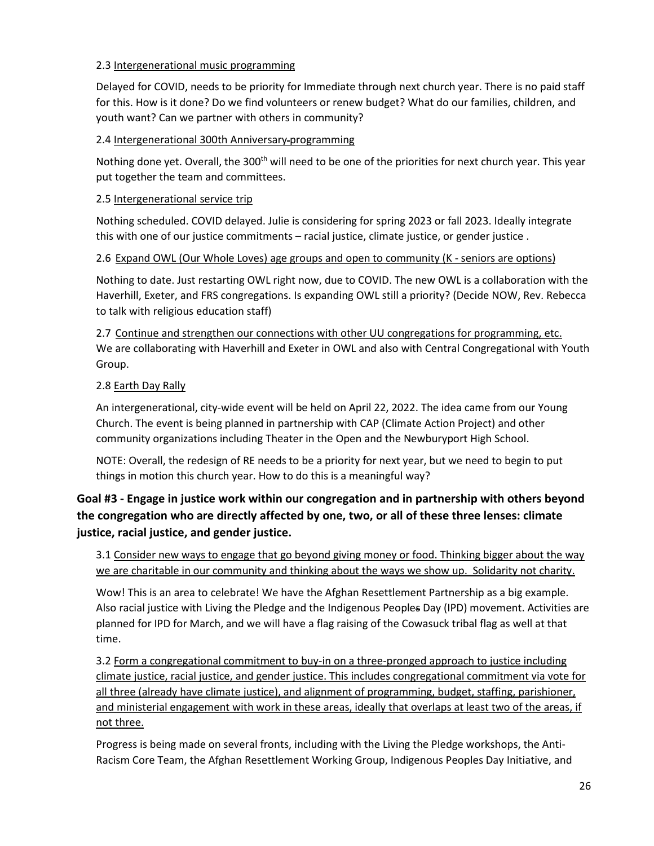### 2.3 Intergenerational music programming

Delayed for COVID, needs to be priority for Immediate through next church year. There is no paid staff for this. How is it done? Do we find volunteers or renew budget? What do our families, children, and youth want? Can we partner with others in community?

### 2.4 Intergenerational 300th Anniversary programming

Nothing done yet. Overall, the 300<sup>th</sup> will need to be one of the priorities for next church year. This year put together the team and committees.

### 2.5 Intergenerational service trip

Nothing scheduled. COVID delayed. Julie is considering for spring 2023 or fall 2023. Ideally integrate this with one of our justice commitments – racial justice, climate justice, or gender justice .

### 2.6 Expand OWL (Our Whole Loves) age groups and open to community (K - seniors are options)

Nothing to date. Just restarting OWL right now, due to COVID. The new OWL is a collaboration with the Haverhill, Exeter, and FRS congregations. Is expanding OWL still a priority? (Decide NOW, Rev. Rebecca to talk with religious education staff)

2.7 Continue and strengthen our connections with other UU congregations for programming, etc. We are collaborating with Haverhill and Exeter in OWL and also with Central Congregational with Youth Group.

### 2.8 Earth Day Rally

An intergenerational, city-wide event will be held on April 22, 2022. The idea came from our Young Church. The event is being planned in partnership with CAP (Climate Action Project) and other community organizations including Theater in the Open and the Newburyport High School.

NOTE: Overall, the redesign of RE needs to be a priority for next year, but we need to begin to put things in motion this church year. How to do this is a meaningful way?

# **Goal #3 - Engage in justice work within our congregation and in partnership with others beyond the congregation who are directly affected by one, two, or all of these three lenses: climate justice, racial justice, and gender justice.**

3.1 Consider new ways to engage that go beyond giving money or food. Thinking bigger about the way we are charitable in our community and thinking about the ways we show up. Solidarity not charity.

Wow! This is an area to celebrate! We have the Afghan Resettlement Partnership as a big example. Also racial justice with Living the Pledge and the Indigenous Peoples Day (IPD) movement. Activities are planned for IPD for March, and we will have a flag raising of the Cowasuck tribal flag as well at that time.

3.2 Form a congregational commitment to buy-in on a three-pronged approach to justice including climate justice, racial justice, and gender justice. This includes congregational commitment via vote for all three (already have climate justice), and alignment of programming, budget, staffing, parishioner, and ministerial engagement with work in these areas, ideally that overlaps at least two of the areas, if not three.

Progress is being made on several fronts, including with the Living the Pledge workshops, the Anti-Racism Core Team, the Afghan Resettlement Working Group, Indigenous Peoples Day Initiative, and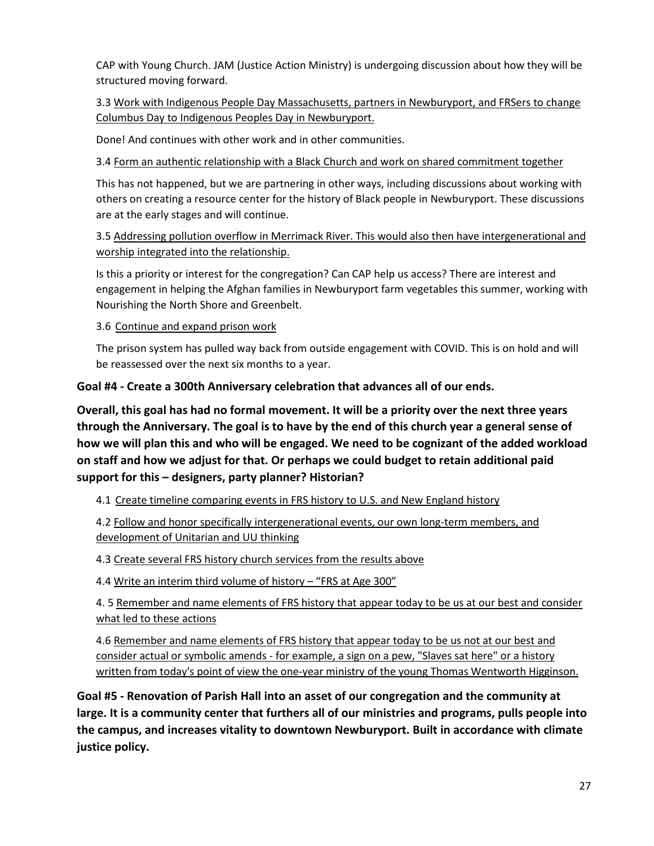CAP with Young Church. JAM (Justice Action Ministry) is undergoing discussion about how they will be structured moving forward.

3.3 Work with Indigenous People Day Massachusetts, partners in Newburyport, and FRSers to change Columbus Day to Indigenous Peoples Day in Newburyport.

Done! And continues with other work and in other communities.

3.4 Form an authentic relationship with a Black Church and work on shared commitment together

This has not happened, but we are partnering in other ways, including discussions about working with others on creating a resource center for the history of Black people in Newburyport. These discussions are at the early stages and will continue.

3.5 Addressing pollution overflow in Merrimack River. This would also then have intergenerational and worship integrated into the relationship.

Is this a priority or interest for the congregation? Can CAP help us access? There are interest and engagement in helping the Afghan families in Newburyport farm vegetables this summer, working with Nourishing the North Shore and Greenbelt.

3.6 Continue and expand prison work

The prison system has pulled way back from outside engagement with COVID. This is on hold and will be reassessed over the next six months to a year.

**Goal #4 - Create a 300th Anniversary celebration that advances all of our ends.**

**Overall, this goal has had no formal movement. It will be a priority over the next three years through the Anniversary. The goal is to have by the end of this church year a general sense of how we will plan this and who will be engaged. We need to be cognizant of the added workload on staff and how we adjust for that. Or perhaps we could budget to retain additional paid support for this – designers, party planner? Historian?** 

4.1 Create timeline comparing events in FRS history to U.S. and New England history

4.2 Follow and honor specifically intergenerational events, our own long-term members, and development of Unitarian and UU thinking

4.3 Create several FRS history church services from the results above

4.4 Write an interim third volume of history - "FRS at Age 300"

4. 5 Remember and name elements of FRS history that appear today to be us at our best and consider what led to these actions

4.6 Remember and name elements of FRS history that appear today to be us not at our best and consider actual or symbolic amends - for example, a sign on a pew, "Slaves sat here" or a history written from today's point of view the one-year ministry of the young Thomas Wentworth Higginson.

**Goal #5 - Renovation of Parish Hall into an asset of our congregation and the community at large. It is a community center that furthers all of our ministries and programs, pulls people into the campus, and increases vitality to downtown Newburyport. Built in accordance with climate justice policy.**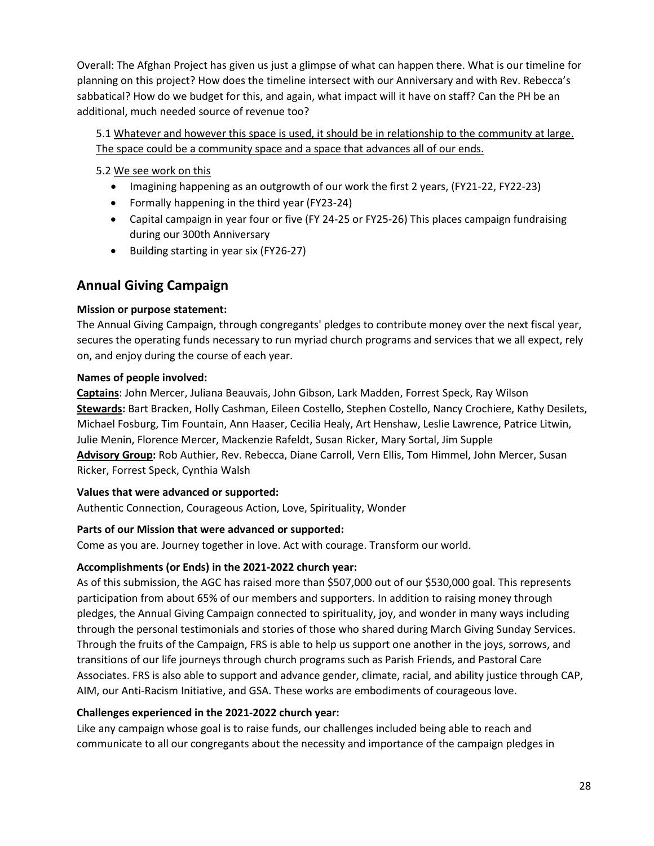Overall: The Afghan Project has given us just a glimpse of what can happen there. What is our timeline for planning on this project? How does the timeline intersect with our Anniversary and with Rev. Rebecca's sabbatical? How do we budget for this, and again, what impact will it have on staff? Can the PH be an additional, much needed source of revenue too?

5.1 Whatever and however this space is used, it should be in relationship to the community at large. The space could be a community space and a space that advances all of our ends.

5.2 We see work on this

- Imagining happening as an outgrowth of our work the first 2 years, (FY21-22, FY22-23)
- Formally happening in the third year (FY23-24)
- Capital campaign in year four or five (FY 24-25 or FY25-26) This places campaign fundraising during our 300th Anniversary
- Building starting in year six (FY26-27)

# <span id="page-28-0"></span>**Annual Giving Campaign**

# **Mission or purpose statement:**

The Annual Giving Campaign, through congregants' pledges to contribute money over the next fiscal year, secures the operating funds necessary to run myriad church programs and services that we all expect, rely on, and enjoy during the course of each year.

### **Names of people involved:**

**Captains**: John Mercer, Juliana Beauvais, John Gibson, Lark Madden, Forrest Speck, Ray Wilson **Stewards:** Bart Bracken, Holly Cashman, Eileen Costello, Stephen Costello, Nancy Crochiere, Kathy Desilets, Michael Fosburg, Tim Fountain, Ann Haaser, Cecilia Healy, Art Henshaw, Leslie Lawrence, Patrice Litwin, Julie Menin, Florence Mercer, Mackenzie Rafeldt, Susan Ricker, Mary Sortal, Jim Supple **Advisory Group:** Rob Authier, Rev. Rebecca, Diane Carroll, Vern Ellis, Tom Himmel, John Mercer, Susan Ricker, Forrest Speck, Cynthia Walsh

### **Values that were advanced or supported:**

Authentic Connection, Courageous Action, Love, Spirituality, Wonder

### **Parts of our Mission that were advanced or supported:**

Come as you are. Journey together in love. Act with courage. Transform our world.

### **Accomplishments (or Ends) in the 2021-2022 church year:**

As of this submission, the AGC has raised more than \$507,000 out of our \$530,000 goal. This represents participation from about 65% of our members and supporters. In addition to raising money through pledges, the Annual Giving Campaign connected to spirituality, joy, and wonder in many ways including through the personal testimonials and stories of those who shared during March Giving Sunday Services. Through the fruits of the Campaign, FRS is able to help us support one another in the joys, sorrows, and transitions of our life journeys through church programs such as Parish Friends, and Pastoral Care Associates. FRS is also able to support and advance gender, climate, racial, and ability justice through CAP, AIM, our Anti-Racism Initiative, and GSA. These works are embodiments of courageous love.

### **Challenges experienced in the 2021-2022 church year:**

Like any campaign whose goal is to raise funds, our challenges included being able to reach and communicate to all our congregants about the necessity and importance of the campaign pledges in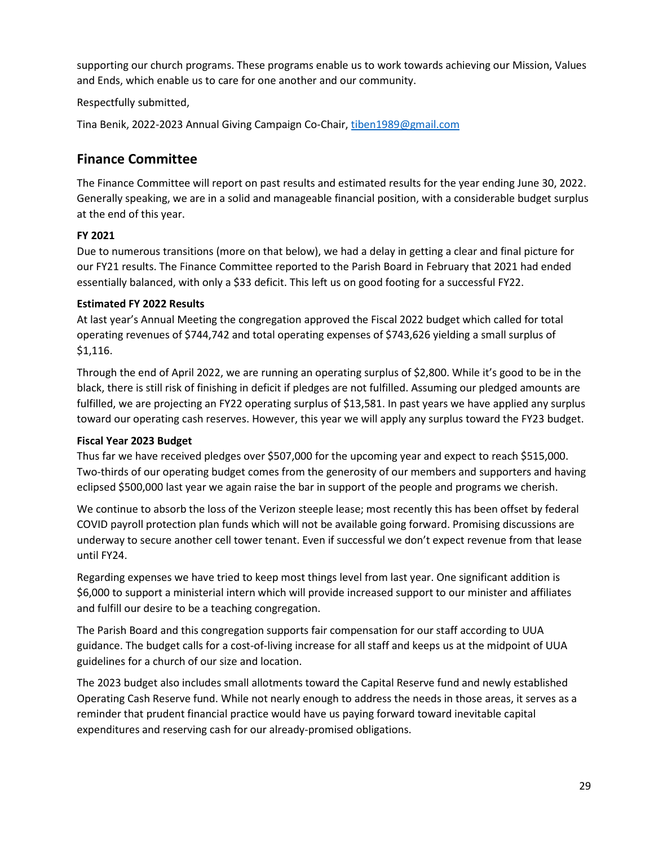supporting our church programs. These programs enable us to work towards achieving our Mission, Values and Ends, which enable us to care for one another and our community.

### Respectfully submitted,

<span id="page-29-0"></span>Tina Benik, 2022-2023 Annual Giving Campaign Co-Chair[, tiben1989@gmail.com](mailto:tiben1989@gmail.com)

# **Finance Committee**

The Finance Committee will report on past results and estimated results for the year ending June 30, 2022. Generally speaking, we are in a solid and manageable financial position, with a considerable budget surplus at the end of this year.

# **FY 2021**

Due to numerous transitions (more on that below), we had a delay in getting a clear and final picture for our FY21 results. The Finance Committee reported to the Parish Board in February that 2021 had ended essentially balanced, with only a \$33 deficit. This left us on good footing for a successful FY22.

# **Estimated FY 2022 Results**

At last year's Annual Meeting the congregation approved the Fiscal 2022 budget which called for total operating revenues of \$744,742 and total operating expenses of \$743,626 yielding a small surplus of \$1,116.

Through the end of April 2022, we are running an operating surplus of \$2,800. While it's good to be in the black, there is still risk of finishing in deficit if pledges are not fulfilled. Assuming our pledged amounts are fulfilled, we are projecting an FY22 operating surplus of \$13,581. In past years we have applied any surplus toward our operating cash reserves. However, this year we will apply any surplus toward the FY23 budget.

# **Fiscal Year 2023 Budget**

Thus far we have received pledges over \$507,000 for the upcoming year and expect to reach \$515,000. Two-thirds of our operating budget comes from the generosity of our members and supporters and having eclipsed \$500,000 last year we again raise the bar in support of the people and programs we cherish.

We continue to absorb the loss of the Verizon steeple lease; most recently this has been offset by federal COVID payroll protection plan funds which will not be available going forward. Promising discussions are underway to secure another cell tower tenant. Even if successful we don't expect revenue from that lease until FY24.

Regarding expenses we have tried to keep most things level from last year. One significant addition is \$6,000 to support a ministerial intern which will provide increased support to our minister and affiliates and fulfill our desire to be a teaching congregation.

The Parish Board and this congregation supports fair compensation for our staff according to UUA guidance. The budget calls for a cost-of-living increase for all staff and keeps us at the midpoint of UUA guidelines for a church of our size and location.

The 2023 budget also includes small allotments toward the Capital Reserve fund and newly established Operating Cash Reserve fund. While not nearly enough to address the needs in those areas, it serves as a reminder that prudent financial practice would have us paying forward toward inevitable capital expenditures and reserving cash for our already-promised obligations.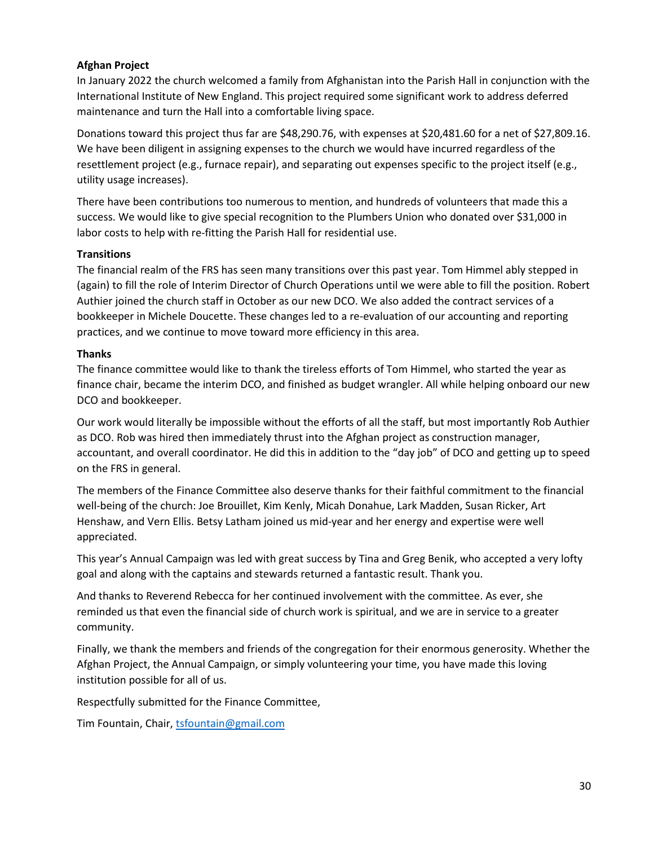### **Afghan Project**

In January 2022 the church welcomed a family from Afghanistan into the Parish Hall in conjunction with the International Institute of New England. This project required some significant work to address deferred maintenance and turn the Hall into a comfortable living space.

Donations toward this project thus far are \$48,290.76, with expenses at \$20,481.60 for a net of \$27,809.16. We have been diligent in assigning expenses to the church we would have incurred regardless of the resettlement project (e.g., furnace repair), and separating out expenses specific to the project itself (e.g., utility usage increases).

There have been contributions too numerous to mention, and hundreds of volunteers that made this a success. We would like to give special recognition to the Plumbers Union who donated over \$31,000 in labor costs to help with re-fitting the Parish Hall for residential use.

### **Transitions**

The financial realm of the FRS has seen many transitions over this past year. Tom Himmel ably stepped in (again) to fill the role of Interim Director of Church Operations until we were able to fill the position. Robert Authier joined the church staff in October as our new DCO. We also added the contract services of a bookkeeper in Michele Doucette. These changes led to a re-evaluation of our accounting and reporting practices, and we continue to move toward more efficiency in this area.

### **Thanks**

The finance committee would like to thank the tireless efforts of Tom Himmel, who started the year as finance chair, became the interim DCO, and finished as budget wrangler. All while helping onboard our new DCO and bookkeeper.

Our work would literally be impossible without the efforts of all the staff, but most importantly Rob Authier as DCO. Rob was hired then immediately thrust into the Afghan project as construction manager, accountant, and overall coordinator. He did this in addition to the "day job" of DCO and getting up to speed on the FRS in general.

The members of the Finance Committee also deserve thanks for their faithful commitment to the financial well-being of the church: Joe Brouillet, Kim Kenly, Micah Donahue, Lark Madden, Susan Ricker, Art Henshaw, and Vern Ellis. Betsy Latham joined us mid-year and her energy and expertise were well appreciated.

This year's Annual Campaign was led with great success by Tina and Greg Benik, who accepted a very lofty goal and along with the captains and stewards returned a fantastic result. Thank you.

And thanks to Reverend Rebecca for her continued involvement with the committee. As ever, she reminded us that even the financial side of church work is spiritual, and we are in service to a greater community.

Finally, we thank the members and friends of the congregation for their enormous generosity. Whether the Afghan Project, the Annual Campaign, or simply volunteering your time, you have made this loving institution possible for all of us.

Respectfully submitted for the Finance Committee,

Tim Fountain, Chair[, tsfountain@gmail.com](mailto:tsfountain@gmail.com)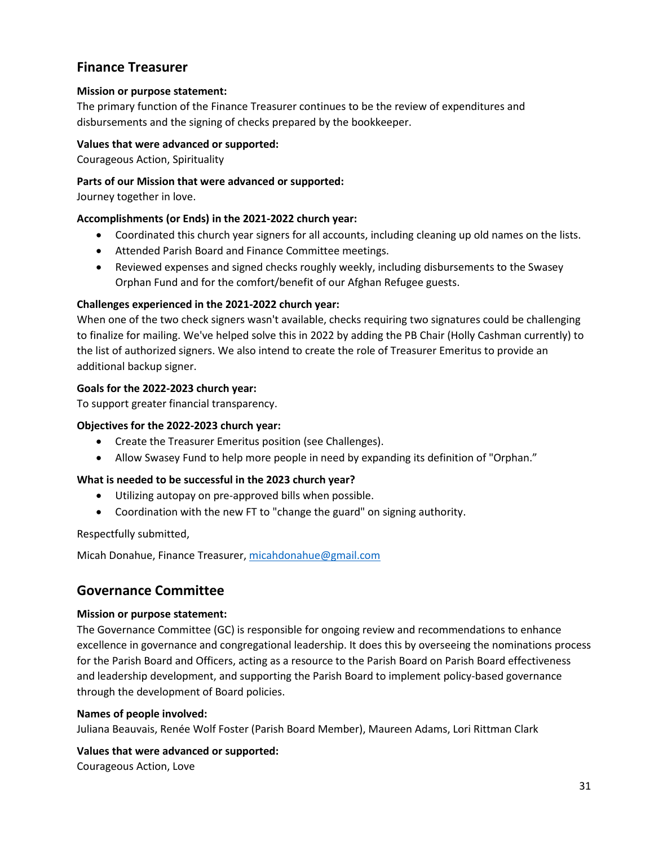# <span id="page-31-0"></span>**Finance Treasurer**

### **Mission or purpose statement:**

The primary function of the Finance Treasurer continues to be the review of expenditures and disbursements and the signing of checks prepared by the bookkeeper.

### **Values that were advanced or supported:**

Courageous Action, Spirituality

### **Parts of our Mission that were advanced or supported:**

Journey together in love.

### **Accomplishments (or Ends) in the 2021-2022 church year:**

- Coordinated this church year signers for all accounts, including cleaning up old names on the lists.
- Attended Parish Board and Finance Committee meetings.
- Reviewed expenses and signed checks roughly weekly, including disbursements to the Swasey Orphan Fund and for the comfort/benefit of our Afghan Refugee guests.

### **Challenges experienced in the 2021-2022 church year:**

When one of the two check signers wasn't available, checks requiring two signatures could be challenging to finalize for mailing. We've helped solve this in 2022 by adding the PB Chair (Holly Cashman currently) to the list of authorized signers. We also intend to create the role of Treasurer Emeritus to provide an additional backup signer.

### **Goals for the 2022-2023 church year:**

To support greater financial transparency.

### **Objectives for the 2022-2023 church year:**

- Create the Treasurer Emeritus position (see Challenges).
- Allow Swasey Fund to help more people in need by expanding its definition of "Orphan."

### **What is needed to be successful in the 2023 church year?**

- Utilizing autopay on pre-approved bills when possible.
- Coordination with the new FT to "change the guard" on signing authority.

### Respectfully submitted,

Micah Donahue, Finance Treasurer, [micahdonahue@gmail.com](mailto:micahdonahue@gmail.com)

# <span id="page-31-1"></span>**Governance Committee**

### **Mission or purpose statement:**

The Governance Committee (GC) is responsible for ongoing review and recommendations to enhance excellence in governance and congregational leadership. It does this by overseeing the nominations process for the Parish Board and Officers, acting as a resource to the Parish Board on Parish Board effectiveness and leadership development, and supporting the Parish Board to implement policy-based governance through the development of Board policies.

### **Names of people involved:**

Juliana Beauvais, Renée Wolf Foster (Parish Board Member), Maureen Adams, Lori Rittman Clark

# **Values that were advanced or supported:**

Courageous Action, Love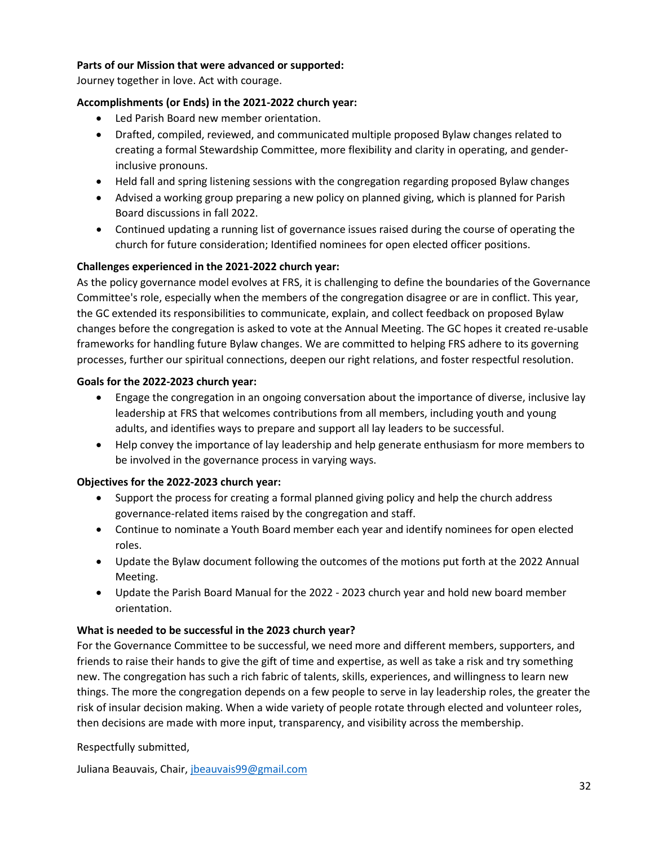### **Parts of our Mission that were advanced or supported:**

Journey together in love. Act with courage.

### **Accomplishments (or Ends) in the 2021-2022 church year:**

- Led Parish Board new member orientation.
- Drafted, compiled, reviewed, and communicated multiple proposed Bylaw changes related to creating a formal Stewardship Committee, more flexibility and clarity in operating, and genderinclusive pronouns.
- Held fall and spring listening sessions with the congregation regarding proposed Bylaw changes
- Advised a working group preparing a new policy on planned giving, which is planned for Parish Board discussions in fall 2022.
- Continued updating a running list of governance issues raised during the course of operating the church for future consideration; Identified nominees for open elected officer positions.

### **Challenges experienced in the 2021-2022 church year:**

As the policy governance model evolves at FRS, it is challenging to define the boundaries of the Governance Committee's role, especially when the members of the congregation disagree or are in conflict. This year, the GC extended its responsibilities to communicate, explain, and collect feedback on proposed Bylaw changes before the congregation is asked to vote at the Annual Meeting. The GC hopes it created re-usable frameworks for handling future Bylaw changes. We are committed to helping FRS adhere to its governing processes, further our spiritual connections, deepen our right relations, and foster respectful resolution.

### **Goals for the 2022-2023 church year:**

- Engage the congregation in an ongoing conversation about the importance of diverse, inclusive lay leadership at FRS that welcomes contributions from all members, including youth and young adults, and identifies ways to prepare and support all lay leaders to be successful.
- Help convey the importance of lay leadership and help generate enthusiasm for more members to be involved in the governance process in varying ways.

### **Objectives for the 2022-2023 church year:**

- Support the process for creating a formal planned giving policy and help the church address governance-related items raised by the congregation and staff.
- Continue to nominate a Youth Board member each year and identify nominees for open elected roles.
- Update the Bylaw document following the outcomes of the motions put forth at the 2022 Annual Meeting.
- Update the Parish Board Manual for the 2022 2023 church year and hold new board member orientation.

### **What is needed to be successful in the 2023 church year?**

For the Governance Committee to be successful, we need more and different members, supporters, and friends to raise their hands to give the gift of time and expertise, as well as take a risk and try something new. The congregation has such a rich fabric of talents, skills, experiences, and willingness to learn new things. The more the congregation depends on a few people to serve in lay leadership roles, the greater the risk of insular decision making. When a wide variety of people rotate through elected and volunteer roles, then decisions are made with more input, transparency, and visibility across the membership.

### Respectfully submitted,

Juliana Beauvais, Chair[, jbeauvais99@gmail.com](mailto:jbeauvais99@gmail.com)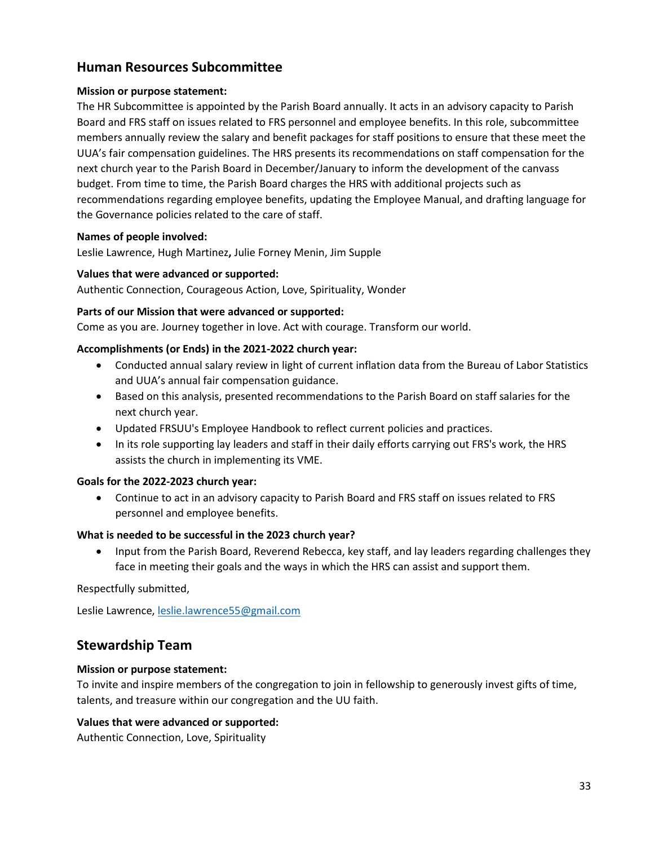# <span id="page-33-0"></span>**Human Resources Subcommittee**

### **Mission or purpose statement:**

The HR Subcommittee is appointed by the Parish Board annually. It acts in an advisory capacity to Parish Board and FRS staff on issues related to FRS personnel and employee benefits. In this role, subcommittee members annually review the salary and benefit packages for staff positions to ensure that these meet the UUA's fair compensation guidelines. The HRS presents its recommendations on staff compensation for the next church year to the Parish Board in December/January to inform the development of the canvass budget. From time to time, the Parish Board charges the HRS with additional projects such as recommendations regarding employee benefits, updating the Employee Manual, and drafting language for the Governance policies related to the care of staff.

### **Names of people involved:**

Leslie Lawrence, Hugh Martinez**,** Julie Forney Menin, Jim Supple

### **Values that were advanced or supported:**

Authentic Connection, Courageous Action, Love, Spirituality, Wonder

### **Parts of our Mission that were advanced or supported:**

Come as you are. Journey together in love. Act with courage. Transform our world.

### **Accomplishments (or Ends) in the 2021-2022 church year:**

- Conducted annual salary review in light of current inflation data from the Bureau of Labor Statistics and UUA's annual fair compensation guidance.
- Based on this analysis, presented recommendations to the Parish Board on staff salaries for the next church year.
- Updated FRSUU's Employee Handbook to reflect current policies and practices.
- In its role supporting lay leaders and staff in their daily efforts carrying out FRS's work, the HRS assists the church in implementing its VME.

### **Goals for the 2022-2023 church year:**

• Continue to act in an advisory capacity to Parish Board and FRS staff on issues related to FRS personnel and employee benefits.

### **What is needed to be successful in the 2023 church year?**

• Input from the Parish Board, Reverend Rebecca, key staff, and lay leaders regarding challenges they face in meeting their goals and the ways in which the HRS can assist and support them.

Respectfully submitted,

<span id="page-33-1"></span>Leslie Lawrence[, leslie.lawrence55@gmail.com](mailto:leslie.lawrence55@gmail.com)

# **Stewardship Team**

### **Mission or purpose statement:**

To invite and inspire members of the congregation to join in fellowship to generously invest gifts of time, talents, and treasure within our congregation and the UU faith.

### **Values that were advanced or supported:**

Authentic Connection, Love, Spirituality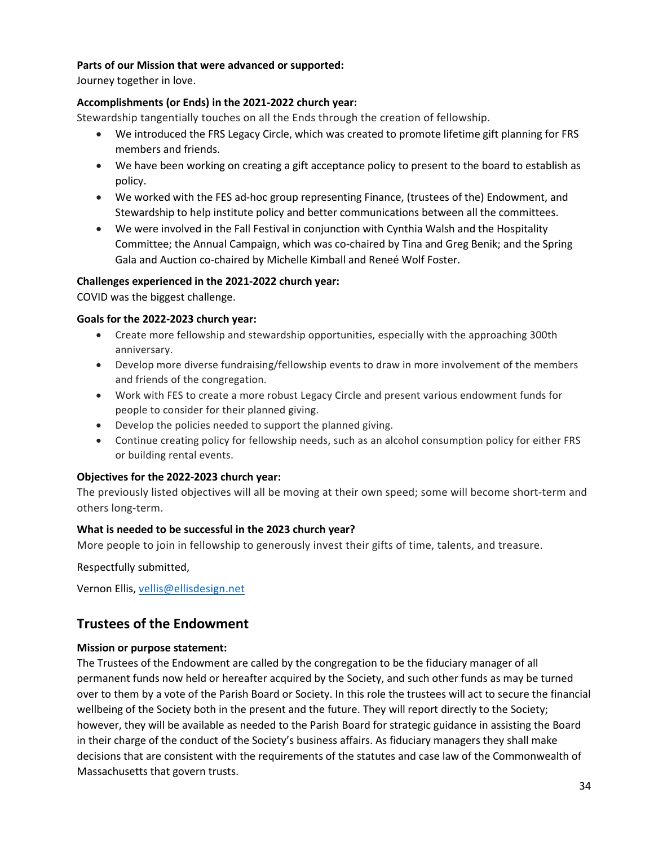### **Parts of our Mission that were advanced or supported:**

Journey together in love.

### **Accomplishments (or Ends) in the 2021-2022 church year:**

Stewardship tangentially touches on all the Ends through the creation of fellowship.

- We introduced the FRS Legacy Circle, which was created to promote lifetime gift planning for FRS members and friends.
- We have been working on creating a gift acceptance policy to present to the board to establish as policy.
- We worked with the FES ad-hoc group representing Finance, (trustees of the) Endowment, and Stewardship to help institute policy and better communications between all the committees.
- We were involved in the Fall Festival in conjunction with Cynthia Walsh and the Hospitality Committee; the Annual Campaign, which was co-chaired by Tina and Greg Benik; and the Spring Gala and Auction co-chaired by Michelle Kimball and Reneé Wolf Foster.

### **Challenges experienced in the 2021-2022 church year:**

COVID was the biggest challenge.

### **Goals for the 2022-2023 church year:**

- Create more fellowship and stewardship opportunities, especially with the approaching 300th anniversary.
- Develop more diverse fundraising/fellowship events to draw in more involvement of the members and friends of the congregation.
- Work with FES to create a more robust Legacy Circle and present various endowment funds for people to consider for their planned giving.
- Develop the policies needed to support the planned giving.
- Continue creating policy for fellowship needs, such as an alcohol consumption policy for either FRS or building rental events.

### **Objectives for the 2022-2023 church year:**

The previously listed objectives will all be moving at their own speed; some will become short-term and others long-term.

### **What is needed to be successful in the 2023 church year?**

More people to join in fellowship to generously invest their gifts of time, talents, and treasure.

Respectfully submitted,

Vernon Ellis, [vellis@ellisdesign.net](mailto:vellis@ellisdesign.net)

# <span id="page-34-0"></span>**Trustees of the Endowment**

### **Mission or purpose statement:**

The Trustees of the Endowment are called by the congregation to be the fiduciary manager of all permanent funds now held or hereafter acquired by the Society, and such other funds as may be turned over to them by a vote of the Parish Board or Society. In this role the trustees will act to secure the financial wellbeing of the Society both in the present and the future. They will report directly to the Society; however, they will be available as needed to the Parish Board for strategic guidance in assisting the Board in their charge of the conduct of the Society's business affairs. As fiduciary managers they shall make decisions that are consistent with the requirements of the statutes and case law of the Commonwealth of Massachusetts that govern trusts.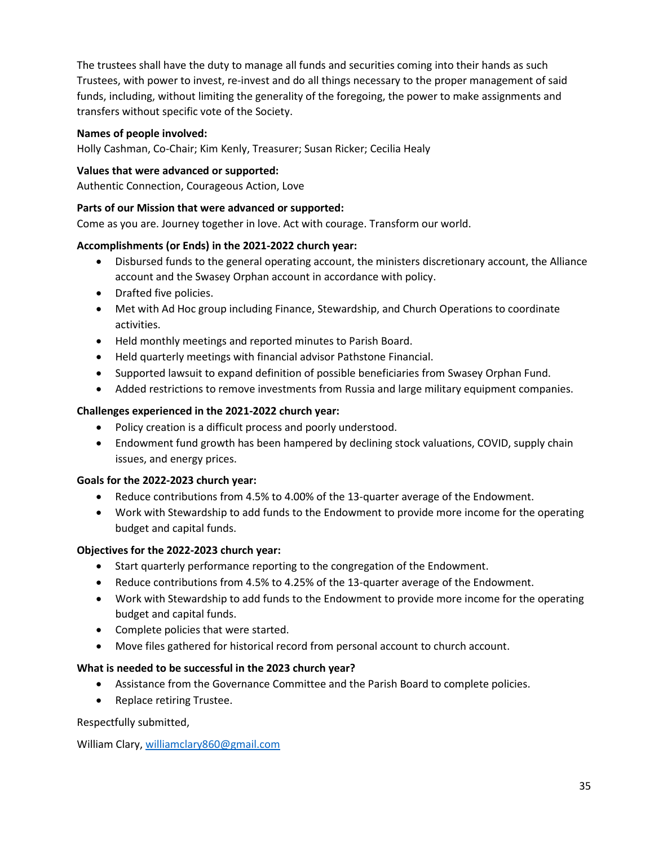The trustees shall have the duty to manage all funds and securities coming into their hands as such Trustees, with power to invest, re-invest and do all things necessary to the proper management of said funds, including, without limiting the generality of the foregoing, the power to make assignments and transfers without specific vote of the Society.

### **Names of people involved:**

Holly Cashman, Co-Chair; Kim Kenly, Treasurer; Susan Ricker; Cecilia Healy

### **Values that were advanced or supported:**

Authentic Connection, Courageous Action, Love

### **Parts of our Mission that were advanced or supported:**

Come as you are. Journey together in love. Act with courage. Transform our world.

### **Accomplishments (or Ends) in the 2021-2022 church year:**

- Disbursed funds to the general operating account, the ministers discretionary account, the Alliance account and the Swasey Orphan account in accordance with policy.
- Drafted five policies.
- Met with Ad Hoc group including Finance, Stewardship, and Church Operations to coordinate activities.
- Held monthly meetings and reported minutes to Parish Board.
- Held quarterly meetings with financial advisor Pathstone Financial.
- Supported lawsuit to expand definition of possible beneficiaries from Swasey Orphan Fund.
- Added restrictions to remove investments from Russia and large military equipment companies.

### **Challenges experienced in the 2021-2022 church year:**

- Policy creation is a difficult process and poorly understood.
- Endowment fund growth has been hampered by declining stock valuations, COVID, supply chain issues, and energy prices.

### **Goals for the 2022-2023 church year:**

- Reduce contributions from 4.5% to 4.00% of the 13-quarter average of the Endowment.
- Work with Stewardship to add funds to the Endowment to provide more income for the operating budget and capital funds.

### **Objectives for the 2022-2023 church year:**

- Start quarterly performance reporting to the congregation of the Endowment.
- Reduce contributions from 4.5% to 4.25% of the 13-quarter average of the Endowment.
- Work with Stewardship to add funds to the Endowment to provide more income for the operating budget and capital funds.
- Complete policies that were started.
- Move files gathered for historical record from personal account to church account.

### **What is needed to be successful in the 2023 church year?**

- Assistance from the Governance Committee and the Parish Board to complete policies.
- Replace retiring Trustee.

Respectfully submitted,

William Clary, [williamclary860@gmail.com](mailto:williamclary860@gmail.com)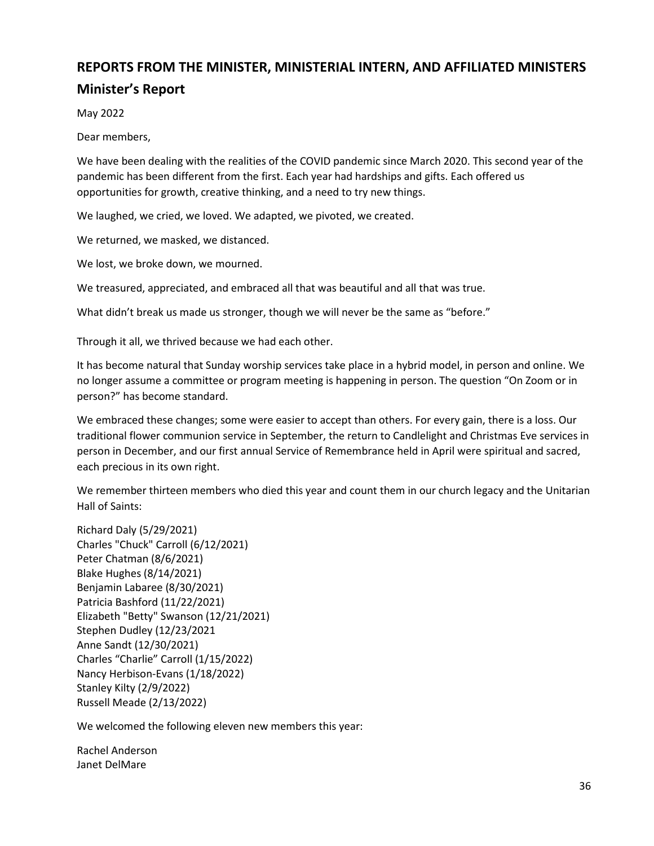# **REPORTS FROM THE MINISTER, MINISTERIAL INTERN, AND AFFILIATED MINISTERS Minister's Report**

May 2022

Dear members,

We have been dealing with the realities of the COVID pandemic since March 2020. This second year of the pandemic has been different from the first. Each year had hardships and gifts. Each offered us opportunities for growth, creative thinking, and a need to try new things.

We laughed, we cried, we loved. We adapted, we pivoted, we created.

We returned, we masked, we distanced.

We lost, we broke down, we mourned.

We treasured, appreciated, and embraced all that was beautiful and all that was true.

What didn't break us made us stronger, though we will never be the same as "before."

Through it all, we thrived because we had each other.

It has become natural that Sunday worship services take place in a hybrid model, in person and online. We no longer assume a committee or program meeting is happening in person. The question "On Zoom or in person?" has become standard.

We embraced these changes; some were easier to accept than others. For every gain, there is a loss. Our traditional flower communion service in September, the return to Candlelight and Christmas Eve services in person in December, and our first annual Service of Remembrance held in April were spiritual and sacred, each precious in its own right.

We remember thirteen members who died this year and count them in our church legacy and the Unitarian Hall of Saints:

Richard Daly (5/29/2021) Charles "Chuck" Carroll (6/12/2021) Peter Chatman (8/6/2021) Blake Hughes (8/14/2021) Benjamin Labaree (8/30/2021) Patricia Bashford (11/22/2021) Elizabeth "Betty" Swanson (12/21/2021) Stephen Dudley (12/23/2021 Anne Sandt (12/30/2021) Charles "Charlie" Carroll (1/15/2022) Nancy Herbison-Evans (1/18/2022) Stanley Kilty (2/9/2022) Russell Meade (2/13/2022)

We welcomed the following eleven new members this year:

Rachel Anderson Janet DelMare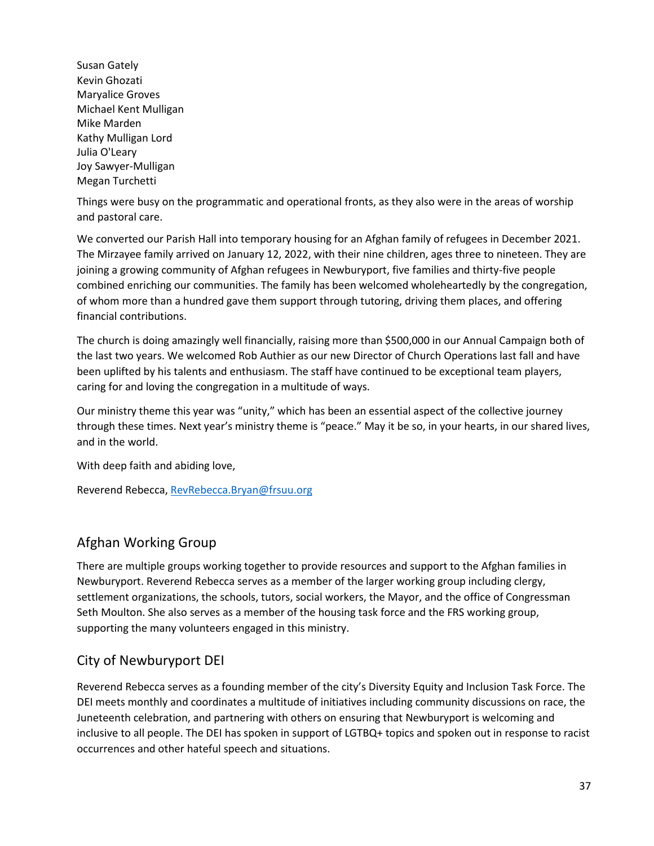Susan Gately Kevin Ghozati Maryalice Groves Michael Kent Mulligan Mike Marden Kathy Mulligan Lord Julia O'Leary Joy Sawyer-Mulligan Megan Turchetti

Things were busy on the programmatic and operational fronts, as they also were in the areas of worship and pastoral care.

We converted our Parish Hall into temporary housing for an Afghan family of refugees in December 2021. The Mirzayee family arrived on January 12, 2022, with their nine children, ages three to nineteen. They are joining a growing community of Afghan refugees in Newburyport, five families and thirty-five people combined enriching our communities. The family has been welcomed wholeheartedly by the congregation, of whom more than a hundred gave them support through tutoring, driving them places, and offering financial contributions.

The church is doing amazingly well financially, raising more than \$500,000 in our Annual Campaign both of the last two years. We welcomed Rob Authier as our new Director of Church Operations last fall and have been uplifted by his talents and enthusiasm. The staff have continued to be exceptional team players, caring for and loving the congregation in a multitude of ways.

Our ministry theme this year was "unity," which has been an essential aspect of the collective journey through these times. Next year's ministry theme is "peace." May it be so, in your hearts, in our shared lives, and in the world.

With deep faith and abiding love,

Reverend Rebecca[, RevRebecca.Bryan@frsuu.org](mailto:RevRebecca.Bryan@frsuu.org)

# Afghan Working Group

There are multiple groups working together to provide resources and support to the Afghan families in Newburyport. Reverend Rebecca serves as a member of the larger working group including clergy, settlement organizations, the schools, tutors, social workers, the Mayor, and the office of Congressman Seth Moulton. She also serves as a member of the housing task force and the FRS working group, supporting the many volunteers engaged in this ministry.

# City of Newburyport DEI

Reverend Rebecca serves as a founding member of the city's Diversity Equity and Inclusion Task Force. The DEI meets monthly and coordinates a multitude of initiatives including community discussions on race, the Juneteenth celebration, and partnering with others on ensuring that Newburyport is welcoming and inclusive to all people. The DEI has spoken in support of LGTBQ+ topics and spoken out in response to racist occurrences and other hateful speech and situations.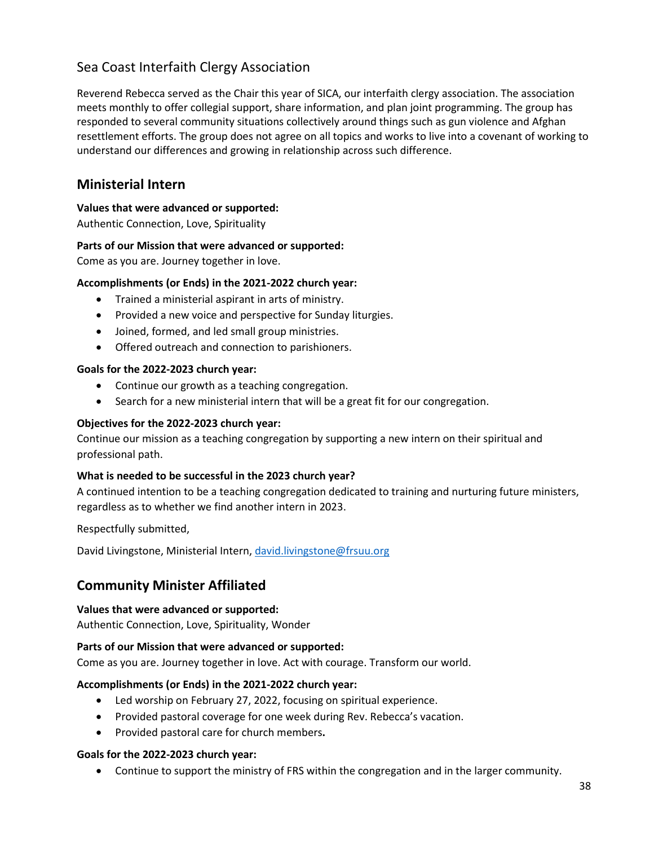# Sea Coast Interfaith Clergy Association

Reverend Rebecca served as the Chair this year of SICA, our interfaith clergy association. The association meets monthly to offer collegial support, share information, and plan joint programming. The group has responded to several community situations collectively around things such as gun violence and Afghan resettlement efforts. The group does not agree on all topics and works to live into a covenant of working to understand our differences and growing in relationship across such difference.

# **Ministerial Intern**

# **Values that were advanced or supported:**

Authentic Connection, Love, Spirituality

# **Parts of our Mission that were advanced or supported:**

Come as you are. Journey together in love.

# **Accomplishments (or Ends) in the 2021-2022 church year:**

- Trained a ministerial aspirant in arts of ministry.
- Provided a new voice and perspective for Sunday liturgies.
- Joined, formed, and led small group ministries.
- Offered outreach and connection to parishioners.

## **Goals for the 2022-2023 church year:**

- Continue our growth as a teaching congregation.
- Search for a new ministerial intern that will be a great fit for our congregation.

# **Objectives for the 2022-2023 church year:**

Continue our mission as a teaching congregation by supporting a new intern on their spiritual and professional path.

## **What is needed to be successful in the 2023 church year?**

A continued intention to be a teaching congregation dedicated to training and nurturing future ministers, regardless as to whether we find another intern in 2023.

Respectfully submitted,

David Livingstone, Ministerial Intern[, david.livingstone@frsuu.org](mailto:david.livingstone@frsuu.org)

# **Community Minister Affiliated**

## **Values that were advanced or supported:**

Authentic Connection, Love, Spirituality, Wonder

## **Parts of our Mission that were advanced or supported:**

Come as you are. Journey together in love. Act with courage. Transform our world.

## **Accomplishments (or Ends) in the 2021-2022 church year:**

- Led worship on February 27, 2022, focusing on spiritual experience.
- Provided pastoral coverage for one week during Rev. Rebecca's vacation.
- Provided pastoral care for church members**.**

## **Goals for the 2022-2023 church year:**

• Continue to support the ministry of FRS within the congregation and in the larger community.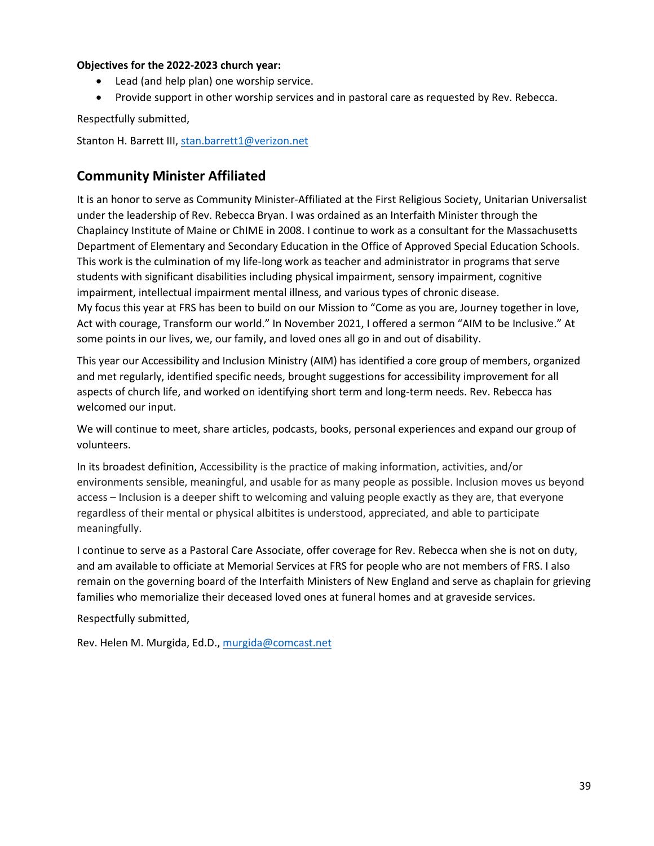# **Objectives for the 2022-2023 church year:**

- Lead (and help plan) one worship service.
- Provide support in other worship services and in pastoral care as requested by Rev. Rebecca.

Respectfully submitted,

Stanton H. Barrett III[, stan.barrett1@verizon.net](mailto:stan.barrett1@verizon.net)

# **Community Minister Affiliated**

It is an honor to serve as Community Minister-Affiliated at the First Religious Society, Unitarian Universalist under the leadership of Rev. Rebecca Bryan. I was ordained as an Interfaith Minister through the Chaplaincy Institute of Maine or ChIME in 2008. I continue to work as a consultant for the Massachusetts Department of Elementary and Secondary Education in the Office of Approved Special Education Schools. This work is the culmination of my life-long work as teacher and administrator in programs that serve students with significant disabilities including physical impairment, sensory impairment, cognitive impairment, intellectual impairment mental illness, and various types of chronic disease. My focus this year at FRS has been to build on our Mission to "Come as you are, Journey together in love, Act with courage, Transform our world." In November 2021, I offered a sermon "AIM to be Inclusive." At some points in our lives, we, our family, and loved ones all go in and out of disability.

This year our Accessibility and Inclusion Ministry (AIM) has identified a core group of members, organized and met regularly, identified specific needs, brought suggestions for accessibility improvement for all aspects of church life, and worked on identifying short term and long-term needs. Rev. Rebecca has welcomed our input.

We will continue to meet, share articles, podcasts, books, personal experiences and expand our group of volunteers.

In its broadest definition, Accessibility is the practice of making information, activities, and/or environments sensible, meaningful, and usable for as many people as possible. Inclusion moves us beyond access – Inclusion is a deeper shift to welcoming and valuing people exactly as they are, that everyone regardless of their mental or physical albitites is understood, appreciated, and able to participate meaningfully.

I continue to serve as a Pastoral Care Associate, offer coverage for Rev. Rebecca when she is not on duty, and am available to officiate at Memorial Services at FRS for people who are not members of FRS. I also remain on the governing board of the Interfaith Ministers of New England and serve as chaplain for grieving families who memorialize their deceased loved ones at funeral homes and at graveside services.

Respectfully submitted,

Rev. Helen M. Murgida, Ed.D.[, murgida@comcast.net](mailto:murgida@comcast.net)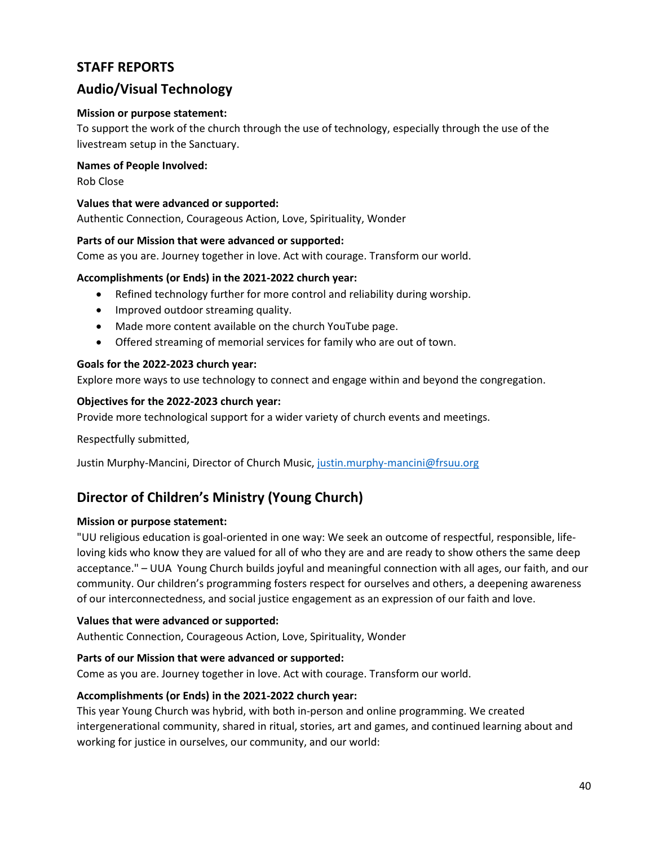# **STAFF REPORTS**

# **Audio/Visual Technology**

## **Mission or purpose statement:**

To support the work of the church through the use of technology, especially through the use of the livestream setup in the Sanctuary.

## **Names of People Involved:**

Rob Close

## **Values that were advanced or supported:**

Authentic Connection, Courageous Action, Love, Spirituality, Wonder

## **Parts of our Mission that were advanced or supported:**

Come as you are. Journey together in love. Act with courage. Transform our world.

## **Accomplishments (or Ends) in the 2021-2022 church year:**

- Refined technology further for more control and reliability during worship.
- Improved outdoor streaming quality.
- Made more content available on the church YouTube page.
- Offered streaming of memorial services for family who are out of town.

# **Goals for the 2022-2023 church year:**

Explore more ways to use technology to connect and engage within and beyond the congregation.

## **Objectives for the 2022-2023 church year:**

Provide more technological support for a wider variety of church events and meetings.

Respectfully submitted,

Justin Murphy-Mancini, Director of Church Music, [justin.murphy-mancini@frsuu.org](mailto:justin.murphy-mancini@frsuu.org)

# **Director of Children's Ministry (Young Church)**

## **Mission or purpose statement:**

"UU religious education is goal-oriented in one way: We seek an outcome of respectful, responsible, lifeloving kids who know they are valued for all of who they are and are ready to show others the same deep acceptance." – UUA Young Church builds joyful and meaningful connection with all ages, our faith, and our community. Our children's programming fosters respect for ourselves and others, a deepening awareness of our interconnectedness, and social justice engagement as an expression of our faith and love.

## **Values that were advanced or supported:**

Authentic Connection, Courageous Action, Love, Spirituality, Wonder

## **Parts of our Mission that were advanced or supported:**

Come as you are. Journey together in love. Act with courage. Transform our world.

## **Accomplishments (or Ends) in the 2021-2022 church year:**

This year Young Church was hybrid, with both in-person and online programming. We created intergenerational community, shared in ritual, stories, art and games, and continued learning about and working for justice in ourselves, our community, and our world: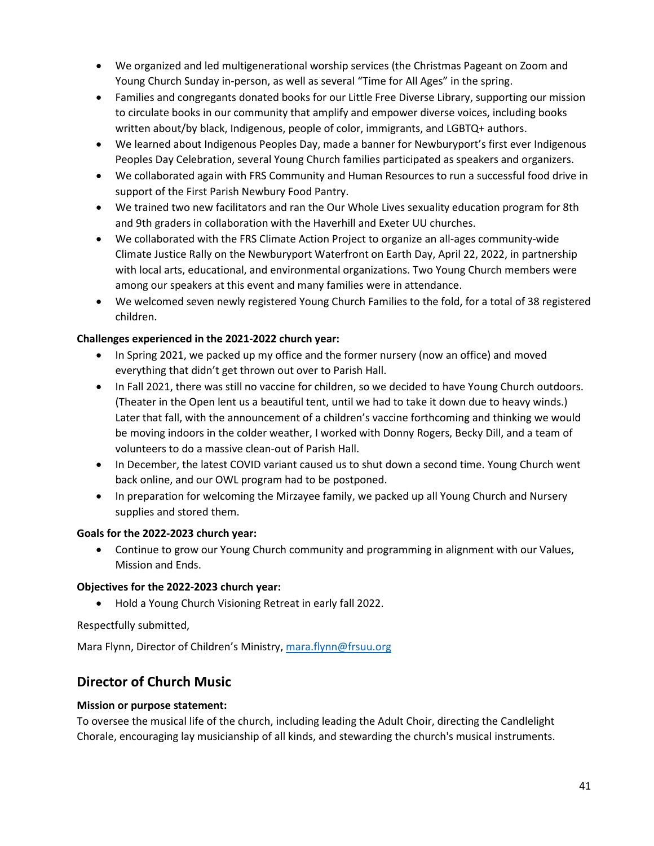- We organized and led multigenerational worship services (the Christmas Pageant on Zoom and Young Church Sunday in-person, as well as several "Time for All Ages" in the spring.
- Families and congregants donated books for our Little Free Diverse Library, supporting our mission to circulate books in our community that amplify and empower diverse voices, including books written about/by black, Indigenous, people of color, immigrants, and LGBTQ+ authors.
- We learned about Indigenous Peoples Day, made a banner for Newburyport's first ever Indigenous Peoples Day Celebration, several Young Church families participated as speakers and organizers.
- We collaborated again with FRS Community and Human Resources to run a successful food drive in support of the First Parish Newbury Food Pantry.
- We trained two new facilitators and ran the Our Whole Lives sexuality education program for 8th and 9th graders in collaboration with the Haverhill and Exeter UU churches.
- We collaborated with the FRS Climate Action Project to organize an all-ages community-wide Climate Justice Rally on the Newburyport Waterfront on Earth Day, April 22, 2022, in partnership with local arts, educational, and environmental organizations. Two Young Church members were among our speakers at this event and many families were in attendance.
- We welcomed seven newly registered Young Church Families to the fold, for a total of 38 registered children.

# **Challenges experienced in the 2021-2022 church year:**

- In Spring 2021, we packed up my office and the former nursery (now an office) and moved everything that didn't get thrown out over to Parish Hall.
- In Fall 2021, there was still no vaccine for children, so we decided to have Young Church outdoors. (Theater in the Open lent us a beautiful tent, until we had to take it down due to heavy winds.) Later that fall, with the announcement of a children's vaccine forthcoming and thinking we would be moving indoors in the colder weather, I worked with Donny Rogers, Becky Dill, and a team of volunteers to do a massive clean-out of Parish Hall.
- In December, the latest COVID variant caused us to shut down a second time. Young Church went back online, and our OWL program had to be postponed.
- In preparation for welcoming the Mirzayee family, we packed up all Young Church and Nursery supplies and stored them.

# **Goals for the 2022-2023 church year:**

• Continue to grow our Young Church community and programming in alignment with our Values, Mission and Ends.

# **Objectives for the 2022-2023 church year:**

• Hold a Young Church Visioning Retreat in early fall 2022.

Respectfully submitted,

Mara Flynn, Director of Children's Ministry[, mara.flynn@frsuu.org](mailto:mara.flynn@frsuu.org)

# **Director of Church Music**

# **Mission or purpose statement:**

To oversee the musical life of the church, including leading the Adult Choir, directing the Candlelight Chorale, encouraging lay musicianship of all kinds, and stewarding the church's musical instruments.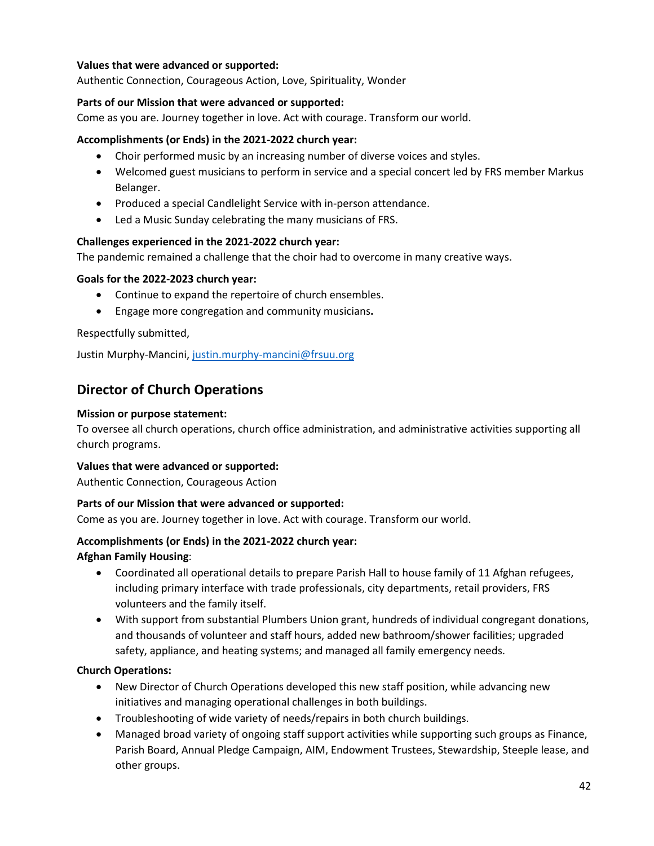# **Values that were advanced or supported:**

Authentic Connection, Courageous Action, Love, Spirituality, Wonder

### **Parts of our Mission that were advanced or supported:**

Come as you are. Journey together in love. Act with courage. Transform our world.

### **Accomplishments (or Ends) in the 2021-2022 church year:**

- Choir performed music by an increasing number of diverse voices and styles.
- Welcomed guest musicians to perform in service and a special concert led by FRS member Markus Belanger.
- Produced a special Candlelight Service with in-person attendance.
- Led a Music Sunday celebrating the many musicians of FRS.

#### **Challenges experienced in the 2021-2022 church year:**

The pandemic remained a challenge that the choir had to overcome in many creative ways.

#### **Goals for the 2022-2023 church year:**

- Continue to expand the repertoire of church ensembles.
- Engage more congregation and community musicians**.**

Respectfully submitted,

Justin Murphy-Mancini, [justin.murphy-mancini@frsuu.org](mailto:justin.murphy-mancini@frsuu.org)

# **Director of Church Operations**

#### **Mission or purpose statement:**

To oversee all church operations, church office administration, and administrative activities supporting all church programs.

#### **Values that were advanced or supported:**

Authentic Connection, Courageous Action

#### **Parts of our Mission that were advanced or supported:**

Come as you are. Journey together in love. Act with courage. Transform our world.

## **Accomplishments (or Ends) in the 2021-2022 church year:**

#### **Afghan Family Housing**:

- Coordinated all operational details to prepare Parish Hall to house family of 11 Afghan refugees, including primary interface with trade professionals, city departments, retail providers, FRS volunteers and the family itself.
- With support from substantial Plumbers Union grant, hundreds of individual congregant donations, and thousands of volunteer and staff hours, added new bathroom/shower facilities; upgraded safety, appliance, and heating systems; and managed all family emergency needs.

## **Church Operations:**

- New Director of Church Operations developed this new staff position, while advancing new initiatives and managing operational challenges in both buildings.
- Troubleshooting of wide variety of needs/repairs in both church buildings.
- Managed broad variety of ongoing staff support activities while supporting such groups as Finance, Parish Board, Annual Pledge Campaign, AIM, Endowment Trustees, Stewardship, Steeple lease, and other groups.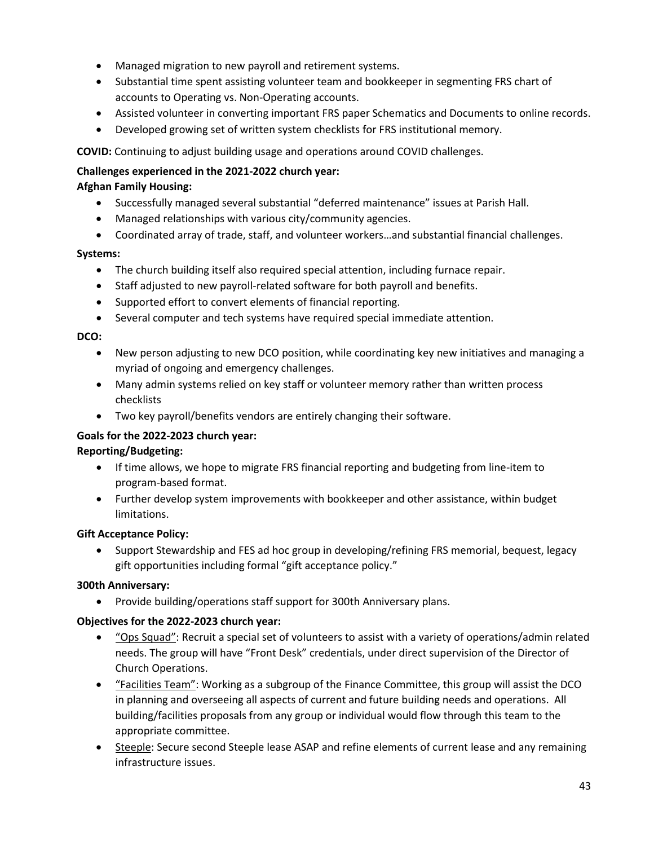- Managed migration to new payroll and retirement systems.
- Substantial time spent assisting volunteer team and bookkeeper in segmenting FRS chart of accounts to Operating vs. Non-Operating accounts.
- Assisted volunteer in converting important FRS paper Schematics and Documents to online records.
- Developed growing set of written system checklists for FRS institutional memory.

**COVID:** Continuing to adjust building usage and operations around COVID challenges.

# **Challenges experienced in the 2021-2022 church year:**

# **Afghan Family Housing:**

- Successfully managed several substantial "deferred maintenance" issues at Parish Hall.
- Managed relationships with various city/community agencies.
- Coordinated array of trade, staff, and volunteer workers…and substantial financial challenges.

# **Systems:**

- The church building itself also required special attention, including furnace repair.
- Staff adjusted to new payroll-related software for both payroll and benefits.
- Supported effort to convert elements of financial reporting.
- Several computer and tech systems have required special immediate attention.

# **DCO:**

- New person adjusting to new DCO position, while coordinating key new initiatives and managing a myriad of ongoing and emergency challenges.
- Many admin systems relied on key staff or volunteer memory rather than written process checklists
- Two key payroll/benefits vendors are entirely changing their software.

# **Goals for the 2022-2023 church year:**

## **Reporting/Budgeting:**

- If time allows, we hope to migrate FRS financial reporting and budgeting from line-item to program-based format.
- Further develop system improvements with bookkeeper and other assistance, within budget limitations.

## **Gift Acceptance Policy:**

• Support Stewardship and FES ad hoc group in developing/refining FRS memorial, bequest, legacy gift opportunities including formal "gift acceptance policy."

## **300th Anniversary:**

• Provide building/operations staff support for 300th Anniversary plans.

## **Objectives for the 2022-2023 church year:**

- "Ops Squad": Recruit a special set of volunteers to assist with a variety of operations/admin related needs. The group will have "Front Desk" credentials, under direct supervision of the Director of Church Operations.
- "Facilities Team": Working as a subgroup of the Finance Committee, this group will assist the DCO in planning and overseeing all aspects of current and future building needs and operations. All building/facilities proposals from any group or individual would flow through this team to the appropriate committee.
- Steeple: Secure second Steeple lease ASAP and refine elements of current lease and any remaining infrastructure issues.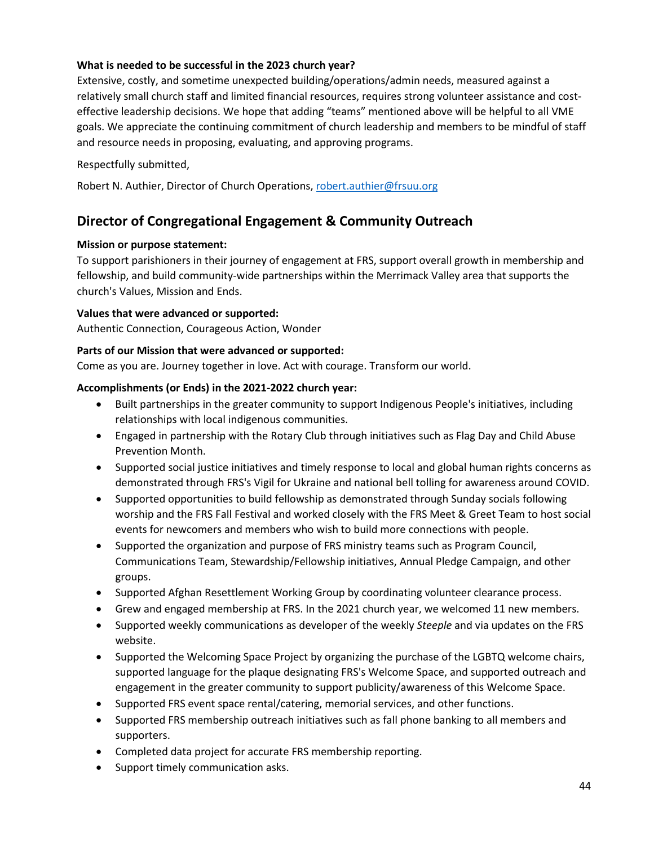# **What is needed to be successful in the 2023 church year?**

Extensive, costly, and sometime unexpected building/operations/admin needs, measured against a relatively small church staff and limited financial resources, requires strong volunteer assistance and costeffective leadership decisions. We hope that adding "teams" mentioned above will be helpful to all VME goals. We appreciate the continuing commitment of church leadership and members to be mindful of staff and resource needs in proposing, evaluating, and approving programs.

# Respectfully submitted,

Robert N. Authier, Director of Church Operations, [robert.authier@frsuu.org](mailto:robert.authier@frsuu.org)

# **Director of Congregational Engagement & Community Outreach**

## **Mission or purpose statement:**

To support parishioners in their journey of engagement at FRS, support overall growth in membership and fellowship, and build community-wide partnerships within the Merrimack Valley area that supports the church's Values, Mission and Ends.

# **Values that were advanced or supported:**

Authentic Connection, Courageous Action, Wonder

# **Parts of our Mission that were advanced or supported:**

Come as you are. Journey together in love. Act with courage. Transform our world.

# **Accomplishments (or Ends) in the 2021-2022 church year:**

- Built partnerships in the greater community to support Indigenous People's initiatives, including relationships with local indigenous communities.
- Engaged in partnership with the Rotary Club through initiatives such as Flag Day and Child Abuse Prevention Month.
- Supported social justice initiatives and timely response to local and global human rights concerns as demonstrated through FRS's Vigil for Ukraine and national bell tolling for awareness around COVID.
- Supported opportunities to build fellowship as demonstrated through Sunday socials following worship and the FRS Fall Festival and worked closely with the FRS Meet & Greet Team to host social events for newcomers and members who wish to build more connections with people.
- Supported the organization and purpose of FRS ministry teams such as Program Council, Communications Team, Stewardship/Fellowship initiatives, Annual Pledge Campaign, and other groups.
- Supported Afghan Resettlement Working Group by coordinating volunteer clearance process.
- Grew and engaged membership at FRS. In the 2021 church year, we welcomed 11 new members.
- Supported weekly communications as developer of the weekly *Steeple* and via updates on the FRS website.
- Supported the Welcoming Space Project by organizing the purchase of the LGBTQ welcome chairs, supported language for the plaque designating FRS's Welcome Space, and supported outreach and engagement in the greater community to support publicity/awareness of this Welcome Space.
- Supported FRS event space rental/catering, memorial services, and other functions.
- Supported FRS membership outreach initiatives such as fall phone banking to all members and supporters.
- Completed data project for accurate FRS membership reporting.
- Support timely communication asks.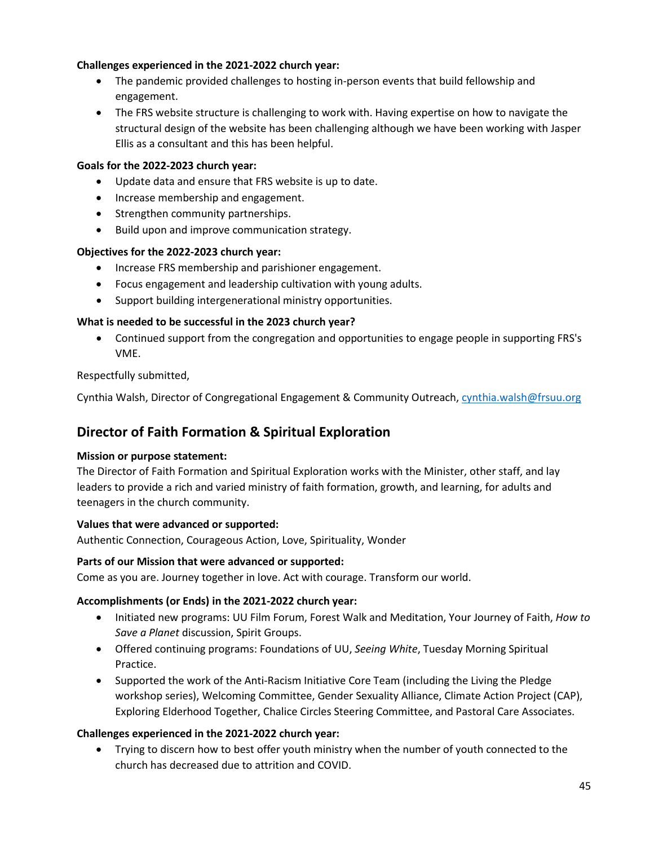# **Challenges experienced in the 2021-2022 church year:**

- The pandemic provided challenges to hosting in-person events that build fellowship and engagement.
- The FRS website structure is challenging to work with. Having expertise on how to navigate the structural design of the website has been challenging although we have been working with Jasper Ellis as a consultant and this has been helpful.

## **Goals for the 2022-2023 church year:**

- Update data and ensure that FRS website is up to date.
- Increase membership and engagement.
- Strengthen community partnerships.
- Build upon and improve communication strategy.

## **Objectives for the 2022-2023 church year:**

- Increase FRS membership and parishioner engagement.
- Focus engagement and leadership cultivation with young adults.
- Support building intergenerational ministry opportunities.

# **What is needed to be successful in the 2023 church year?**

• Continued support from the congregation and opportunities to engage people in supporting FRS's VME.

# Respectfully submitted,

Cynthia Walsh, Director of Congregational Engagement & Community Outreach, [cynthia.walsh@frsuu.org](mailto:cynthia.walsh@frsuu.org)

# **Director of Faith Formation & Spiritual Exploration**

## **Mission or purpose statement:**

The Director of Faith Formation and Spiritual Exploration works with the Minister, other staff, and lay leaders to provide a rich and varied ministry of faith formation, growth, and learning, for adults and teenagers in the church community.

## **Values that were advanced or supported:**

Authentic Connection, Courageous Action, Love, Spirituality, Wonder

## **Parts of our Mission that were advanced or supported:**

Come as you are. Journey together in love. Act with courage. Transform our world.

## **Accomplishments (or Ends) in the 2021-2022 church year:**

- Initiated new programs: UU Film Forum, Forest Walk and Meditation, Your Journey of Faith, *How to Save a Planet* discussion, Spirit Groups.
- Offered continuing programs: Foundations of UU, *Seeing White*, Tuesday Morning Spiritual Practice.
- Supported the work of the Anti-Racism Initiative Core Team (including the Living the Pledge workshop series), Welcoming Committee, Gender Sexuality Alliance, Climate Action Project (CAP), Exploring Elderhood Together, Chalice Circles Steering Committee, and Pastoral Care Associates.

## **Challenges experienced in the 2021-2022 church year:**

• Trying to discern how to best offer youth ministry when the number of youth connected to the church has decreased due to attrition and COVID.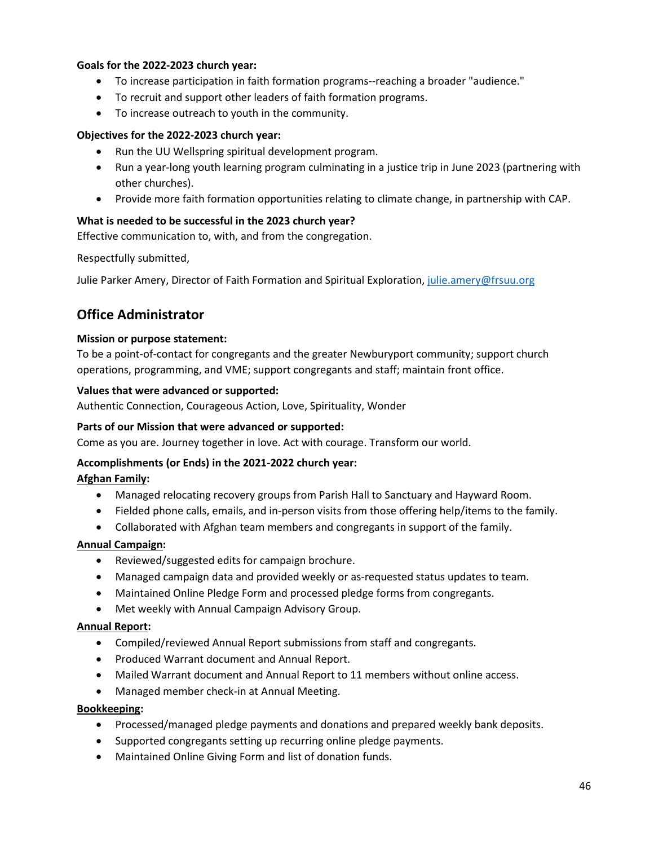# **Goals for the 2022-2023 church year:**

- To increase participation in faith formation programs--reaching a broader "audience."
- To recruit and support other leaders of faith formation programs.
- To increase outreach to youth in the community.

## **Objectives for the 2022-2023 church year:**

- Run the UU Wellspring spiritual development program.
- Run a year-long youth learning program culminating in a justice trip in June 2023 (partnering with other churches).
- Provide more faith formation opportunities relating to climate change, in partnership with CAP.

# **What is needed to be successful in the 2023 church year?**

Effective communication to, with, and from the congregation.

Respectfully submitted,

Julie Parker Amery, Director of Faith Formation and Spiritual Exploration, [julie.amery@frsuu.org](mailto:julie.amery@frsuu.org)

# **Office Administrator**

## **Mission or purpose statement:**

To be a point-of-contact for congregants and the greater Newburyport community; support church operations, programming, and VME; support congregants and staff; maintain front office.

## **Values that were advanced or supported:**

Authentic Connection, Courageous Action, Love, Spirituality, Wonder

## **Parts of our Mission that were advanced or supported:**

Come as you are. Journey together in love. Act with courage. Transform our world.

## **Accomplishments (or Ends) in the 2021-2022 church year:**

## **Afghan Family:**

- Managed relocating recovery groups from Parish Hall to Sanctuary and Hayward Room.
- Fielded phone calls, emails, and in-person visits from those offering help/items to the family.
- Collaborated with Afghan team members and congregants in support of the family.

## **Annual Campaign:**

- Reviewed/suggested edits for campaign brochure.
- Managed campaign data and provided weekly or as-requested status updates to team.
- Maintained Online Pledge Form and processed pledge forms from congregants.
- Met weekly with Annual Campaign Advisory Group.

## **Annual Report:**

- Compiled/reviewed Annual Report submissions from staff and congregants.
- Produced Warrant document and Annual Report.
- Mailed Warrant document and Annual Report to 11 members without online access.
- Managed member check-in at Annual Meeting.

## **Bookkeeping:**

- Processed/managed pledge payments and donations and prepared weekly bank deposits.
- Supported congregants setting up recurring online pledge payments.
- Maintained Online Giving Form and list of donation funds.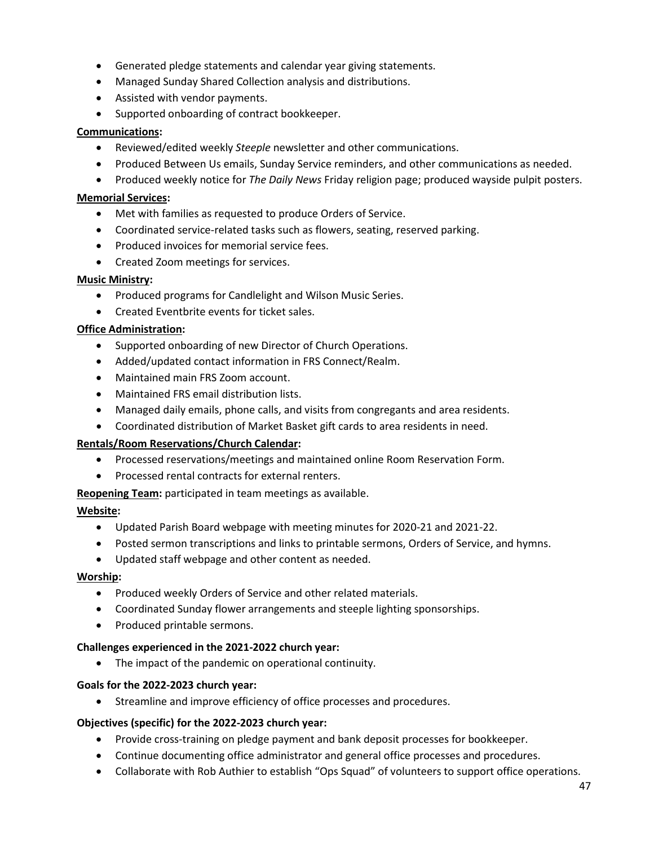- Generated pledge statements and calendar year giving statements.
- Managed Sunday Shared Collection analysis and distributions.
- Assisted with vendor payments.
- Supported onboarding of contract bookkeeper.

### **Communications:**

- Reviewed/edited weekly *Steeple* newsletter and other communications.
- Produced Between Us emails, Sunday Service reminders, and other communications as needed.
- Produced weekly notice for *The Daily News* Friday religion page; produced wayside pulpit posters.

#### **Memorial Services:**

- Met with families as requested to produce Orders of Service.
- Coordinated service-related tasks such as flowers, seating, reserved parking.
- Produced invoices for memorial service fees.
- Created Zoom meetings for services.

#### **Music Ministry:**

- Produced programs for Candlelight and Wilson Music Series.
- Created Eventbrite events for ticket sales.

#### **Office Administration:**

- Supported onboarding of new Director of Church Operations.
- Added/updated contact information in FRS Connect/Realm.
- Maintained main FRS Zoom account.
- Maintained FRS email distribution lists.
- Managed daily emails, phone calls, and visits from congregants and area residents.
- Coordinated distribution of Market Basket gift cards to area residents in need.

#### **Rentals/Room Reservations/Church Calendar:**

- Processed reservations/meetings and maintained online Room Reservation Form.
- Processed rental contracts for external renters.

**Reopening Team:** participated in team meetings as available.

#### **Website:**

- Updated Parish Board webpage with meeting minutes for 2020-21 and 2021-22.
- Posted sermon transcriptions and links to printable sermons, Orders of Service, and hymns.
- Updated staff webpage and other content as needed.

#### **Worship:**

- Produced weekly Orders of Service and other related materials.
- Coordinated Sunday flower arrangements and steeple lighting sponsorships.
- Produced printable sermons.

#### **Challenges experienced in the 2021-2022 church year:**

• The impact of the pandemic on operational continuity.

#### **Goals for the 2022-2023 church year:**

• Streamline and improve efficiency of office processes and procedures.

#### **Objectives (specific) for the 2022-2023 church year:**

- Provide cross-training on pledge payment and bank deposit processes for bookkeeper.
- Continue documenting office administrator and general office processes and procedures.
- Collaborate with Rob Authier to establish "Ops Squad" of volunteers to support office operations.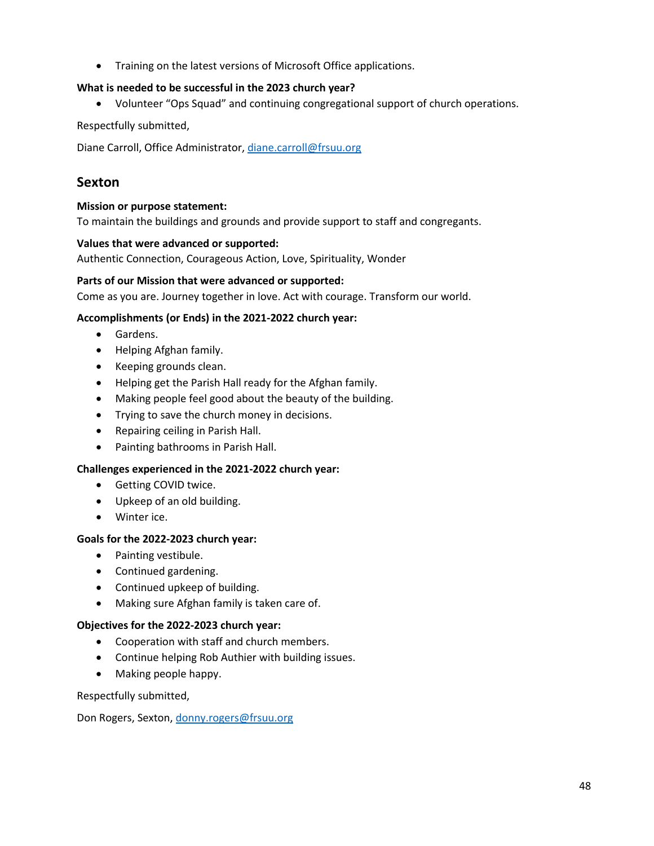• Training on the latest versions of Microsoft Office applications.

# **What is needed to be successful in the 2023 church year?**

• Volunteer "Ops Squad" and continuing congregational support of church operations.

Respectfully submitted,

Diane Carroll, Office Administrator[, diane.carroll@frsuu.org](mailto:diane.carroll@frsuu.org)

# **Sexton**

### **Mission or purpose statement:**

To maintain the buildings and grounds and provide support to staff and congregants.

## **Values that were advanced or supported:**

Authentic Connection, Courageous Action, Love, Spirituality, Wonder

#### **Parts of our Mission that were advanced or supported:**

Come as you are. Journey together in love. Act with courage. Transform our world.

## **Accomplishments (or Ends) in the 2021-2022 church year:**

- Gardens.
- Helping Afghan family.
- Keeping grounds clean.
- Helping get the Parish Hall ready for the Afghan family.
- Making people feel good about the beauty of the building.
- Trying to save the church money in decisions.
- Repairing ceiling in Parish Hall.
- Painting bathrooms in Parish Hall.

## **Challenges experienced in the 2021-2022 church year:**

- Getting COVID twice.
- Upkeep of an old building.
- Winter ice.

## **Goals for the 2022-2023 church year:**

- Painting vestibule.
- Continued gardening.
- Continued upkeep of building.
- Making sure Afghan family is taken care of.

#### **Objectives for the 2022-2023 church year:**

- Cooperation with staff and church members.
- Continue helping Rob Authier with building issues.
- Making people happy.

Respectfully submitted,

Don Rogers, Sexton[, donny.rogers@frsuu.org](mailto:donny.rogers@frsuu.org)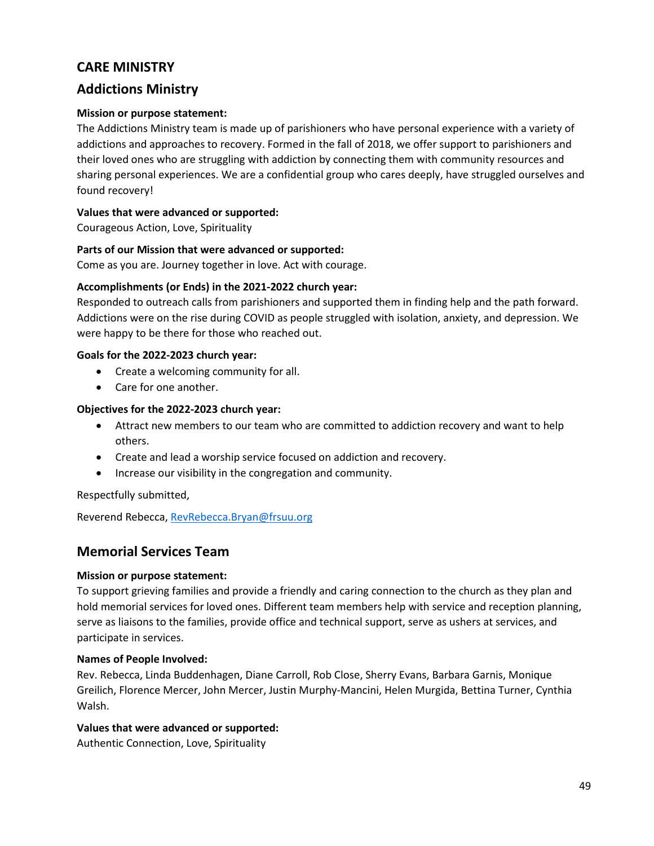# **CARE MINISTRY**

# **Addictions Ministry**

## **Mission or purpose statement:**

The Addictions Ministry team is made up of parishioners who have personal experience with a variety of addictions and approaches to recovery. Formed in the fall of 2018, we offer support to parishioners and their loved ones who are struggling with addiction by connecting them with community resources and sharing personal experiences. We are a confidential group who cares deeply, have struggled ourselves and found recovery!

## **Values that were advanced or supported:**

Courageous Action, Love, Spirituality

#### **Parts of our Mission that were advanced or supported:**

Come as you are. Journey together in love. Act with courage.

## **Accomplishments (or Ends) in the 2021-2022 church year:**

Responded to outreach calls from parishioners and supported them in finding help and the path forward. Addictions were on the rise during COVID as people struggled with isolation, anxiety, and depression. We were happy to be there for those who reached out.

#### **Goals for the 2022-2023 church year:**

- Create a welcoming community for all.
- Care for one another.

## **Objectives for the 2022-2023 church year:**

- Attract new members to our team who are committed to addiction recovery and want to help others.
- Create and lead a worship service focused on addiction and recovery.
- Increase our visibility in the congregation and community.

## Respectfully submitted,

Reverend Rebecca[, RevRebecca.Bryan@frsuu.org](mailto:RevRebecca.Bryan@frsuu.org)

# **Memorial Services Team**

## **Mission or purpose statement:**

To support grieving families and provide a friendly and caring connection to the church as they plan and hold memorial services for loved ones. Different team members help with service and reception planning, serve as liaisons to the families, provide office and technical support, serve as ushers at services, and participate in services.

## **Names of People Involved:**

Rev. Rebecca, Linda Buddenhagen, Diane Carroll, Rob Close, Sherry Evans, Barbara Garnis, Monique Greilich, Florence Mercer, John Mercer, Justin Murphy-Mancini, Helen Murgida, Bettina Turner, Cynthia Walsh.

## **Values that were advanced or supported:**

Authentic Connection, Love, Spirituality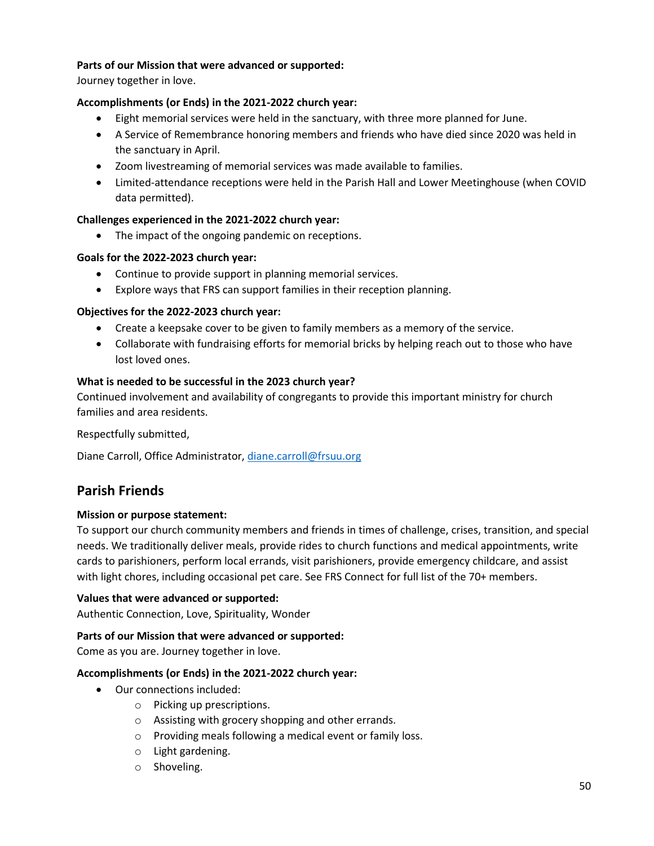# **Parts of our Mission that were advanced or supported:**

Journey together in love.

# **Accomplishments (or Ends) in the 2021-2022 church year:**

- Eight memorial services were held in the sanctuary, with three more planned for June.
- A Service of Remembrance honoring members and friends who have died since 2020 was held in the sanctuary in April.
- Zoom livestreaming of memorial services was made available to families.
- Limited-attendance receptions were held in the Parish Hall and Lower Meetinghouse (when COVID data permitted).

## **Challenges experienced in the 2021-2022 church year:**

• The impact of the ongoing pandemic on receptions.

## **Goals for the 2022-2023 church year:**

- Continue to provide support in planning memorial services.
- Explore ways that FRS can support families in their reception planning.

# **Objectives for the 2022-2023 church year:**

- Create a keepsake cover to be given to family members as a memory of the service.
- Collaborate with fundraising efforts for memorial bricks by helping reach out to those who have lost loved ones.

## **What is needed to be successful in the 2023 church year?**

Continued involvement and availability of congregants to provide this important ministry for church families and area residents.

Respectfully submitted,

Diane Carroll, Office Administrator[, diane.carroll@frsuu.org](mailto:diane.carroll@frsuu.org)

# **Parish Friends**

## **Mission or purpose statement:**

To support our church community members and friends in times of challenge, crises, transition, and special needs. We traditionally deliver meals, provide rides to church functions and medical appointments, write cards to parishioners, perform local errands, visit parishioners, provide emergency childcare, and assist with light chores, including occasional pet care. See FRS Connect for full list of the 70+ members.

## **Values that were advanced or supported:**

Authentic Connection, Love, Spirituality, Wonder

## **Parts of our Mission that were advanced or supported:**

Come as you are. Journey together in love.

## **Accomplishments (or Ends) in the 2021-2022 church year:**

- Our connections included:
	- o Picking up prescriptions.
	- o Assisting with grocery shopping and other errands.
	- o Providing meals following a medical event or family loss.
	- o Light gardening.
	- o Shoveling.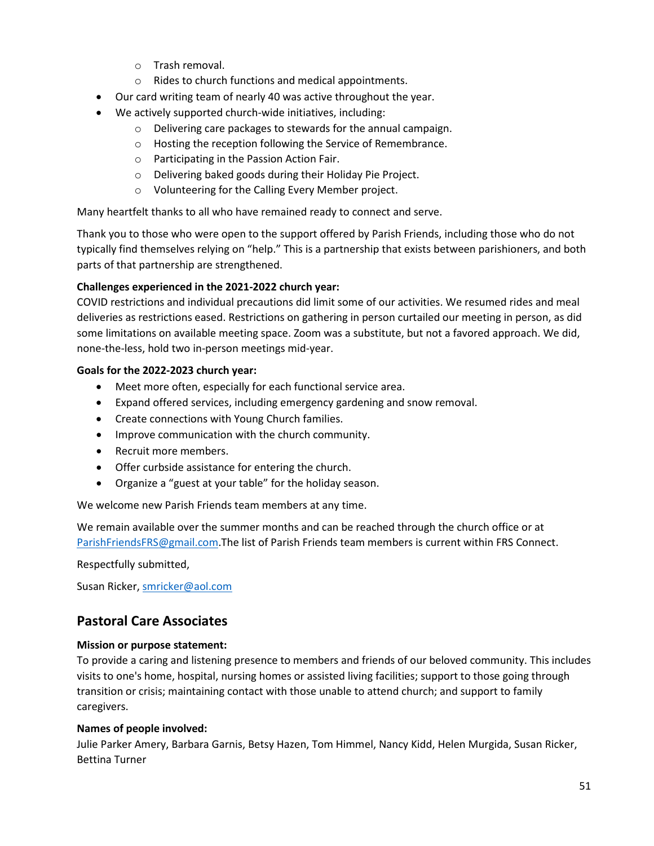- o Trash removal.
- o Rides to church functions and medical appointments.
- Our card writing team of nearly 40 was active throughout the year.
- We actively supported church-wide initiatives, including:
	- o Delivering care packages to stewards for the annual campaign.
	- o Hosting the reception following the Service of Remembrance.
	- o Participating in the Passion Action Fair.
	- o Delivering baked goods during their Holiday Pie Project.
	- o Volunteering for the Calling Every Member project.

Many heartfelt thanks to all who have remained ready to connect and serve.

Thank you to those who were open to the support offered by Parish Friends, including those who do not typically find themselves relying on "help." This is a partnership that exists between parishioners, and both parts of that partnership are strengthened.

## **Challenges experienced in the 2021-2022 church year:**

COVID restrictions and individual precautions did limit some of our activities. We resumed rides and meal deliveries as restrictions eased. Restrictions on gathering in person curtailed our meeting in person, as did some limitations on available meeting space. Zoom was a substitute, but not a favored approach. We did, none-the-less, hold two in-person meetings mid-year.

## **Goals for the 2022-2023 church year:**

- Meet more often, especially for each functional service area.
- Expand offered services, including emergency gardening and snow removal.
- Create connections with Young Church families.
- Improve communication with the church community.
- Recruit more members.
- Offer curbside assistance for entering the church.
- Organize a "guest at your table" for the holiday season.

We welcome new Parish Friends team members at any time.

We remain available over the summer months and can be reached through the church office or at [ParishFriendsFRS@gmail.com.](mailto:ParishFriendsFRS@gmail.com)The list of Parish Friends team members is current within FRS Connect.

Respectfully submitted,

Susan Ricker[, smricker@aol.com](mailto:smricker@aol.com)

# **Pastoral Care Associates**

## **Mission or purpose statement:**

To provide a caring and listening presence to members and friends of our beloved community. This includes visits to one's home, hospital, nursing homes or assisted living facilities; support to those going through transition or crisis; maintaining contact with those unable to attend church; and support to family caregivers.

## **Names of people involved:**

Julie Parker Amery, Barbara Garnis, Betsy Hazen, Tom Himmel, Nancy Kidd, Helen Murgida, Susan Ricker, Bettina Turner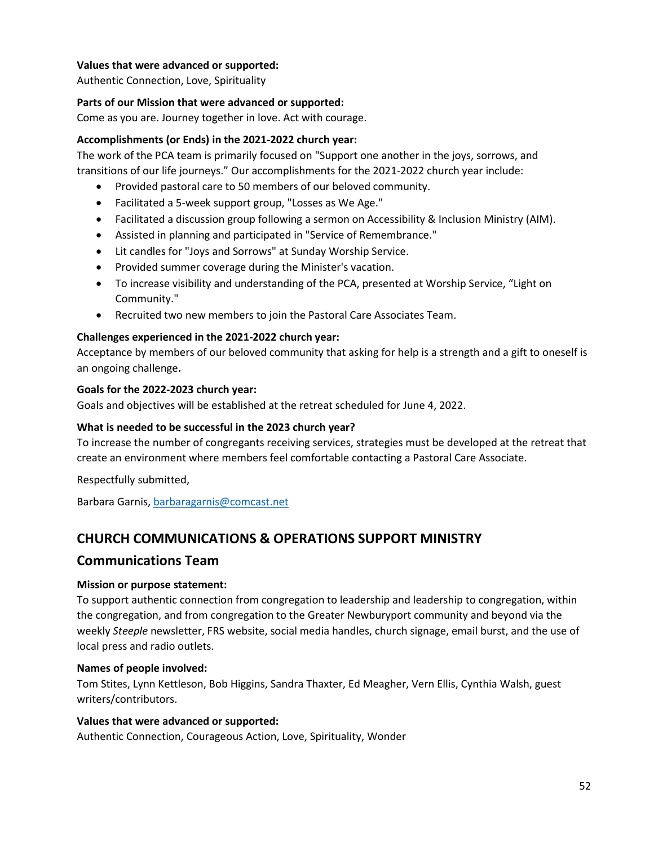# **Values that were advanced or supported:**

Authentic Connection, Love, Spirituality

## **Parts of our Mission that were advanced or supported:**

Come as you are. Journey together in love. Act with courage.

## **Accomplishments (or Ends) in the 2021-2022 church year:**

The work of the PCA team is primarily focused on "Support one another in the joys, sorrows, and transitions of our life journeys." Our accomplishments for the 2021-2022 church year include:

- Provided pastoral care to 50 members of our beloved community.
- Facilitated a 5-week support group, "Losses as We Age."
- Facilitated a discussion group following a sermon on Accessibility & Inclusion Ministry (AIM).
- Assisted in planning and participated in "Service of Remembrance."
- Lit candles for "Joys and Sorrows" at Sunday Worship Service.
- Provided summer coverage during the Minister's vacation.
- To increase visibility and understanding of the PCA, presented at Worship Service, "Light on Community."
- Recruited two new members to join the Pastoral Care Associates Team.

## **Challenges experienced in the 2021-2022 church year:**

Acceptance by members of our beloved community that asking for help is a strength and a gift to oneself is an ongoing challenge**.**

#### **Goals for the 2022-2023 church year:**

Goals and objectives will be established at the retreat scheduled for June 4, 2022.

## **What is needed to be successful in the 2023 church year?**

To increase the number of congregants receiving services, strategies must be developed at the retreat that create an environment where members feel comfortable contacting a Pastoral Care Associate.

Respectfully submitted,

Barbara Garnis[, barbaragarnis@comcast.net](mailto:barbaragarnis@comcast.net)

# **CHURCH COMMUNICATIONS & OPERATIONS SUPPORT MINISTRY**

# **Communications Team**

## **Mission or purpose statement:**

To support authentic connection from congregation to leadership and leadership to congregation, within the congregation, and from congregation to the Greater Newburyport community and beyond via the weekly *Steeple* newsletter, FRS website, social media handles, church signage, email burst, and the use of local press and radio outlets.

## **Names of people involved:**

Tom Stites, Lynn Kettleson, Bob Higgins, Sandra Thaxter, Ed Meagher, Vern Ellis, Cynthia Walsh, guest writers/contributors.

## **Values that were advanced or supported:**

Authentic Connection, Courageous Action, Love, Spirituality, Wonder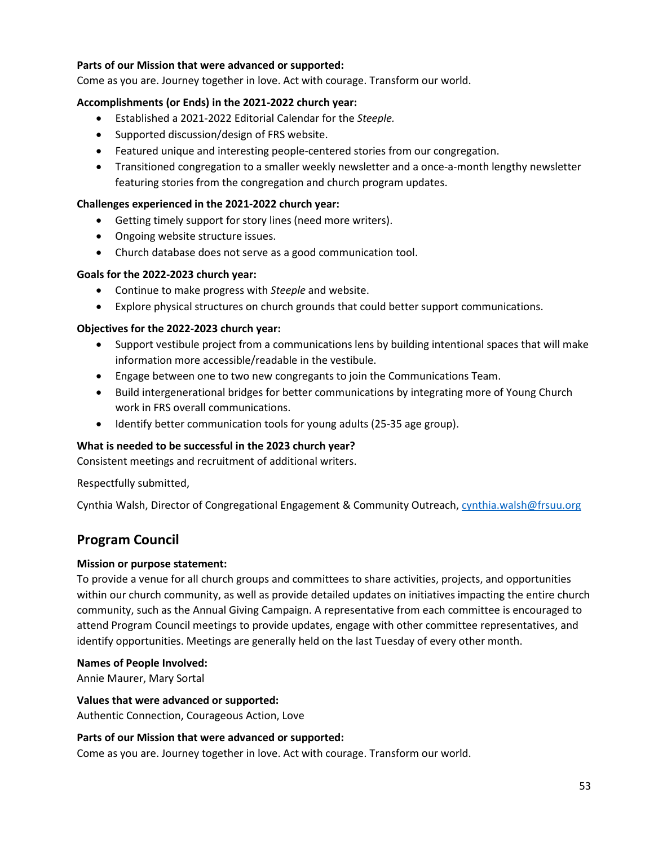# **Parts of our Mission that were advanced or supported:**

Come as you are. Journey together in love. Act with courage. Transform our world.

## **Accomplishments (or Ends) in the 2021-2022 church year:**

- Established a 2021-2022 Editorial Calendar for the *Steeple.*
- Supported discussion/design of FRS website.
- Featured unique and interesting people-centered stories from our congregation.
- Transitioned congregation to a smaller weekly newsletter and a once-a-month lengthy newsletter featuring stories from the congregation and church program updates.

## **Challenges experienced in the 2021-2022 church year:**

- Getting timely support for story lines (need more writers).
- Ongoing website structure issues.
- Church database does not serve as a good communication tool.

#### **Goals for the 2022-2023 church year:**

- Continue to make progress with *Steeple* and website.
- Explore physical structures on church grounds that could better support communications.

## **Objectives for the 2022-2023 church year:**

- Support vestibule project from a communications lens by building intentional spaces that will make information more accessible/readable in the vestibule.
- Engage between one to two new congregants to join the Communications Team.
- Build intergenerational bridges for better communications by integrating more of Young Church work in FRS overall communications.
- Identify better communication tools for young adults (25-35 age group).

## **What is needed to be successful in the 2023 church year?**

Consistent meetings and recruitment of additional writers.

Respectfully submitted,

Cynthia Walsh, Director of Congregational Engagement & Community Outreach, [cynthia.walsh@frsuu.org](mailto:cynthia.walsh@frsuu.org)

# **Program Council**

## **Mission or purpose statement:**

To provide a venue for all church groups and committees to share activities, projects, and opportunities within our church community, as well as provide detailed updates on initiatives impacting the entire church community, such as the Annual Giving Campaign. A representative from each committee is encouraged to attend Program Council meetings to provide updates, engage with other committee representatives, and identify opportunities. Meetings are generally held on the last Tuesday of every other month.

#### **Names of People Involved:**

Annie Maurer, Mary Sortal

#### **Values that were advanced or supported:**

Authentic Connection, Courageous Action, Love

#### **Parts of our Mission that were advanced or supported:**

Come as you are. Journey together in love. Act with courage. Transform our world.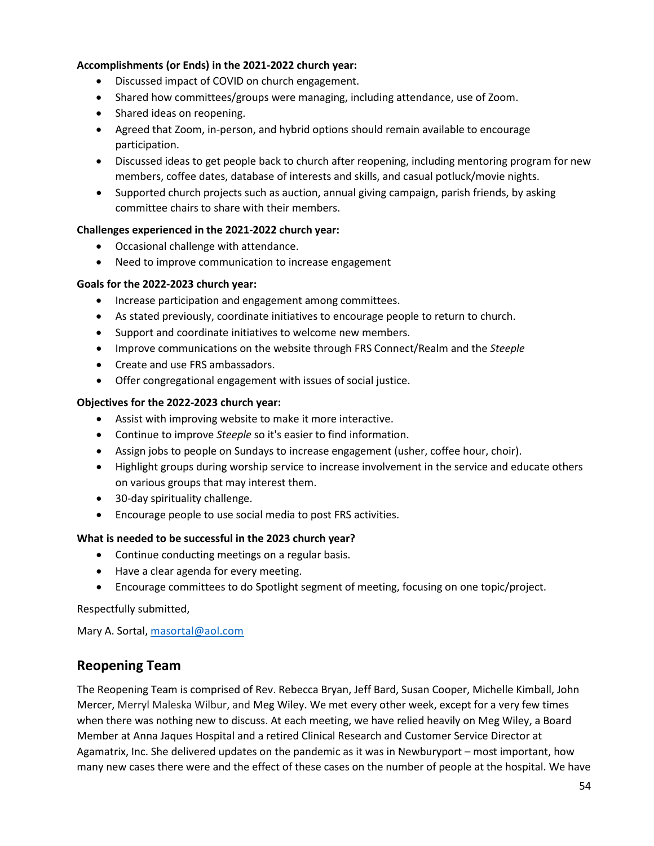# **Accomplishments (or Ends) in the 2021-2022 church year:**

- Discussed impact of COVID on church engagement.
- Shared how committees/groups were managing, including attendance, use of Zoom.
- Shared ideas on reopening.
- Agreed that Zoom, in-person, and hybrid options should remain available to encourage participation.
- Discussed ideas to get people back to church after reopening, including mentoring program for new members, coffee dates, database of interests and skills, and casual potluck/movie nights.
- Supported church projects such as auction, annual giving campaign, parish friends, by asking committee chairs to share with their members.

## **Challenges experienced in the 2021-2022 church year:**

- Occasional challenge with attendance.
- Need to improve communication to increase engagement

#### **Goals for the 2022-2023 church year:**

- Increase participation and engagement among committees.
- As stated previously, coordinate initiatives to encourage people to return to church.
- Support and coordinate initiatives to welcome new members.
- Improve communications on the website through FRS Connect/Realm and the *Steeple*
- Create and use FRS ambassadors.
- Offer congregational engagement with issues of social justice.

#### **Objectives for the 2022-2023 church year:**

- Assist with improving website to make it more interactive.
- Continue to improve *Steeple* so it's easier to find information.
- Assign jobs to people on Sundays to increase engagement (usher, coffee hour, choir).
- Highlight groups during worship service to increase involvement in the service and educate others on various groups that may interest them.
- 30-day spirituality challenge.
- Encourage people to use social media to post FRS activities.

## **What is needed to be successful in the 2023 church year?**

- Continue conducting meetings on a regular basis.
- Have a clear agenda for every meeting.
- Encourage committees to do Spotlight segment of meeting, focusing on one topic/project.

Respectfully submitted,

Mary A. Sortal, [masortal@aol.com](mailto:masortal@aol.com)

# **Reopening Team**

The Reopening Team is comprised of Rev. Rebecca Bryan, Jeff Bard, Susan Cooper, Michelle Kimball, John Mercer, Merryl Maleska Wilbur, and Meg Wiley. We met every other week, except for a very few times when there was nothing new to discuss. At each meeting, we have relied heavily on Meg Wiley, a Board Member at Anna Jaques Hospital and a retired Clinical Research and Customer Service Director at Agamatrix, Inc. She delivered updates on the pandemic as it was in Newburyport – most important, how many new cases there were and the effect of these cases on the number of people at the hospital. We have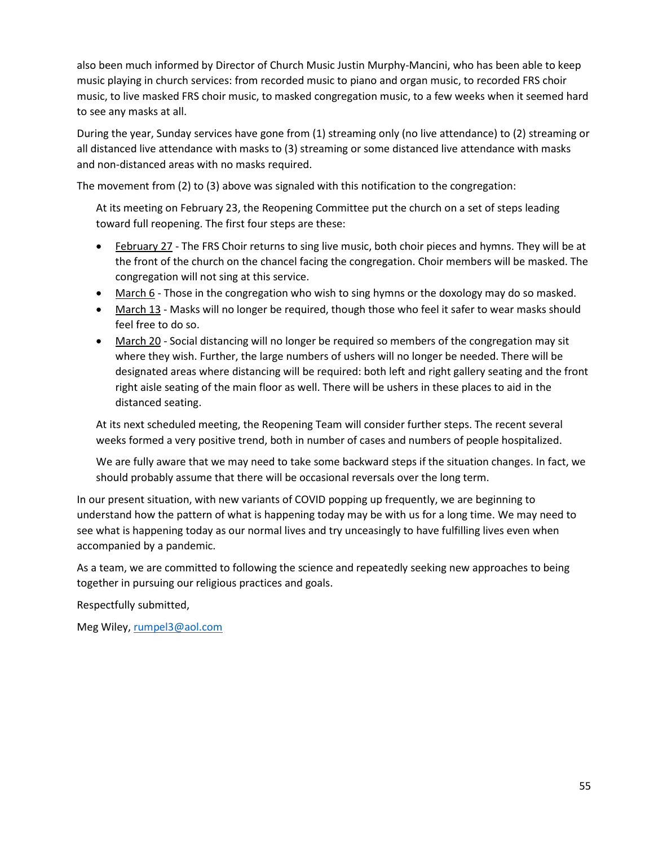also been much informed by Director of Church Music Justin Murphy-Mancini, who has been able to keep music playing in church services: from recorded music to piano and organ music, to recorded FRS choir music, to live masked FRS choir music, to masked congregation music, to a few weeks when it seemed hard to see any masks at all.

During the year, Sunday services have gone from (1) streaming only (no live attendance) to (2) streaming or all distanced live attendance with masks to (3) streaming or some distanced live attendance with masks and non-distanced areas with no masks required.

The movement from (2) to (3) above was signaled with this notification to the congregation:

At its meeting on February 23, the Reopening Committee put the church on a set of steps leading toward full reopening. The first four steps are these:

- February 27 The FRS Choir returns to sing live music, both choir pieces and hymns. They will be at the front of the church on the chancel facing the congregation. Choir members will be masked. The congregation will not sing at this service.
- March 6 Those in the congregation who wish to sing hymns or the doxology may do so masked.
- March 13 Masks will no longer be required, though those who feel it safer to wear masks should feel free to do so.
- March 20 Social distancing will no longer be required so members of the congregation may sit where they wish. Further, the large numbers of ushers will no longer be needed. There will be designated areas where distancing will be required: both left and right gallery seating and the front right aisle seating of the main floor as well. There will be ushers in these places to aid in the distanced seating.

At its next scheduled meeting, the Reopening Team will consider further steps. The recent several weeks formed a very positive trend, both in number of cases and numbers of people hospitalized.

We are fully aware that we may need to take some backward steps if the situation changes. In fact, we should probably assume that there will be occasional reversals over the long term.

In our present situation, with new variants of COVID popping up frequently, we are beginning to understand how the pattern of what is happening today may be with us for a long time. We may need to see what is happening today as our normal lives and try unceasingly to have fulfilling lives even when accompanied by a pandemic.

As a team, we are committed to following the science and repeatedly seeking new approaches to being together in pursuing our religious practices and goals.

Respectfully submitted,

Meg Wiley, [rumpel3@aol.com](mailto:rumpel3@aol.com)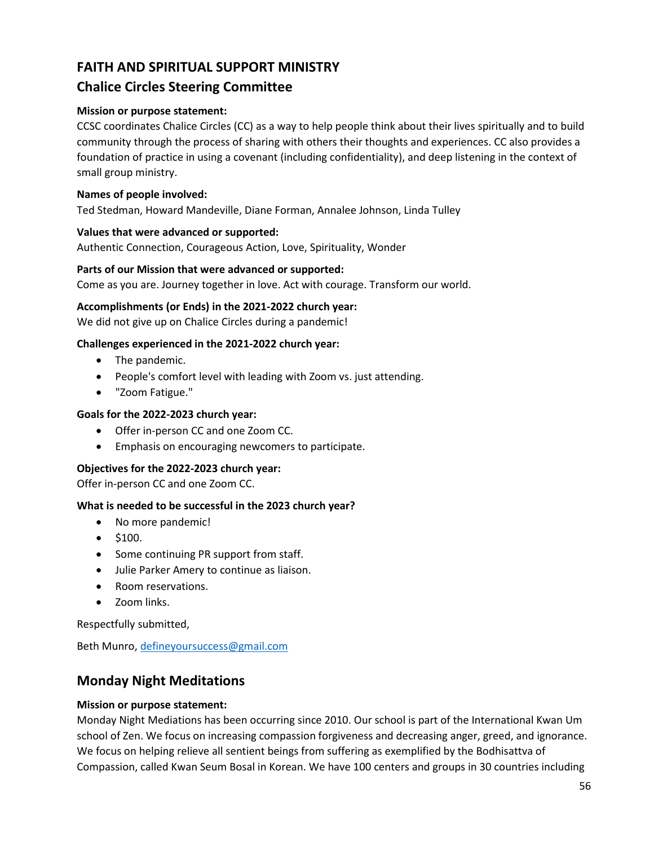# **FAITH AND SPIRITUAL SUPPORT MINISTRY**

# **Chalice Circles Steering Committee**

# **Mission or purpose statement:**

CCSC coordinates Chalice Circles (CC) as a way to help people think about their lives spiritually and to build community through the process of sharing with others their thoughts and experiences. CC also provides a foundation of practice in using a covenant (including confidentiality), and deep listening in the context of small group ministry.

# **Names of people involved:**

Ted Stedman, Howard Mandeville, Diane Forman, Annalee Johnson, Linda Tulley

# **Values that were advanced or supported:**

Authentic Connection, Courageous Action, Love, Spirituality, Wonder

## **Parts of our Mission that were advanced or supported:**

Come as you are. Journey together in love. Act with courage. Transform our world.

## **Accomplishments (or Ends) in the 2021-2022 church year:**

We did not give up on Chalice Circles during a pandemic!

## **Challenges experienced in the 2021-2022 church year:**

- The pandemic.
- People's comfort level with leading with Zoom vs. just attending.
- "Zoom Fatigue."

# **Goals for the 2022-2023 church year:**

- Offer in-person CC and one Zoom CC.
- Emphasis on encouraging newcomers to participate.

## **Objectives for the 2022-2023 church year:**

Offer in-person CC and one Zoom CC.

## **What is needed to be successful in the 2023 church year?**

- No more pandemic!
- $\bullet$  \$100.
- Some continuing PR support from staff.
- Julie Parker Amery to continue as liaison.
- Room reservations.
- Zoom links.

Respectfully submitted,

Beth Munro, [defineyoursuccess@gmail.com](mailto:defineyoursuccess@gmail.com)

# **Monday Night Meditations**

## **Mission or purpose statement:**

Monday Night Mediations has been occurring since 2010. Our school is part of the International Kwan Um school of Zen. We focus on increasing compassion forgiveness and decreasing anger, greed, and ignorance. We focus on helping relieve all sentient beings from suffering as exemplified by the Bodhisattva of Compassion, called Kwan Seum Bosal in Korean. We have 100 centers and groups in 30 countries including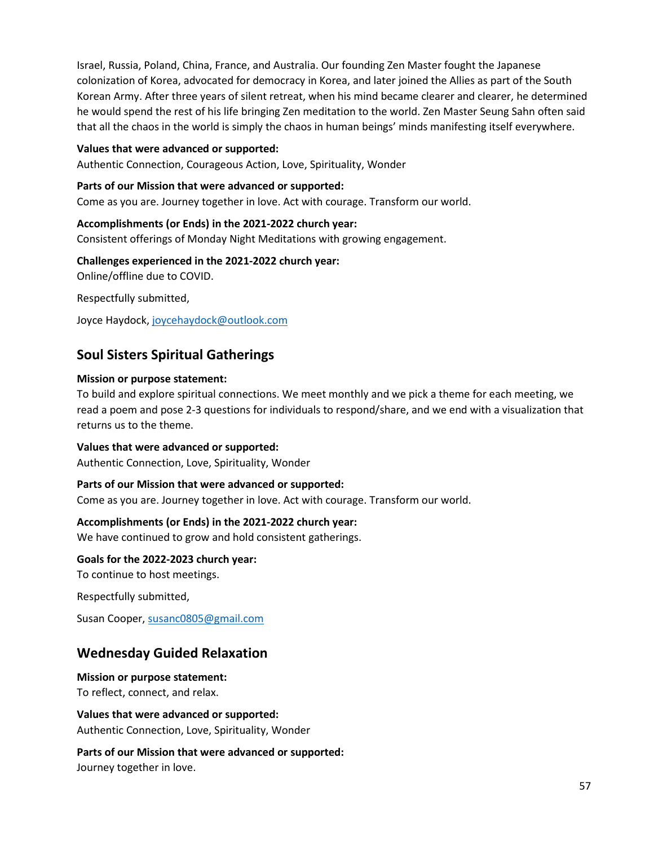Israel, Russia, Poland, China, France, and Australia. Our founding Zen Master fought the Japanese colonization of Korea, advocated for democracy in Korea, and later joined the Allies as part of the South Korean Army. After three years of silent retreat, when his mind became clearer and clearer, he determined he would spend the rest of his life bringing Zen meditation to the world. Zen Master Seung Sahn often said that all the chaos in the world is simply the chaos in human beings' minds manifesting itself everywhere.

### **Values that were advanced or supported:**

Authentic Connection, Courageous Action, Love, Spirituality, Wonder

#### **Parts of our Mission that were advanced or supported:**

Come as you are. Journey together in love. Act with courage. Transform our world.

#### **Accomplishments (or Ends) in the 2021-2022 church year:**

Consistent offerings of Monday Night Meditations with growing engagement.

#### **Challenges experienced in the 2021-2022 church year:**

Online/offline due to COVID.

Respectfully submitted,

Joyce Haydock[, joycehaydock@outlook.com](mailto:joycehaydock@outlook.com)

# **Soul Sisters Spiritual Gatherings**

#### **Mission or purpose statement:**

To build and explore spiritual connections. We meet monthly and we pick a theme for each meeting, we read a poem and pose 2-3 questions for individuals to respond/share, and we end with a visualization that returns us to the theme.

#### **Values that were advanced or supported:**

Authentic Connection, Love, Spirituality, Wonder

## **Parts of our Mission that were advanced or supported:**

Come as you are. Journey together in love. Act with courage. Transform our world.

## **Accomplishments (or Ends) in the 2021-2022 church year:**

We have continued to grow and hold consistent gatherings.

**Goals for the 2022-2023 church year:**

To continue to host meetings.

Respectfully submitted,

Susan Cooper[, susanc0805@gmail.com](mailto:susanc0805@gmail.com)

# **Wednesday Guided Relaxation**

**Mission or purpose statement:**

To reflect, connect, and relax.

**Values that were advanced or supported:** Authentic Connection, Love, Spirituality, Wonder

**Parts of our Mission that were advanced or supported:** Journey together in love.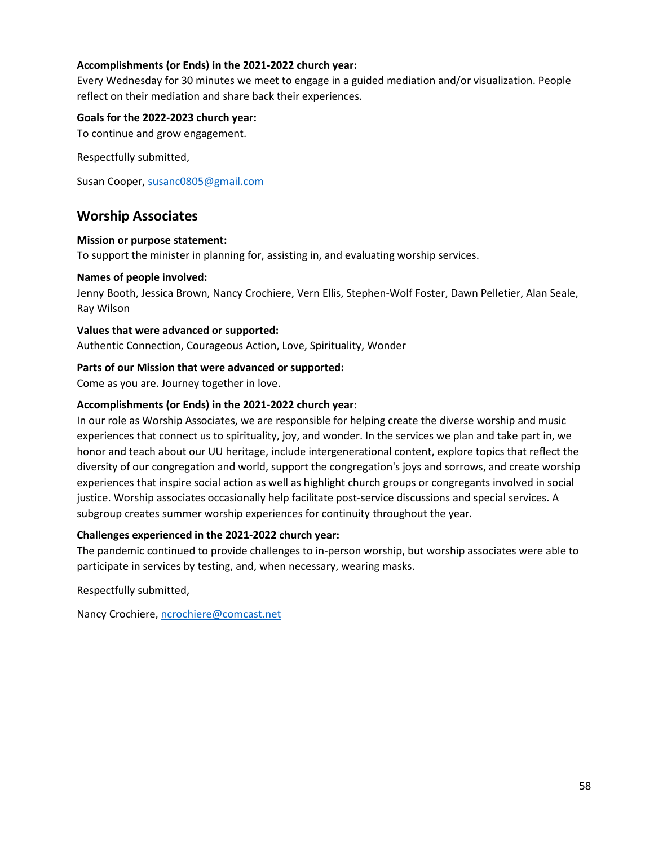# **Accomplishments (or Ends) in the 2021-2022 church year:**

Every Wednesday for 30 minutes we meet to engage in a guided mediation and/or visualization. People reflect on their mediation and share back their experiences.

### **Goals for the 2022-2023 church year:**

To continue and grow engagement.

Respectfully submitted,

Susan Cooper[, susanc0805@gmail.com](mailto:susanc0805@gmail.com)

# **Worship Associates**

#### **Mission or purpose statement:**

To support the minister in planning for, assisting in, and evaluating worship services.

#### **Names of people involved:**

Jenny Booth, Jessica Brown, Nancy Crochiere, Vern Ellis, Stephen-Wolf Foster, Dawn Pelletier, Alan Seale, Ray Wilson

#### **Values that were advanced or supported:**

Authentic Connection, Courageous Action, Love, Spirituality, Wonder

## **Parts of our Mission that were advanced or supported:**

Come as you are. Journey together in love.

## **Accomplishments (or Ends) in the 2021-2022 church year:**

In our role as Worship Associates, we are responsible for helping create the diverse worship and music experiences that connect us to spirituality, joy, and wonder. In the services we plan and take part in, we honor and teach about our UU heritage, include intergenerational content, explore topics that reflect the diversity of our congregation and world, support the congregation's joys and sorrows, and create worship experiences that inspire social action as well as highlight church groups or congregants involved in social justice. Worship associates occasionally help facilitate post-service discussions and special services. A subgroup creates summer worship experiences for continuity throughout the year.

## **Challenges experienced in the 2021-2022 church year:**

The pandemic continued to provide challenges to in-person worship, but worship associates were able to participate in services by testing, and, when necessary, wearing masks.

Respectfully submitted,

Nancy Crochiere[, ncrochiere@comcast.net](mailto:ncrochiere@comcast.net)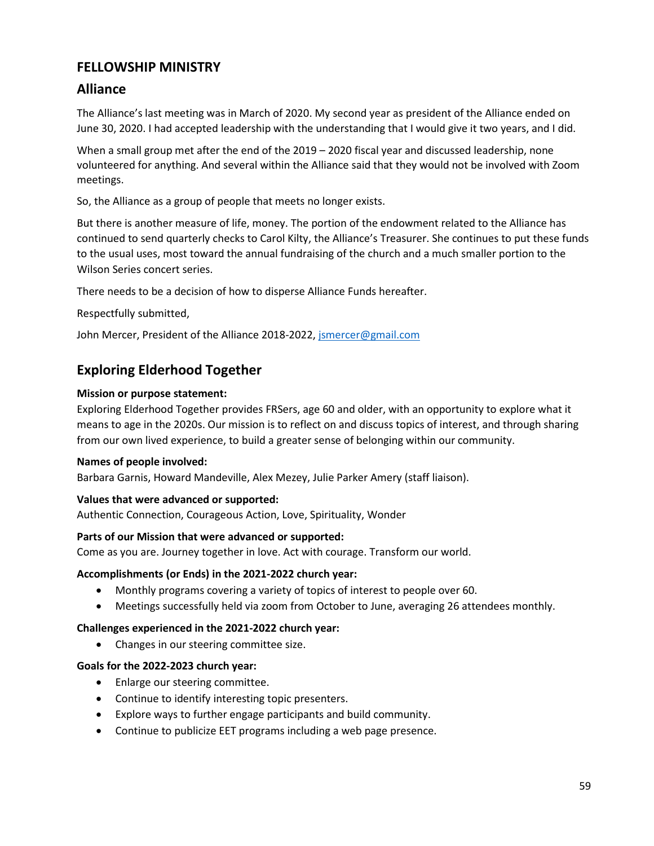# **FELLOWSHIP MINISTRY**

# **Alliance**

The Alliance's last meeting was in March of 2020. My second year as president of the Alliance ended on June 30, 2020. I had accepted leadership with the understanding that I would give it two years, and I did.

When a small group met after the end of the 2019 – 2020 fiscal year and discussed leadership, none volunteered for anything. And several within the Alliance said that they would not be involved with Zoom meetings.

So, the Alliance as a group of people that meets no longer exists.

But there is another measure of life, money. The portion of the endowment related to the Alliance has continued to send quarterly checks to Carol Kilty, the Alliance's Treasurer. She continues to put these funds to the usual uses, most toward the annual fundraising of the church and a much smaller portion to the Wilson Series concert series.

There needs to be a decision of how to disperse Alliance Funds hereafter.

Respectfully submitted,

John Mercer, President of the Alliance 2018-2022, [jsmercer@gmail.com](mailto:jsmercer@gmail.com)

# **Exploring Elderhood Together**

# **Mission or purpose statement:**

Exploring Elderhood Together provides FRSers, age 60 and older, with an opportunity to explore what it means to age in the 2020s. Our mission is to reflect on and discuss topics of interest, and through sharing from our own lived experience, to build a greater sense of belonging within our community.

## **Names of people involved:**

Barbara Garnis, Howard Mandeville, Alex Mezey, Julie Parker Amery (staff liaison).

## **Values that were advanced or supported:**

Authentic Connection, Courageous Action, Love, Spirituality, Wonder

# **Parts of our Mission that were advanced or supported:**

Come as you are. Journey together in love. Act with courage. Transform our world.

## **Accomplishments (or Ends) in the 2021-2022 church year:**

- Monthly programs covering a variety of topics of interest to people over 60.
- Meetings successfully held via zoom from October to June, averaging 26 attendees monthly.

## **Challenges experienced in the 2021-2022 church year:**

• Changes in our steering committee size.

## **Goals for the 2022-2023 church year:**

- Enlarge our steering committee.
- Continue to identify interesting topic presenters.
- Explore ways to further engage participants and build community.
- Continue to publicize EET programs including a web page presence.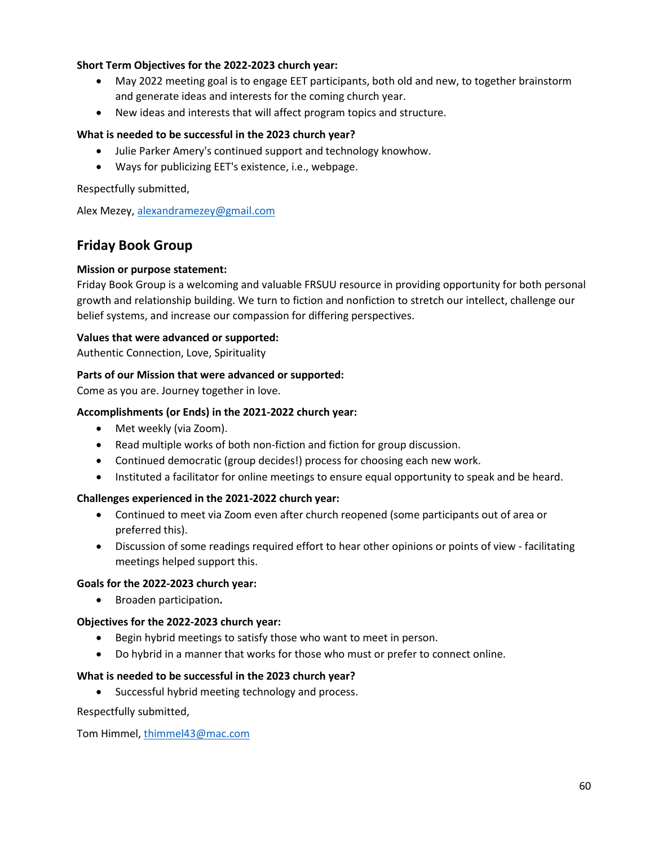# **Short Term Objectives for the 2022-2023 church year:**

- May 2022 meeting goal is to engage EET participants, both old and new, to together brainstorm and generate ideas and interests for the coming church year.
- New ideas and interests that will affect program topics and structure.

## **What is needed to be successful in the 2023 church year?**

- Julie Parker Amery's continued support and technology knowhow.
- Ways for publicizing EET's existence, i.e., webpage.

Respectfully submitted,

Alex Mezey[, alexandramezey@gmail.com](mailto:alexandramezey@gmail.com)

# **Friday Book Group**

## **Mission or purpose statement:**

Friday Book Group is a welcoming and valuable FRSUU resource in providing opportunity for both personal growth and relationship building. We turn to fiction and nonfiction to stretch our intellect, challenge our belief systems, and increase our compassion for differing perspectives.

## **Values that were advanced or supported:**

Authentic Connection, Love, Spirituality

## **Parts of our Mission that were advanced or supported:**

Come as you are. Journey together in love.

## **Accomplishments (or Ends) in the 2021-2022 church year:**

- Met weekly (via Zoom).
- Read multiple works of both non-fiction and fiction for group discussion.
- Continued democratic (group decides!) process for choosing each new work.
- Instituted a facilitator for online meetings to ensure equal opportunity to speak and be heard.

## **Challenges experienced in the 2021-2022 church year:**

- Continued to meet via Zoom even after church reopened (some participants out of area or preferred this).
- Discussion of some readings required effort to hear other opinions or points of view facilitating meetings helped support this.

## **Goals for the 2022-2023 church year:**

• Broaden participation**.**

## **Objectives for the 2022-2023 church year:**

- Begin hybrid meetings to satisfy those who want to meet in person.
- Do hybrid in a manner that works for those who must or prefer to connect online.

## **What is needed to be successful in the 2023 church year?**

• Successful hybrid meeting technology and process.

Respectfully submitted,

Tom Himmel[, thimmel43@mac.com](mailto:thimmel43@mac.com)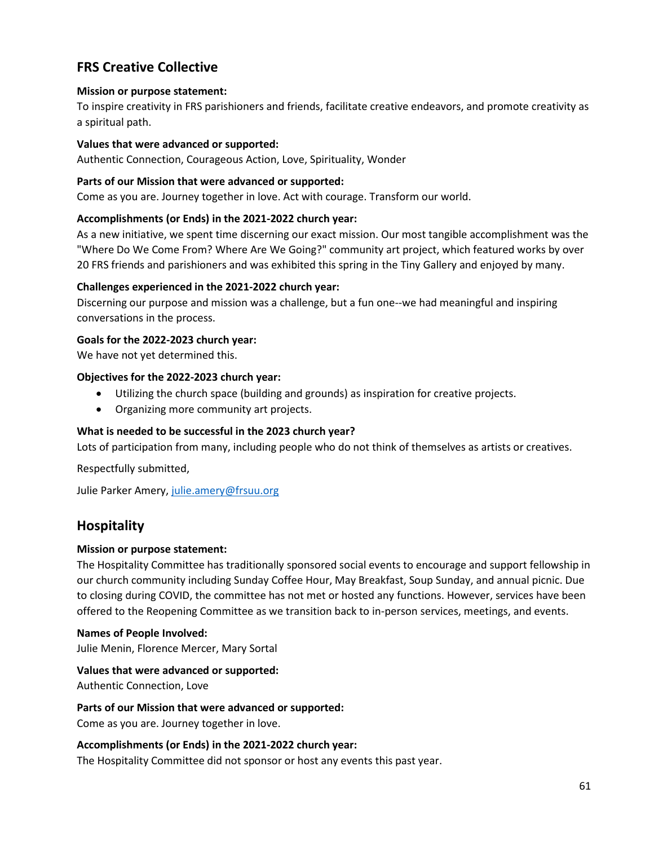# **FRS Creative Collective**

# **Mission or purpose statement:**

To inspire creativity in FRS parishioners and friends, facilitate creative endeavors, and promote creativity as a spiritual path.

## **Values that were advanced or supported:**

Authentic Connection, Courageous Action, Love, Spirituality, Wonder

# **Parts of our Mission that were advanced or supported:**

Come as you are. Journey together in love. Act with courage. Transform our world.

# **Accomplishments (or Ends) in the 2021-2022 church year:**

As a new initiative, we spent time discerning our exact mission. Our most tangible accomplishment was the "Where Do We Come From? Where Are We Going?" community art project, which featured works by over 20 FRS friends and parishioners and was exhibited this spring in the Tiny Gallery and enjoyed by many.

# **Challenges experienced in the 2021-2022 church year:**

Discerning our purpose and mission was a challenge, but a fun one--we had meaningful and inspiring conversations in the process.

# **Goals for the 2022-2023 church year:**

We have not yet determined this.

# **Objectives for the 2022-2023 church year:**

- Utilizing the church space (building and grounds) as inspiration for creative projects.
- Organizing more community art projects.

# **What is needed to be successful in the 2023 church year?**

Lots of participation from many, including people who do not think of themselves as artists or creatives.

Respectfully submitted,

Julie Parker Amery[, julie.amery@frsuu.org](mailto:julie.amery@frsuu.org)

# **Hospitality**

# **Mission or purpose statement:**

The Hospitality Committee has traditionally sponsored social events to encourage and support fellowship in our church community including Sunday Coffee Hour, May Breakfast, Soup Sunday, and annual picnic. Due to closing during COVID, the committee has not met or hosted any functions. However, services have been offered to the Reopening Committee as we transition back to in-person services, meetings, and events.

# **Names of People Involved:**

Julie Menin, Florence Mercer, Mary Sortal

# **Values that were advanced or supported:**

Authentic Connection, Love

## **Parts of our Mission that were advanced or supported:**

Come as you are. Journey together in love.

## **Accomplishments (or Ends) in the 2021-2022 church year:**

The Hospitality Committee did not sponsor or host any events this past year.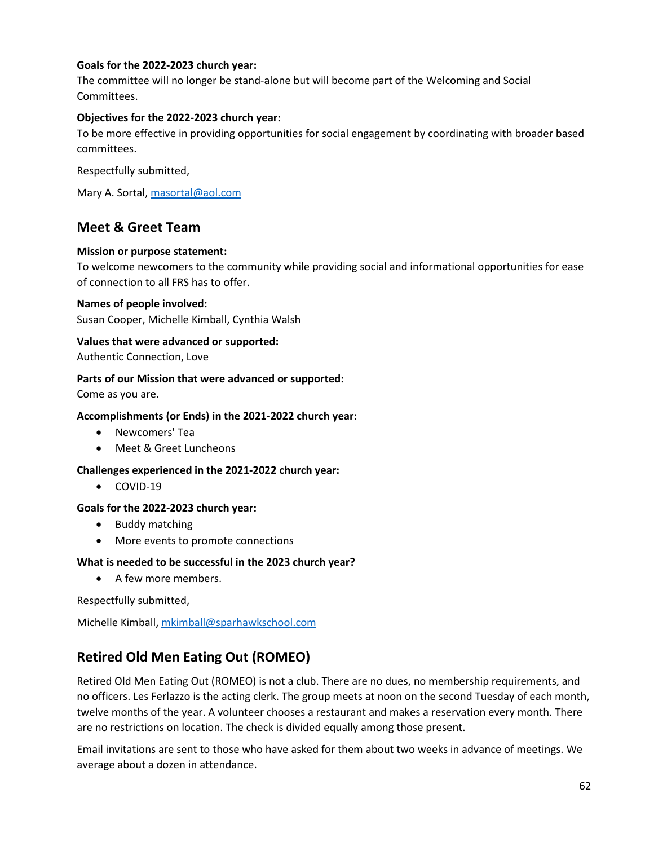# **Goals for the 2022-2023 church year:**

The committee will no longer be stand-alone but will become part of the Welcoming and Social Committees.

# **Objectives for the 2022-2023 church year:**

To be more effective in providing opportunities for social engagement by coordinating with broader based committees.

Respectfully submitted,

Mary A. Sortal, [masortal@aol.com](mailto:masortal@aol.com)

# **Meet & Greet Team**

## **Mission or purpose statement:**

To welcome newcomers to the community while providing social and informational opportunities for ease of connection to all FRS has to offer.

#### **Names of people involved:**

Susan Cooper, Michelle Kimball, Cynthia Walsh

# **Values that were advanced or supported:**

Authentic Connection, Love

## **Parts of our Mission that were advanced or supported:**

Come as you are.

## **Accomplishments (or Ends) in the 2021-2022 church year:**

- Newcomers' Tea
- Meet & Greet Luncheons

## **Challenges experienced in the 2021-2022 church year:**

• COVID-19

## **Goals for the 2022-2023 church year:**

- Buddy matching
- More events to promote connections

## **What is needed to be successful in the 2023 church year?**

• A few more members.

Respectfully submitted,

Michelle Kimball, [mkimball@sparhawkschool.com](mailto:mkimball@sparhawkschool.com)

# **Retired Old Men Eating Out (ROMEO)**

Retired Old Men Eating Out (ROMEO) is not a club. There are no dues, no membership requirements, and no officers. Les Ferlazzo is the acting clerk. The group meets at noon on the second Tuesday of each month, twelve months of the year. A volunteer chooses a restaurant and makes a reservation every month. There are no restrictions on location. The check is divided equally among those present.

Email invitations are sent to those who have asked for them about two weeks in advance of meetings. We average about a dozen in attendance.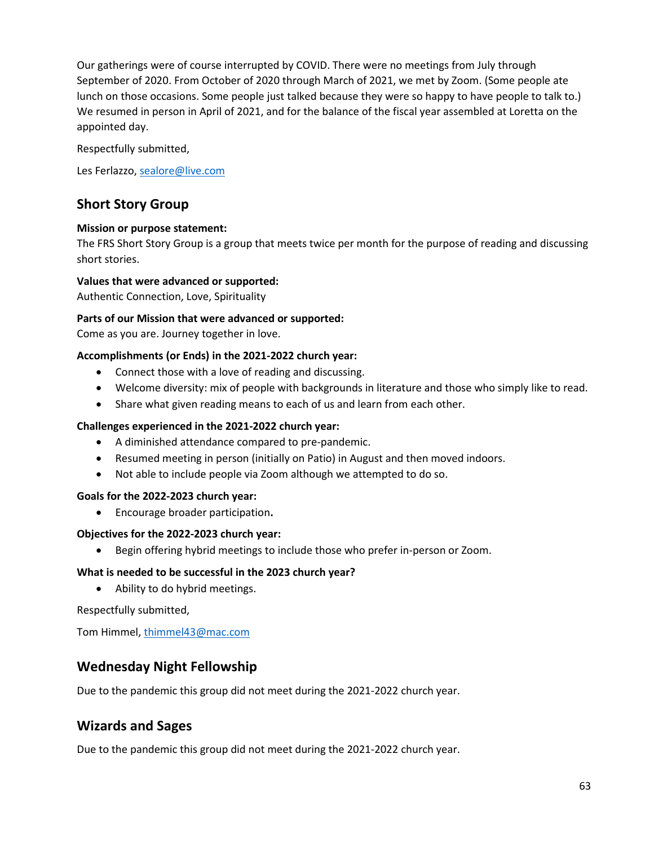Our gatherings were of course interrupted by COVID. There were no meetings from July through September of 2020. From October of 2020 through March of 2021, we met by Zoom. (Some people ate lunch on those occasions. Some people just talked because they were so happy to have people to talk to.) We resumed in person in April of 2021, and for the balance of the fiscal year assembled at Loretta on the appointed day.

Respectfully submitted,

Les Ferlazzo, [sealore@live.com](mailto:sealore@live.com)

# **Short Story Group**

## **Mission or purpose statement:**

The FRS Short Story Group is a group that meets twice per month for the purpose of reading and discussing short stories.

# **Values that were advanced or supported:**

Authentic Connection, Love, Spirituality

## **Parts of our Mission that were advanced or supported:**

Come as you are. Journey together in love.

## **Accomplishments (or Ends) in the 2021-2022 church year:**

- Connect those with a love of reading and discussing.
- Welcome diversity: mix of people with backgrounds in literature and those who simply like to read.
- Share what given reading means to each of us and learn from each other.

## **Challenges experienced in the 2021-2022 church year:**

- A diminished attendance compared to pre-pandemic.
- Resumed meeting in person (initially on Patio) in August and then moved indoors.
- Not able to include people via Zoom although we attempted to do so.

## **Goals for the 2022-2023 church year:**

• Encourage broader participation**.**

## **Objectives for the 2022-2023 church year:**

• Begin offering hybrid meetings to include those who prefer in-person or Zoom.

## **What is needed to be successful in the 2023 church year?**

• Ability to do hybrid meetings.

Respectfully submitted,

Tom Himmel[, thimmel43@mac.com](mailto:thimmel43@mac.com)

# **Wednesday Night Fellowship**

Due to the pandemic this group did not meet during the 2021-2022 church year.

# **Wizards and Sages**

Due to the pandemic this group did not meet during the 2021-2022 church year.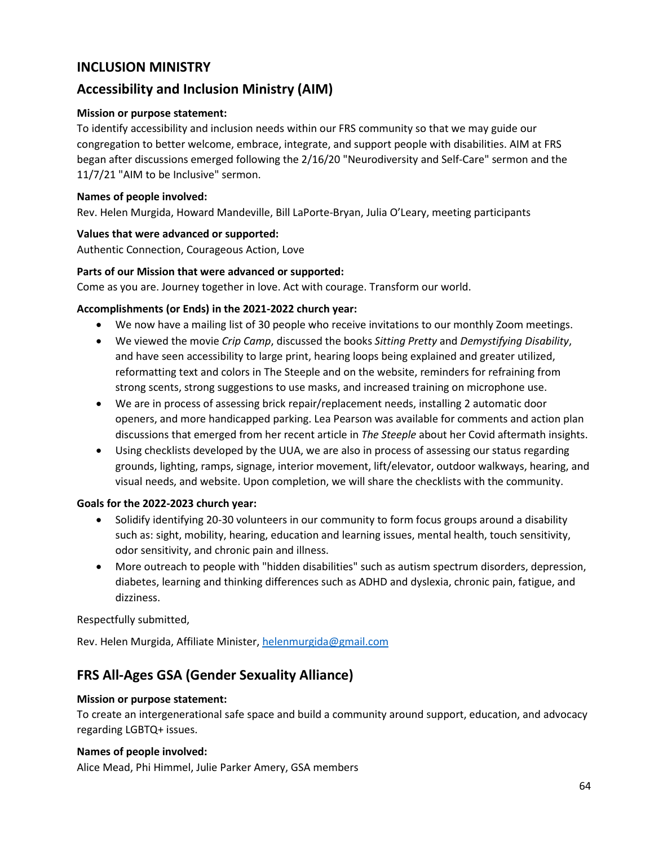# **INCLUSION MINISTRY**

# **Accessibility and Inclusion Ministry (AIM)**

# **Mission or purpose statement:**

To identify accessibility and inclusion needs within our FRS community so that we may guide our congregation to better welcome, embrace, integrate, and support people with disabilities. AIM at FRS began after discussions emerged following the 2/16/20 "Neurodiversity and Self-Care" sermon and the 11/7/21 "AIM to be Inclusive" sermon.

## **Names of people involved:**

Rev. Helen Murgida, Howard Mandeville, Bill LaPorte-Bryan, Julia O'Leary, meeting participants

# **Values that were advanced or supported:**

Authentic Connection, Courageous Action, Love

# **Parts of our Mission that were advanced or supported:**

Come as you are. Journey together in love. Act with courage. Transform our world.

# **Accomplishments (or Ends) in the 2021-2022 church year:**

- We now have a mailing list of 30 people who receive invitations to our monthly Zoom meetings.
- We viewed the movie *Crip Camp*, discussed the books *Sitting Pretty* and *Demystifying Disability*, and have seen accessibility to large print, hearing loops being explained and greater utilized, reformatting text and colors in The Steeple and on the website, reminders for refraining from strong scents, strong suggestions to use masks, and increased training on microphone use.
- We are in process of assessing brick repair/replacement needs, installing 2 automatic door openers, and more handicapped parking. Lea Pearson was available for comments and action plan discussions that emerged from her recent article in *The Steeple* about her Covid aftermath insights.
- Using checklists developed by the UUA, we are also in process of assessing our status regarding grounds, lighting, ramps, signage, interior movement, lift/elevator, outdoor walkways, hearing, and visual needs, and website. Upon completion, we will share the checklists with the community.

## **Goals for the 2022-2023 church year:**

- Solidify identifying 20-30 volunteers in our community to form focus groups around a disability such as: sight, mobility, hearing, education and learning issues, mental health, touch sensitivity, odor sensitivity, and chronic pain and illness.
- More outreach to people with "hidden disabilities" such as autism spectrum disorders, depression, diabetes, learning and thinking differences such as ADHD and dyslexia, chronic pain, fatigue, and dizziness.

Respectfully submitted,

Rev. Helen Murgida, Affiliate Minister[, helenmurgida@gmail.com](mailto:helenmurgida@gmail.com)

# **FRS All-Ages GSA (Gender Sexuality Alliance)**

## **Mission or purpose statement:**

To create an intergenerational safe space and build a community around support, education, and advocacy regarding LGBTQ+ issues.

## **Names of people involved:**

Alice Mead, Phi Himmel, Julie Parker Amery, GSA members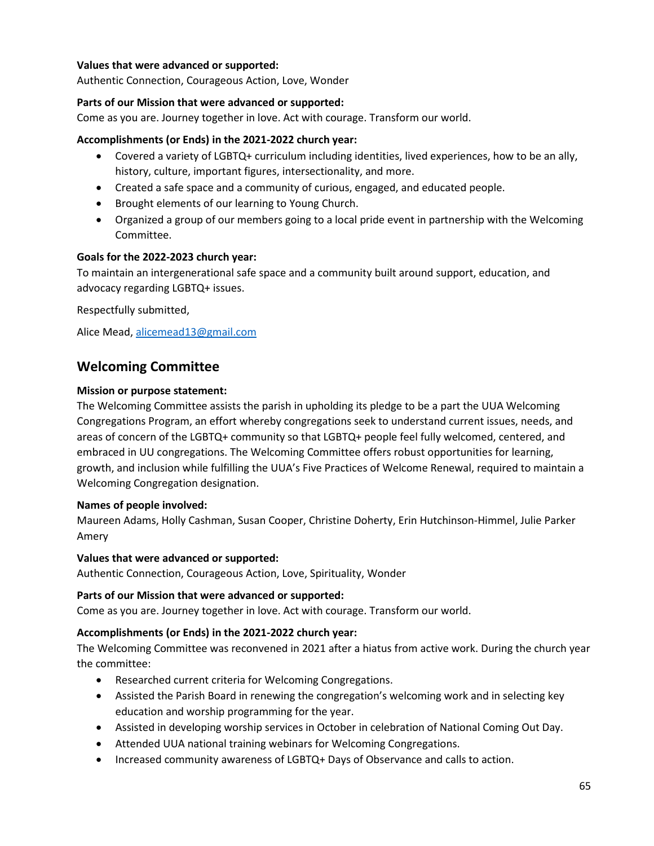# **Values that were advanced or supported:**

Authentic Connection, Courageous Action, Love, Wonder

# **Parts of our Mission that were advanced or supported:**

Come as you are. Journey together in love. Act with courage. Transform our world.

# **Accomplishments (or Ends) in the 2021-2022 church year:**

- Covered a variety of LGBTQ+ curriculum including identities, lived experiences, how to be an ally, history, culture, important figures, intersectionality, and more.
- Created a safe space and a community of curious, engaged, and educated people.
- Brought elements of our learning to Young Church.
- Organized a group of our members going to a local pride event in partnership with the Welcoming Committee.

# **Goals for the 2022-2023 church year:**

To maintain an intergenerational safe space and a community built around support, education, and advocacy regarding LGBTQ+ issues.

Respectfully submitted,

Alice Mead, [alicemead13@gmail.com](mailto:alicemead13@gmail.com)

# **Welcoming Committee**

## **Mission or purpose statement:**

The Welcoming Committee assists the parish in upholding its pledge to be a part the UUA Welcoming Congregations Program, an effort whereby congregations seek to understand current issues, needs, and areas of concern of the LGBTQ+ community so that LGBTQ+ people feel fully welcomed, centered, and embraced in UU congregations. The Welcoming Committee offers robust opportunities for learning, growth, and inclusion while fulfilling the UUA's Five Practices of Welcome Renewal, required to maintain a Welcoming Congregation designation.

## **Names of people involved:**

Maureen Adams, Holly Cashman, Susan Cooper, Christine Doherty, Erin Hutchinson-Himmel, Julie Parker Amery

## **Values that were advanced or supported:**

Authentic Connection, Courageous Action, Love, Spirituality, Wonder

## **Parts of our Mission that were advanced or supported:**

Come as you are. Journey together in love. Act with courage. Transform our world.

# **Accomplishments (or Ends) in the 2021-2022 church year:**

The Welcoming Committee was reconvened in 2021 after a hiatus from active work. During the church year the committee:

- Researched current criteria for Welcoming Congregations.
- Assisted the Parish Board in renewing the congregation's welcoming work and in selecting key education and worship programming for the year.
- Assisted in developing worship services in October in celebration of National Coming Out Day.
- Attended UUA national training webinars for Welcoming Congregations.
- Increased community awareness of LGBTQ+ Days of Observance and calls to action.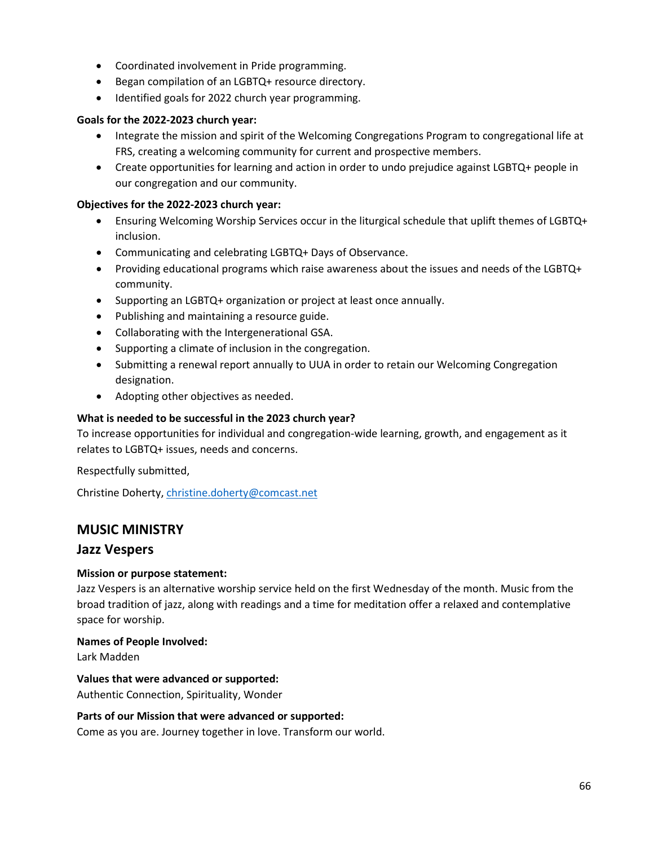- Coordinated involvement in Pride programming.
- Began compilation of an LGBTQ+ resource directory.
- Identified goals for 2022 church year programming.

# **Goals for the 2022-2023 church year:**

- Integrate the mission and spirit of the Welcoming Congregations Program to congregational life at FRS, creating a welcoming community for current and prospective members.
- Create opportunities for learning and action in order to undo prejudice against LGBTQ+ people in our congregation and our community.

# **Objectives for the 2022-2023 church year:**

- Ensuring Welcoming Worship Services occur in the liturgical schedule that uplift themes of LGBTQ+ inclusion.
- Communicating and celebrating LGBTQ+ Days of Observance.
- Providing educational programs which raise awareness about the issues and needs of the LGBTQ+ community.
- Supporting an LGBTQ+ organization or project at least once annually.
- Publishing and maintaining a resource guide.
- Collaborating with the Intergenerational GSA.
- Supporting a climate of inclusion in the congregation.
- Submitting a renewal report annually to UUA in order to retain our Welcoming Congregation designation.
- Adopting other objectives as needed.

# **What is needed to be successful in the 2023 church year?**

To increase opportunities for individual and congregation-wide learning, growth, and engagement as it relates to LGBTQ+ issues, needs and concerns.

Respectfully submitted,

Christine Doherty, [christine.doherty@comcast.net](mailto:christine.doherty@comcast.net)

# **MUSIC MINISTRY**

# **Jazz Vespers**

# **Mission or purpose statement:**

Jazz Vespers is an alternative worship service held on the first Wednesday of the month. Music from the broad tradition of jazz, along with readings and a time for meditation offer a relaxed and contemplative space for worship.

## **Names of People Involved:**

Lark Madden

# **Values that were advanced or supported:**

Authentic Connection, Spirituality, Wonder

## **Parts of our Mission that were advanced or supported:**

Come as you are. Journey together in love. Transform our world.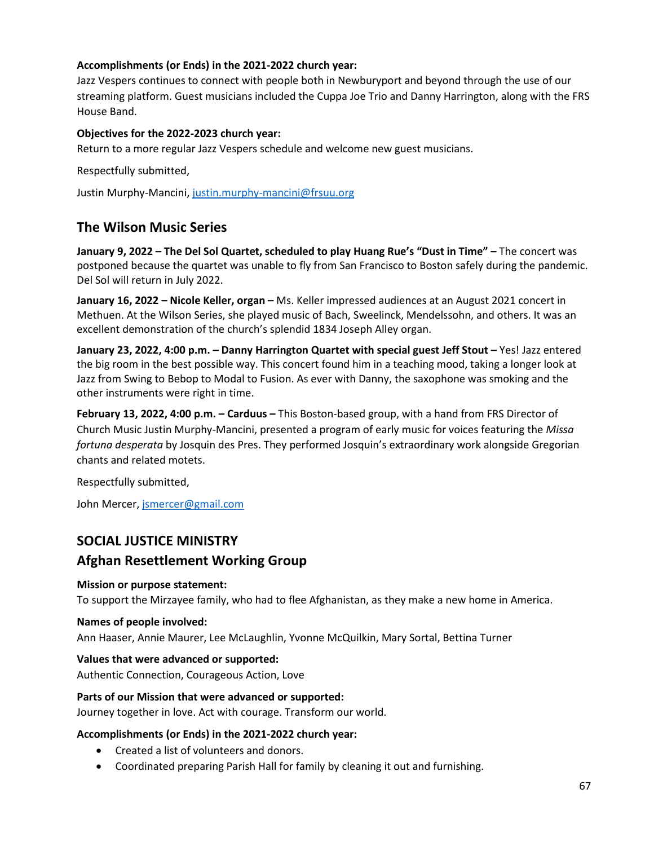# **Accomplishments (or Ends) in the 2021-2022 church year:**

Jazz Vespers continues to connect with people both in Newburyport and beyond through the use of our streaming platform. Guest musicians included the Cuppa Joe Trio and Danny Harrington, along with the FRS House Band.

# **Objectives for the 2022-2023 church year:**

Return to a more regular Jazz Vespers schedule and welcome new guest musicians.

Respectfully submitted,

Justin Murphy-Mancini, [justin.murphy-mancini@frsuu.org](mailto:justin.murphy-mancini@frsuu.org)

# **The Wilson Music Series**

**January 9, 2022 – The Del Sol Quartet, scheduled to play Huang Rue's "Dust in Time" –** The concert was postponed because the quartet was unable to fly from San Francisco to Boston safely during the pandemic. Del Sol will return in July 2022.

**January 16, 2022 – Nicole Keller, organ –** Ms. Keller impressed audiences at an August 2021 concert in Methuen. At the Wilson Series, she played music of Bach, Sweelinck, Mendelssohn, and others. It was an excellent demonstration of the church's splendid 1834 Joseph Alley organ.

**January 23, 2022, 4:00 p.m. – Danny Harrington Quartet with special guest Jeff Stout –** Yes! Jazz entered the big room in the best possible way. This concert found him in a teaching mood, taking a longer look at Jazz from Swing to Bebop to Modal to Fusion. As ever with Danny, the saxophone was smoking and the other instruments were right in time.

**February 13, 2022, 4:00 p.m. – Carduus –** This Boston-based group, with a hand from FRS Director of Church Music Justin Murphy-Mancini, presented a program of early music for voices featuring the *Missa fortuna desperata* by Josquin des Pres. They performed Josquin's extraordinary work alongside Gregorian chants and related motets.

Respectfully submitted,

John Mercer, [jsmercer@gmail.com](mailto:jsmercer@gmail.com)

# **SOCIAL JUSTICE MINISTRY**

# **Afghan Resettlement Working Group**

## **Mission or purpose statement:**

To support the Mirzayee family, who had to flee Afghanistan, as they make a new home in America.

## **Names of people involved:**

Ann Haaser, Annie Maurer, Lee McLaughlin, Yvonne McQuilkin, Mary Sortal, Bettina Turner

## **Values that were advanced or supported:**

Authentic Connection, Courageous Action, Love

## **Parts of our Mission that were advanced or supported:**

Journey together in love. Act with courage. Transform our world.

## **Accomplishments (or Ends) in the 2021-2022 church year:**

- Created a list of volunteers and donors.
- Coordinated preparing Parish Hall for family by cleaning it out and furnishing.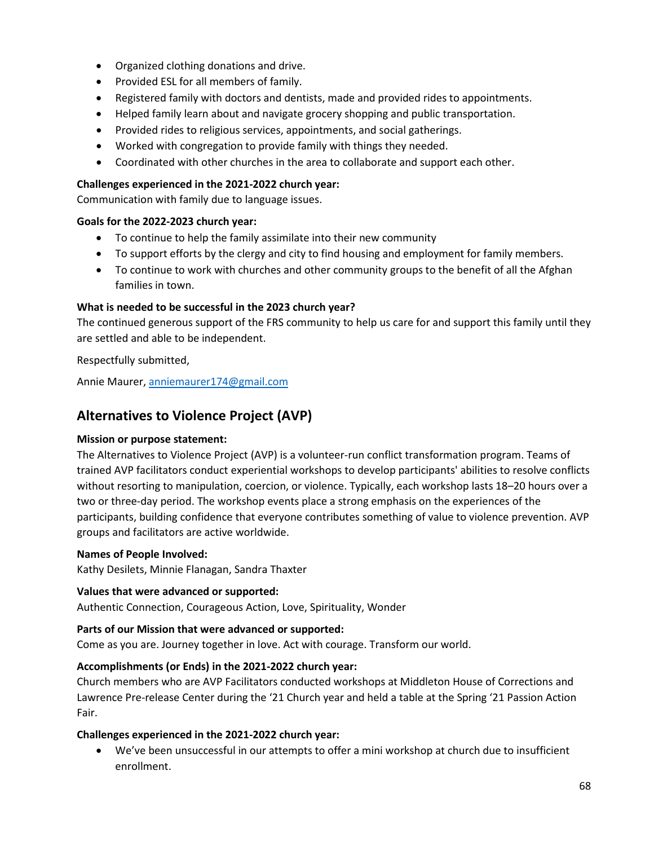- Organized clothing donations and drive.
- Provided ESL for all members of family.
- Registered family with doctors and dentists, made and provided rides to appointments.
- Helped family learn about and navigate grocery shopping and public transportation.
- Provided rides to religious services, appointments, and social gatherings.
- Worked with congregation to provide family with things they needed.
- Coordinated with other churches in the area to collaborate and support each other.

# **Challenges experienced in the 2021-2022 church year:**

Communication with family due to language issues.

# **Goals for the 2022-2023 church year:**

- To continue to help the family assimilate into their new community
- To support efforts by the clergy and city to find housing and employment for family members.
- To continue to work with churches and other community groups to the benefit of all the Afghan families in town.

# **What is needed to be successful in the 2023 church year?**

The continued generous support of the FRS community to help us care for and support this family until they are settled and able to be independent.

# Respectfully submitted,

Annie Maurer, [anniemaurer174@gmail.com](mailto:anniemaurer174@gmail.com)

# **Alternatives to Violence Project (AVP)**

## **Mission or purpose statement:**

The Alternatives to Violence Project (AVP) is a volunteer-run conflict transformation program. Teams of trained AVP facilitators conduct experiential workshops to develop participants' abilities to resolve conflicts without resorting to manipulation, coercion, or violence. Typically, each workshop lasts 18–20 hours over a two or three-day period. The workshop events place a strong emphasis on the experiences of the participants, building confidence that everyone contributes something of value to violence prevention. AVP groups and facilitators are active worldwide.

## **Names of People Involved:**

Kathy Desilets, Minnie Flanagan, Sandra Thaxter

## **Values that were advanced or supported:**

Authentic Connection, Courageous Action, Love, Spirituality, Wonder

# **Parts of our Mission that were advanced or supported:**

Come as you are. Journey together in love. Act with courage. Transform our world.

# **Accomplishments (or Ends) in the 2021-2022 church year:**

Church members who are AVP Facilitators conducted workshops at Middleton House of Corrections and Lawrence Pre-release Center during the '21 Church year and held a table at the Spring '21 Passion Action Fair.

# **Challenges experienced in the 2021-2022 church year:**

• We've been unsuccessful in our attempts to offer a mini workshop at church due to insufficient enrollment.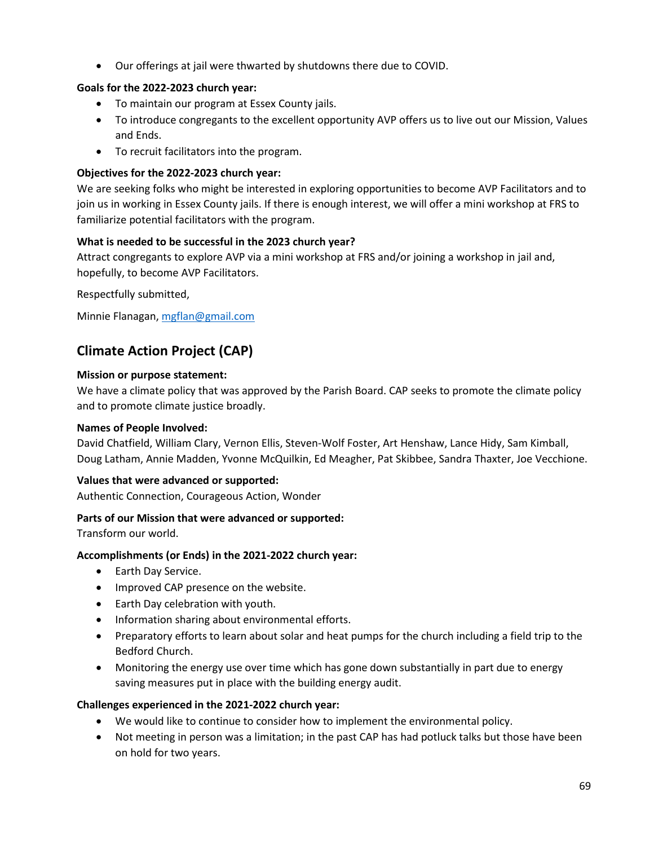• Our offerings at jail were thwarted by shutdowns there due to COVID.

# **Goals for the 2022-2023 church year:**

- To maintain our program at Essex County jails.
- To introduce congregants to the excellent opportunity AVP offers us to live out our Mission, Values and Ends.
- To recruit facilitators into the program.

# **Objectives for the 2022-2023 church year:**

We are seeking folks who might be interested in exploring opportunities to become AVP Facilitators and to join us in working in Essex County jails. If there is enough interest, we will offer a mini workshop at FRS to familiarize potential facilitators with the program.

# **What is needed to be successful in the 2023 church year?**

Attract congregants to explore AVP via a mini workshop at FRS and/or joining a workshop in jail and, hopefully, to become AVP Facilitators.

Respectfully submitted,

Minnie Flanagan, [mgflan@gmail.com](mailto:mgflan@gmail.com)

# **Climate Action Project (CAP)**

# **Mission or purpose statement:**

We have a climate policy that was approved by the Parish Board. CAP seeks to promote the climate policy and to promote climate justice broadly.

# **Names of People Involved:**

David Chatfield, William Clary, Vernon Ellis, Steven-Wolf Foster, Art Henshaw, Lance Hidy, Sam Kimball, Doug Latham, Annie Madden, Yvonne McQuilkin, Ed Meagher, Pat Skibbee, Sandra Thaxter, Joe Vecchione.

# **Values that were advanced or supported:**

Authentic Connection, Courageous Action, Wonder

# **Parts of our Mission that were advanced or supported:**

Transform our world.

# **Accomplishments (or Ends) in the 2021-2022 church year:**

- Earth Day Service.
- Improved CAP presence on the website.
- Earth Day celebration with youth.
- Information sharing about environmental efforts.
- Preparatory efforts to learn about solar and heat pumps for the church including a field trip to the Bedford Church.
- Monitoring the energy use over time which has gone down substantially in part due to energy saving measures put in place with the building energy audit.

# **Challenges experienced in the 2021-2022 church year:**

- We would like to continue to consider how to implement the environmental policy.
- Not meeting in person was a limitation; in the past CAP has had potluck talks but those have been on hold for two years.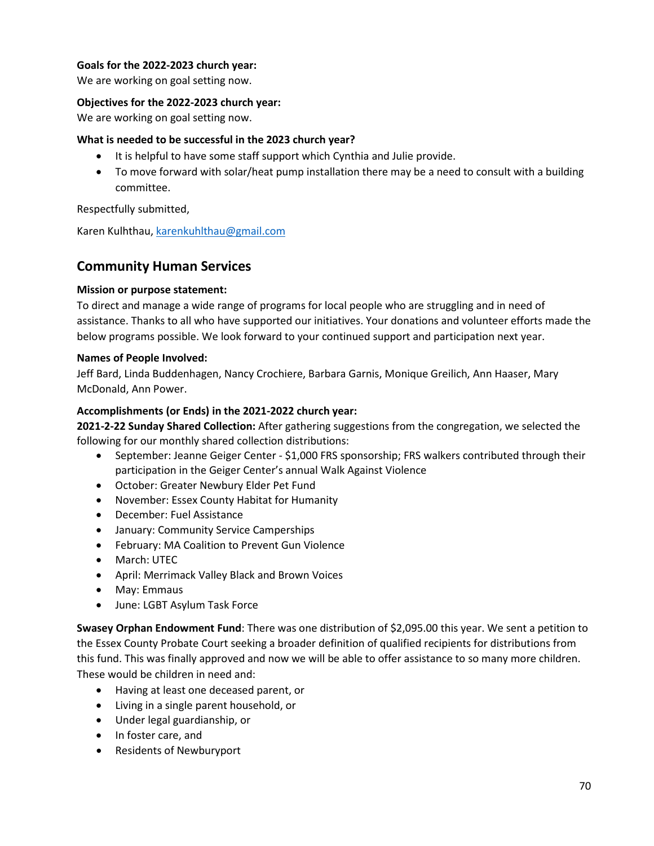# **Goals for the 2022-2023 church year:**

We are working on goal setting now.

## **Objectives for the 2022-2023 church year:**

We are working on goal setting now.

## **What is needed to be successful in the 2023 church year?**

- It is helpful to have some staff support which Cynthia and Julie provide.
- To move forward with solar/heat pump installation there may be a need to consult with a building committee.

Respectfully submitted,

Karen Kulhthau, [karenkuhlthau@gmail.com](mailto:karenkuhlthau@gmail.com)

# **Community Human Services**

# **Mission or purpose statement:**

To direct and manage a wide range of programs for local people who are struggling and in need of assistance. Thanks to all who have supported our initiatives. Your donations and volunteer efforts made the below programs possible. We look forward to your continued support and participation next year.

# **Names of People Involved:**

Jeff Bard, Linda Buddenhagen, Nancy Crochiere, Barbara Garnis, Monique Greilich, Ann Haaser, Mary McDonald, Ann Power.

# **Accomplishments (or Ends) in the 2021-2022 church year:**

**2021-2-22 Sunday Shared Collection:** After gathering suggestions from the congregation, we selected the following for our monthly shared collection distributions:

- September: Jeanne Geiger Center \$1,000 FRS sponsorship; FRS walkers contributed through their participation in the Geiger Center's annual Walk Against Violence
- October: Greater Newbury Elder Pet Fund
- November: Essex County Habitat for Humanity
- December: Fuel Assistance
- January: Community Service Camperships
- February: MA Coalition to Prevent Gun Violence
- March: UTEC
- April: Merrimack Valley Black and Brown Voices
- May: Emmaus
- June: LGBT Asylum Task Force

**Swasey Orphan Endowment Fund**: There was one distribution of \$2,095.00 this year. We sent a petition to the Essex County Probate Court seeking a broader definition of qualified recipients for distributions from this fund. This was finally approved and now we will be able to offer assistance to so many more children. These would be children in need and:

- Having at least one deceased parent, or
- Living in a single parent household, or
- Under legal guardianship, or
- In foster care, and
- Residents of Newburyport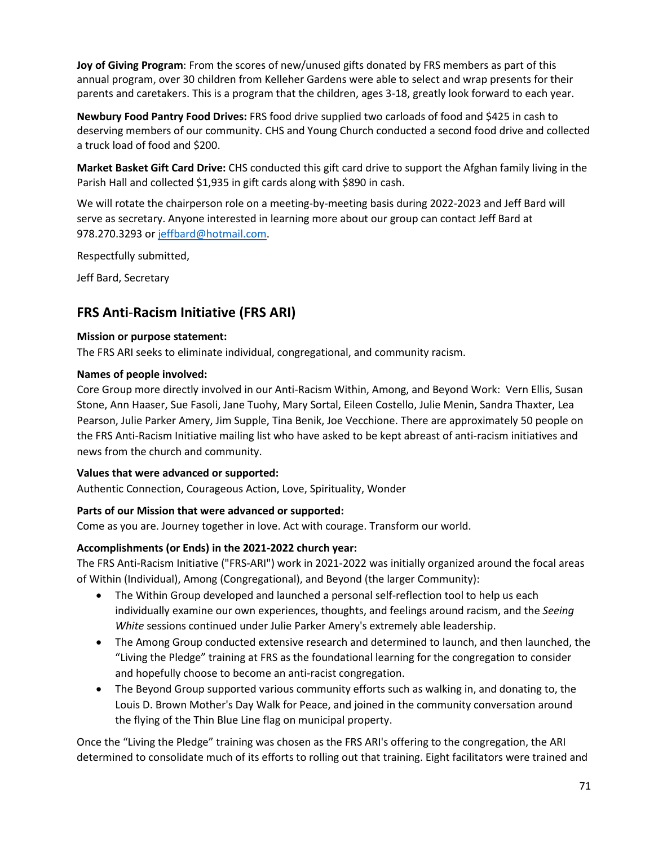**Joy of Giving Program**: From the scores of new/unused gifts donated by FRS members as part of this annual program, over 30 children from Kelleher Gardens were able to select and wrap presents for their parents and caretakers. This is a program that the children, ages 3-18, greatly look forward to each year.

**Newbury Food Pantry Food Drives:** FRS food drive supplied two carloads of food and \$425 in cash to deserving members of our community. CHS and Young Church conducted a second food drive and collected a truck load of food and \$200.

**Market Basket Gift Card Drive:** CHS conducted this gift card drive to support the Afghan family living in the Parish Hall and collected \$1,935 in gift cards along with \$890 in cash.

We will rotate the chairperson role on a meeting-by-meeting basis during 2022-2023 and Jeff Bard will serve as secretary. Anyone interested in learning more about our group can contact Jeff Bard at 978.270.3293 or [jeffbard@hotmail.com.](mailto:jeffbard@hotmail.com)

Respectfully submitted,

Jeff Bard, Secretary

# **FRS Anti**-**Racism Initiative (FRS ARI)**

# **Mission or purpose statement:**

The FRS ARI seeks to eliminate individual, congregational, and community racism.

# **Names of people involved:**

Core Group more directly involved in our Anti-Racism Within, Among, and Beyond Work: Vern Ellis, Susan Stone, Ann Haaser, Sue Fasoli, Jane Tuohy, Mary Sortal, Eileen Costello, Julie Menin, Sandra Thaxter, Lea Pearson, Julie Parker Amery, Jim Supple, Tina Benik, Joe Vecchione. There are approximately 50 people on the FRS Anti-Racism Initiative mailing list who have asked to be kept abreast of anti-racism initiatives and news from the church and community.

# **Values that were advanced or supported:**

Authentic Connection, Courageous Action, Love, Spirituality, Wonder

# **Parts of our Mission that were advanced or supported:**

Come as you are. Journey together in love. Act with courage. Transform our world.

# **Accomplishments (or Ends) in the 2021-2022 church year:**

The FRS Anti-Racism Initiative ("FRS-ARI") work in 2021-2022 was initially organized around the focal areas of Within (Individual), Among (Congregational), and Beyond (the larger Community):

- The Within Group developed and launched a personal self-reflection tool to help us each individually examine our own experiences, thoughts, and feelings around racism, and the *Seeing White* sessions continued under Julie Parker Amery's extremely able leadership.
- The Among Group conducted extensive research and determined to launch, and then launched, the "Living the Pledge" training at FRS as the foundational learning for the congregation to consider and hopefully choose to become an anti-racist congregation.
- The Beyond Group supported various community efforts such as walking in, and donating to, the Louis D. Brown Mother's Day Walk for Peace, and joined in the community conversation around the flying of the Thin Blue Line flag on municipal property.

Once the "Living the Pledge" training was chosen as the FRS ARI's offering to the congregation, the ARI determined to consolidate much of its efforts to rolling out that training. Eight facilitators were trained and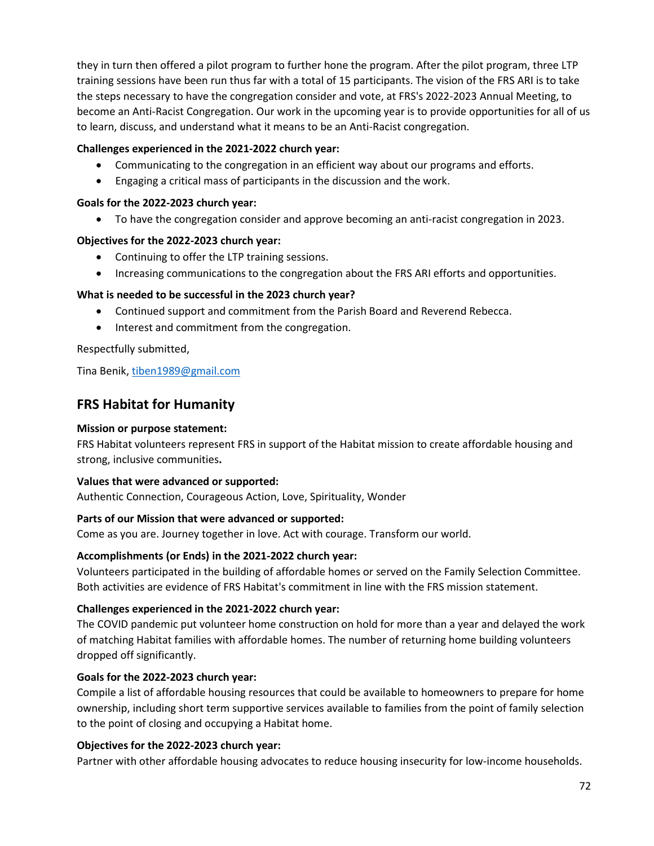they in turn then offered a pilot program to further hone the program. After the pilot program, three LTP training sessions have been run thus far with a total of 15 participants. The vision of the FRS ARI is to take the steps necessary to have the congregation consider and vote, at FRS's 2022-2023 Annual Meeting, to become an Anti-Racist Congregation. Our work in the upcoming year is to provide opportunities for all of us to learn, discuss, and understand what it means to be an Anti-Racist congregation.

## **Challenges experienced in the 2021-2022 church year:**

- Communicating to the congregation in an efficient way about our programs and efforts.
- Engaging a critical mass of participants in the discussion and the work.

## **Goals for the 2022-2023 church year:**

• To have the congregation consider and approve becoming an anti-racist congregation in 2023.

## **Objectives for the 2022-2023 church year:**

- Continuing to offer the LTP training sessions.
- Increasing communications to the congregation about the FRS ARI efforts and opportunities.

## **What is needed to be successful in the 2023 church year?**

- Continued support and commitment from the Parish Board and Reverend Rebecca.
- Interest and commitment from the congregation.

## Respectfully submitted,

Tina Benik[, tiben1989@gmail.com](mailto:tiben1989@gmail.com)

# **FRS Habitat for Humanity**

## **Mission or purpose statement:**

FRS Habitat volunteers represent FRS in support of the Habitat mission to create affordable housing and strong, inclusive communities**.**

#### **Values that were advanced or supported:**

Authentic Connection, Courageous Action, Love, Spirituality, Wonder

#### **Parts of our Mission that were advanced or supported:**

Come as you are. Journey together in love. Act with courage. Transform our world.

#### **Accomplishments (or Ends) in the 2021-2022 church year:**

Volunteers participated in the building of affordable homes or served on the Family Selection Committee. Both activities are evidence of FRS Habitat's commitment in line with the FRS mission statement.

#### **Challenges experienced in the 2021-2022 church year:**

The COVID pandemic put volunteer home construction on hold for more than a year and delayed the work of matching Habitat families with affordable homes. The number of returning home building volunteers dropped off significantly.

## **Goals for the 2022-2023 church year:**

Compile a list of affordable housing resources that could be available to homeowners to prepare for home ownership, including short term supportive services available to families from the point of family selection to the point of closing and occupying a Habitat home.

## **Objectives for the 2022-2023 church year:**

Partner with other affordable housing advocates to reduce housing insecurity for low-income households.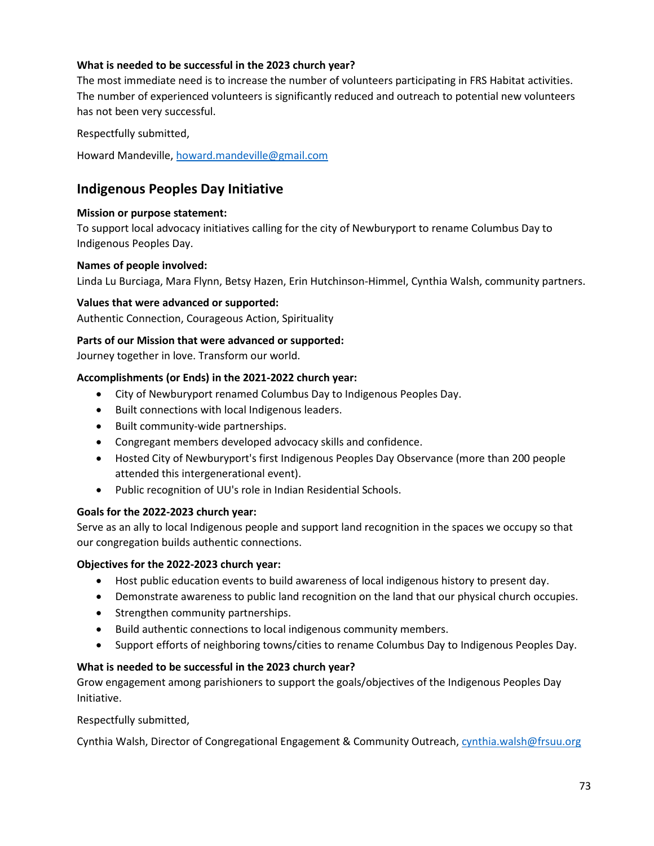## **What is needed to be successful in the 2023 church year?**

The most immediate need is to increase the number of volunteers participating in FRS Habitat activities. The number of experienced volunteers is significantly reduced and outreach to potential new volunteers has not been very successful.

Respectfully submitted,

Howard Mandeville, [howard.mandeville@gmail.com](mailto:howard.mandeville@gmail.com)

# **Indigenous Peoples Day Initiative**

#### **Mission or purpose statement:**

To support local advocacy initiatives calling for the city of Newburyport to rename Columbus Day to Indigenous Peoples Day.

#### **Names of people involved:**

Linda Lu Burciaga, Mara Flynn, Betsy Hazen, Erin Hutchinson-Himmel, Cynthia Walsh, community partners.

#### **Values that were advanced or supported:**

Authentic Connection, Courageous Action, Spirituality

#### **Parts of our Mission that were advanced or supported:**

Journey together in love. Transform our world.

#### **Accomplishments (or Ends) in the 2021-2022 church year:**

- City of Newburyport renamed Columbus Day to Indigenous Peoples Day.
- Built connections with local Indigenous leaders.
- Built community-wide partnerships.
- Congregant members developed advocacy skills and confidence.
- Hosted City of Newburyport's first Indigenous Peoples Day Observance (more than 200 people attended this intergenerational event).
- Public recognition of UU's role in Indian Residential Schools.

#### **Goals for the 2022-2023 church year:**

Serve as an ally to local Indigenous people and support land recognition in the spaces we occupy so that our congregation builds authentic connections.

#### **Objectives for the 2022-2023 church year:**

- Host public education events to build awareness of local indigenous history to present day.
- Demonstrate awareness to public land recognition on the land that our physical church occupies.
- Strengthen community partnerships.
- Build authentic connections to local indigenous community members.
- Support efforts of neighboring towns/cities to rename Columbus Day to Indigenous Peoples Day.

#### **What is needed to be successful in the 2023 church year?**

Grow engagement among parishioners to support the goals/objectives of the Indigenous Peoples Day Initiative.

#### Respectfully submitted,

Cynthia Walsh, Director of Congregational Engagement & Community Outreach, [cynthia.walsh@frsuu.org](mailto:cynthia.walsh@frsuu.org)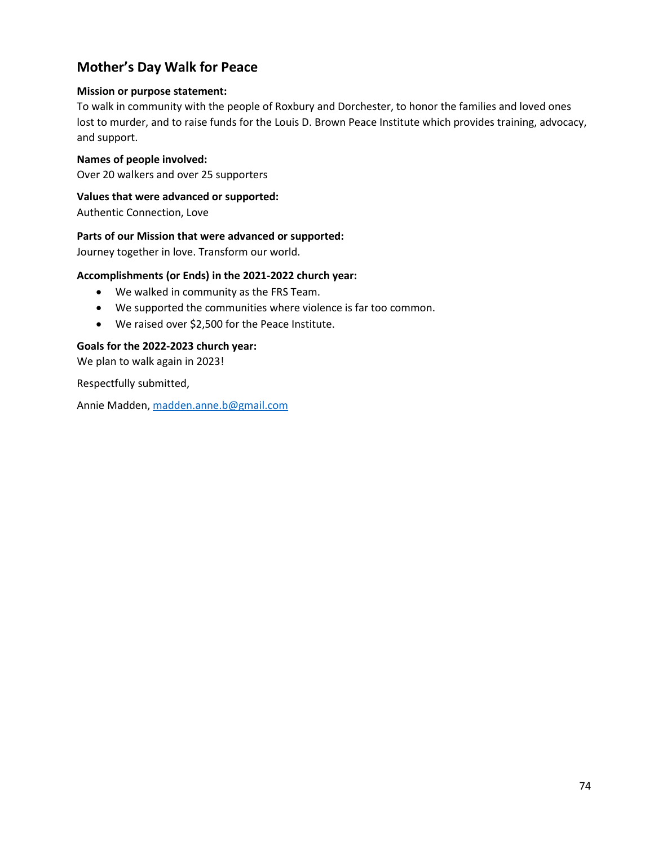# **Mother's Day Walk for Peace**

## **Mission or purpose statement:**

To walk in community with the people of Roxbury and Dorchester, to honor the families and loved ones lost to murder, and to raise funds for the Louis D. Brown Peace Institute which provides training, advocacy, and support.

## **Names of people involved:**

Over 20 walkers and over 25 supporters

## **Values that were advanced or supported:**

Authentic Connection, Love

## **Parts of our Mission that were advanced or supported:**

Journey together in love. Transform our world.

## **Accomplishments (or Ends) in the 2021-2022 church year:**

- We walked in community as the FRS Team.
- We supported the communities where violence is far too common.
- We raised over \$2,500 for the Peace Institute.

## **Goals for the 2022-2023 church year:**

We plan to walk again in 2023!

Respectfully submitted,

Annie Madden, [madden.anne.b@gmail.com](mailto:madden.anne.b@gmail.com)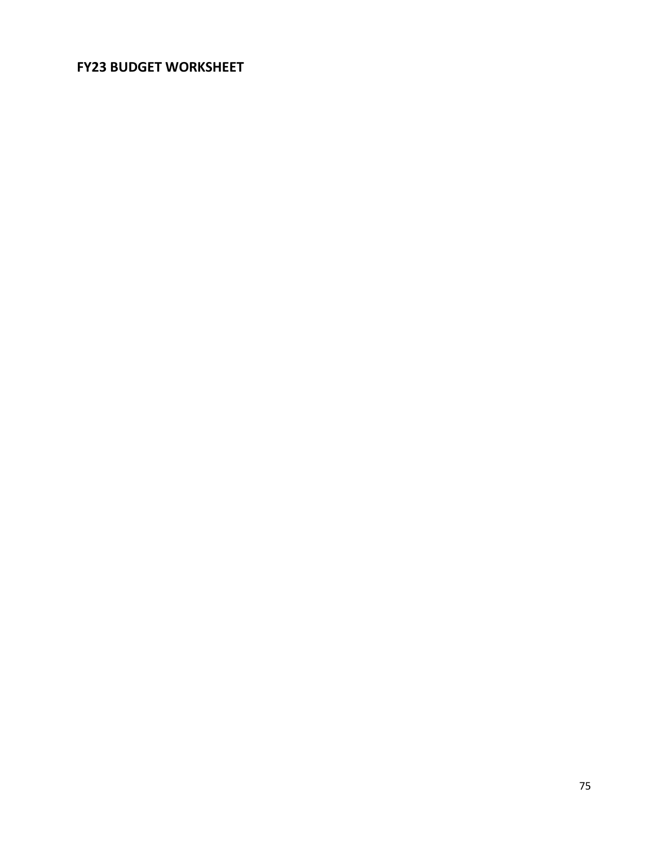# **FY23 BUDGET WORKSHEET**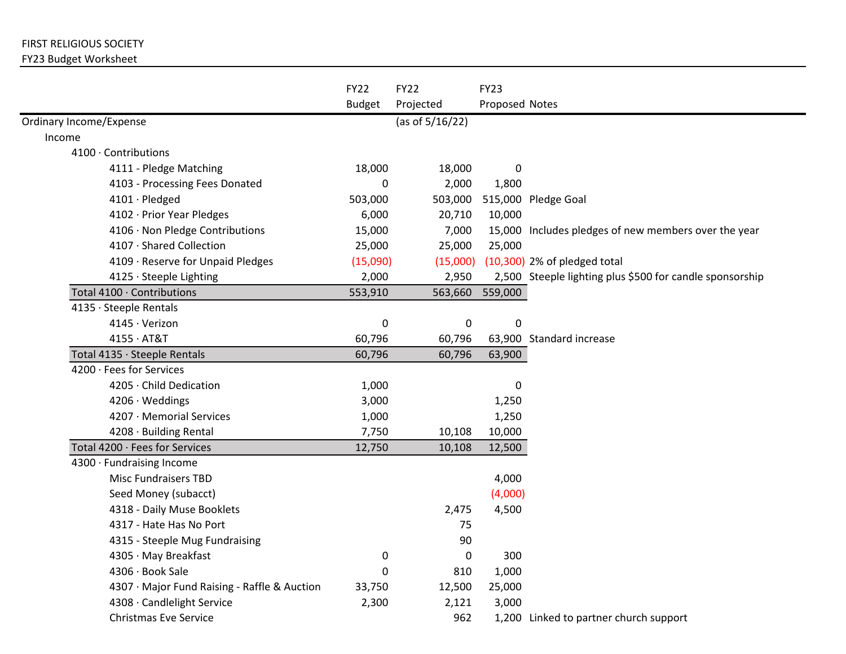# FIRST RELIGIOUS SOCIETY

## FY23 Budget Worksheet

|                                              | <b>FY22</b>   | <b>FY22</b>     | <b>FY23</b>    |                                                          |
|----------------------------------------------|---------------|-----------------|----------------|----------------------------------------------------------|
|                                              | <b>Budget</b> | Projected       | Proposed Notes |                                                          |
| Ordinary Income/Expense                      |               | (as of 5/16/22) |                |                                                          |
| Income                                       |               |                 |                |                                                          |
| 4100 Contributions                           |               |                 |                |                                                          |
| 4111 - Pledge Matching                       | 18,000        | 18,000          | 0              |                                                          |
| 4103 - Processing Fees Donated               | 0             | 2,000           | 1,800          |                                                          |
| 4101 · Pledged                               | 503,000       | 503,000         |                | 515,000 Pledge Goal                                      |
| 4102 · Prior Year Pledges                    | 6,000         | 20,710          | 10,000         |                                                          |
| 4106 · Non Pledge Contributions              | 15,000        | 7,000           |                | 15,000 Includes pledges of new members over the year     |
| 4107 · Shared Collection                     | 25,000        | 25,000          | 25,000         |                                                          |
| 4109 · Reserve for Unpaid Pledges            | (15,090)      | (15,000)        |                | $(10,300)$ 2% of pledged total                           |
| 4125 · Steeple Lighting                      | 2,000         | 2,950           |                | 2,500 Steeple lighting plus \$500 for candle sponsorship |
| Total 4100 · Contributions                   | 553,910       | 563,660         | 559,000        |                                                          |
| 4135 · Steeple Rentals                       |               |                 |                |                                                          |
| 4145 · Verizon                               | $\pmb{0}$     | 0               | $\pmb{0}$      |                                                          |
| $4155 \cdot AT&T$                            | 60,796        | 60,796          |                | 63,900 Standard increase                                 |
| Total 4135 · Steeple Rentals                 | 60,796        | 60,796          | 63,900         |                                                          |
| 4200 · Fees for Services                     |               |                 |                |                                                          |
| 4205 · Child Dedication                      | 1,000         |                 | $\pmb{0}$      |                                                          |
| 4206 · Weddings                              | 3,000         |                 | 1,250          |                                                          |
| 4207 · Memorial Services                     | 1,000         |                 | 1,250          |                                                          |
| 4208 · Building Rental                       | 7,750         | 10,108          | 10,000         |                                                          |
| Total 4200 · Fees for Services               | 12,750        | 10,108          | 12,500         |                                                          |
| 4300 · Fundraising Income                    |               |                 |                |                                                          |
| <b>Misc Fundraisers TBD</b>                  |               |                 | 4,000          |                                                          |
| Seed Money (subacct)                         |               |                 | (4,000)        |                                                          |
| 4318 - Daily Muse Booklets                   |               | 2,475           | 4,500          |                                                          |
| 4317 - Hate Has No Port                      |               | 75              |                |                                                          |
| 4315 - Steeple Mug Fundraising               |               | 90              |                |                                                          |
| 4305 · May Breakfast                         | 0             | 0               | 300            |                                                          |
| 4306 · Book Sale                             | 0             | 810             | 1,000          |                                                          |
| 4307 · Major Fund Raising - Raffle & Auction | 33,750        | 12,500          | 25,000         |                                                          |
| 4308 · Candlelight Service                   | 2,300         | 2,121           | 3,000          |                                                          |
| <b>Christmas Eve Service</b>                 |               | 962             |                | 1,200 Linked to partner church support                   |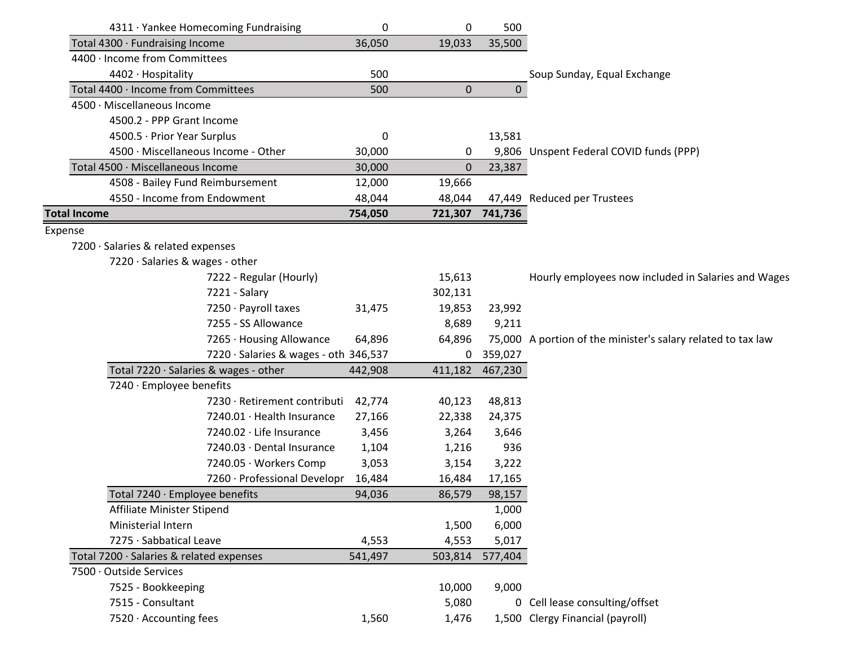|                     | 4311 · Yankee Homecoming Fundraising     | 0       | 0       | 500             |                                                              |
|---------------------|------------------------------------------|---------|---------|-----------------|--------------------------------------------------------------|
|                     | Total 4300 · Fundraising Income          | 36,050  | 19,033  | 35,500          |                                                              |
|                     | 4400 Income from Committees              |         |         |                 |                                                              |
|                     | 4402 · Hospitality                       |         |         |                 | Soup Sunday, Equal Exchange                                  |
|                     | Total 4400 · Income from Committees      | 500     | 0       | $\mathbf 0$     |                                                              |
|                     | 4500 · Miscellaneous Income              |         |         |                 |                                                              |
|                     | 4500.2 - PPP Grant Income                |         |         |                 |                                                              |
|                     | 4500.5 · Prior Year Surplus              | 0       |         | 13,581          |                                                              |
|                     | 4500 · Miscellaneous Income - Other      | 30,000  | 0       |                 | 9,806 Unspent Federal COVID funds (PPP)                      |
|                     | Total 4500 · Miscellaneous Income        | 30,000  | 0       | 23,387          |                                                              |
|                     | 4508 - Bailey Fund Reimbursement         | 12,000  | 19,666  |                 |                                                              |
|                     | 4550 - Income from Endowment             | 48,044  | 48,044  |                 | 47,449 Reduced per Trustees                                  |
| <b>Total Income</b> |                                          | 754,050 |         | 721,307 741,736 |                                                              |
| Expense             |                                          |         |         |                 |                                                              |
|                     | 7200 · Salaries & related expenses       |         |         |                 |                                                              |
|                     | 7220 · Salaries & wages - other          |         |         |                 |                                                              |
|                     | 7222 - Regular (Hourly)                  |         | 15,613  |                 | Hourly employees now included in Salaries and Wages          |
|                     | 7221 - Salary                            |         | 302,131 |                 |                                                              |
|                     | 7250 · Payroll taxes                     | 31,475  | 19,853  | 23,992          |                                                              |
|                     | 7255 - SS Allowance                      |         | 8,689   | 9,211           |                                                              |
|                     | 7265 · Housing Allowance                 | 64,896  | 64,896  |                 | 75,000 A portion of the minister's salary related to tax law |
|                     | 7220 · Salaries & wages - oth 346,537    |         | 0       | 359,027         |                                                              |
|                     | Total 7220 · Salaries & wages - other    | 442,908 | 411,182 | 467,230         |                                                              |
|                     | 7240 · Employee benefits                 |         |         |                 |                                                              |
|                     | 7230 · Retirement contributi             | 42,774  | 40,123  | 48,813          |                                                              |
|                     | 7240.01 Health Insurance                 | 27,166  | 22,338  | 24,375          |                                                              |
|                     | 7240.02 · Life Insurance                 | 3,456   | 3,264   | 3,646           |                                                              |
|                     | 7240.03 · Dental Insurance               | 1,104   | 1,216   | 936             |                                                              |
|                     | 7240.05 · Workers Comp                   | 3,053   | 3,154   | 3,222           |                                                              |
|                     | 7260 · Professional Developr             | 16,484  | 16,484  | 17,165          |                                                              |
|                     | Total 7240 · Employee benefits           | 94,036  | 86,579  | 98,157          |                                                              |
|                     | Affiliate Minister Stipend               |         |         | 1,000           |                                                              |
|                     | Ministerial Intern                       | 4,553   | 1,500   | 6,000           |                                                              |
|                     | 7275 · Sabbatical Leave                  |         | 4,553   | 5,017           |                                                              |
|                     | Total 7200 · Salaries & related expenses | 541,497 | 503,814 | 577,404         |                                                              |
|                     | 7500 · Outside Services                  |         |         |                 |                                                              |
|                     | 7525 - Bookkeeping                       |         | 10,000  | 9,000           |                                                              |
|                     | 7515 - Consultant                        |         | 5,080   |                 | 0 Cell lease consulting/offset                               |
|                     | 7520 · Accounting fees                   | 1,560   | 1,476   |                 | 1,500 Clergy Financial (payroll)                             |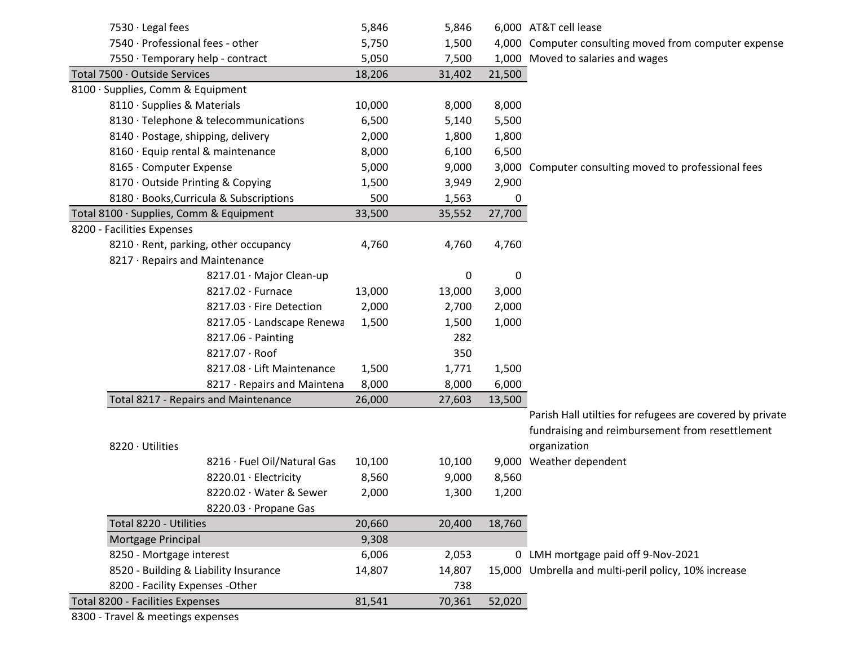| 7530 · Legal fees                           |                                         | 5,846  | 5,846  |        | 6,000 AT&T cell lease                                    |
|---------------------------------------------|-----------------------------------------|--------|--------|--------|----------------------------------------------------------|
| 7540 · Professional fees - other            |                                         | 5,750  | 1,500  |        | 4,000 Computer consulting moved from computer expense    |
| 7550 · Temporary help - contract            |                                         | 5,050  | 7,500  |        | 1,000 Moved to salaries and wages                        |
| Total 7500 · Outside Services               |                                         | 18,206 | 31,402 | 21,500 |                                                          |
| 8100 · Supplies, Comm & Equipment           |                                         |        |        |        |                                                          |
| 8110 · Supplies & Materials                 |                                         | 10,000 | 8,000  | 8,000  |                                                          |
|                                             | 8130 · Telephone & telecommunications   | 6,500  | 5,140  | 5,500  |                                                          |
| 8140 · Postage, shipping, delivery          |                                         | 2,000  | 1,800  | 1,800  |                                                          |
| 8160 · Equip rental & maintenance           |                                         | 8,000  | 6,100  | 6,500  |                                                          |
| 8165 · Computer Expense                     |                                         | 5,000  | 9,000  |        | 3,000 Computer consulting moved to professional fees     |
| 8170 · Outside Printing & Copying           |                                         | 1,500  | 3,949  | 2,900  |                                                          |
|                                             | 8180 · Books, Curricula & Subscriptions | 500    | 1,563  | 0      |                                                          |
| Total 8100 · Supplies, Comm & Equipment     |                                         | 33,500 | 35,552 | 27,700 |                                                          |
| 8200 - Facilities Expenses                  |                                         |        |        |        |                                                          |
| 8210 · Rent, parking, other occupancy       |                                         | 4,760  | 4,760  | 4,760  |                                                          |
| 8217 · Repairs and Maintenance              |                                         |        |        |        |                                                          |
|                                             | 8217.01 · Major Clean-up                |        | 0      | 0      |                                                          |
|                                             | 8217.02 · Furnace                       | 13,000 | 13,000 | 3,000  |                                                          |
|                                             | 8217.03 · Fire Detection                | 2,000  | 2,700  | 2,000  |                                                          |
|                                             | 8217.05 · Landscape Renewa              | 1,500  | 1,500  | 1,000  |                                                          |
|                                             | 8217.06 - Painting                      |        | 282    |        |                                                          |
|                                             | 8217.07 · Roof                          |        | 350    |        |                                                          |
|                                             | 8217.08 · Lift Maintenance              | 1,500  | 1,771  | 1,500  |                                                          |
|                                             | 8217 · Repairs and Maintena             | 8,000  | 8,000  | 6,000  |                                                          |
| <b>Total 8217 - Repairs and Maintenance</b> |                                         | 26,000 | 27,603 | 13,500 |                                                          |
|                                             |                                         |        |        |        | Parish Hall utilties for refugees are covered by private |
|                                             |                                         |        |        |        | fundraising and reimbursement from resettlement          |
| 8220 · Utilities                            |                                         |        |        |        | organization                                             |
|                                             | 8216 · Fuel Oil/Natural Gas             | 10,100 | 10,100 |        | 9,000 Weather dependent                                  |
|                                             | 8220.01 · Electricity                   | 8,560  | 9,000  | 8,560  |                                                          |
|                                             | 8220.02 · Water & Sewer                 | 2,000  | 1,300  | 1,200  |                                                          |
|                                             | 8220.03 · Propane Gas                   |        |        |        |                                                          |
| Total 8220 - Utilities                      |                                         | 20,660 | 20,400 | 18,760 |                                                          |
| Mortgage Principal                          |                                         | 9,308  |        |        |                                                          |
| 8250 - Mortgage interest                    |                                         | 6,006  | 2,053  |        | 0 LMH mortgage paid off 9-Nov-2021                       |
| 8520 - Building & Liability Insurance       |                                         | 14,807 | 14,807 |        | 15,000 Umbrella and multi-peril policy, 10% increase     |
| 8200 - Facility Expenses - Other            |                                         |        | 738    |        |                                                          |
| Total 8200 - Facilities Expenses            |                                         | 81,541 | 70,361 | 52,020 |                                                          |

8300 - Travel & meetings expenses